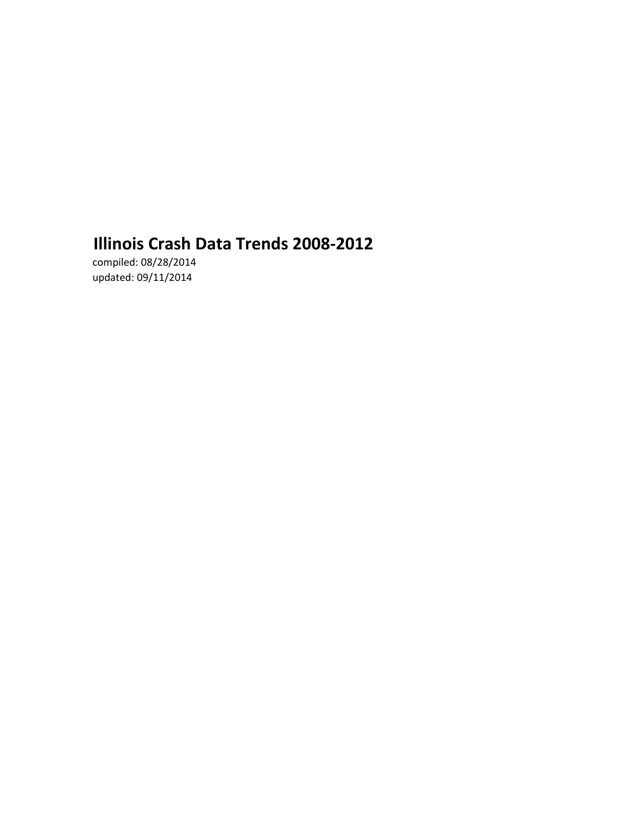# **Illinois Crash Data Trends 2008-2012**

compiled: 08/28/2014 updated: 09/11/2014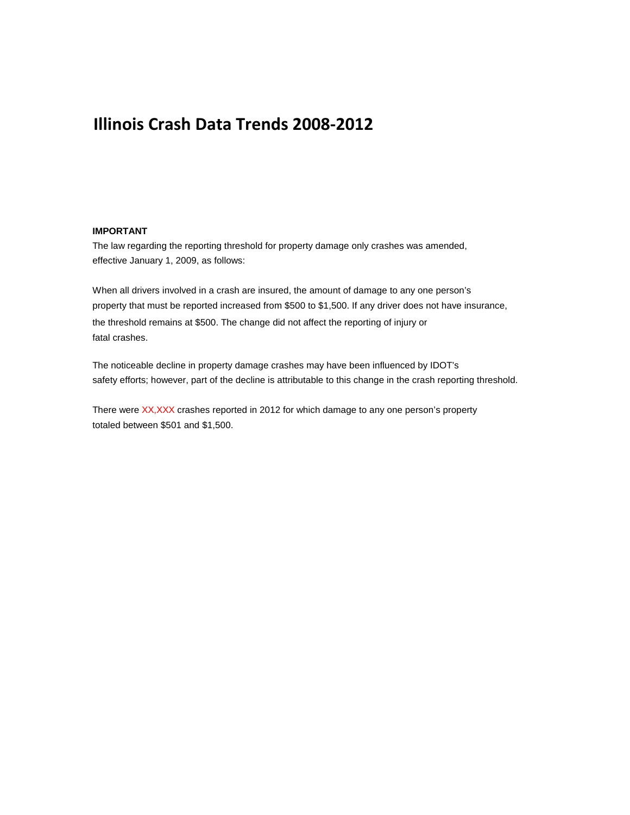### **Illinois Crash Data Trends 2008-2012**

#### **IMPORTANT**

The law regarding the reporting threshold for property damage only crashes was amended, effective January 1, 2009, as follows:

When all drivers involved in a crash are insured, the amount of damage to any one person's property that must be reported increased from \$500 to \$1,500. If any driver does not have insurance, the threshold remains at \$500. The change did not affect the reporting of injury or fatal crashes.

The noticeable decline in property damage crashes may have been influenced by IDOT's safety efforts; however, part of the decline is attributable to this change in the crash reporting threshold.

There were XX,XXX crashes reported in 2012 for which damage to any one person's property totaled between \$501 and \$1,500.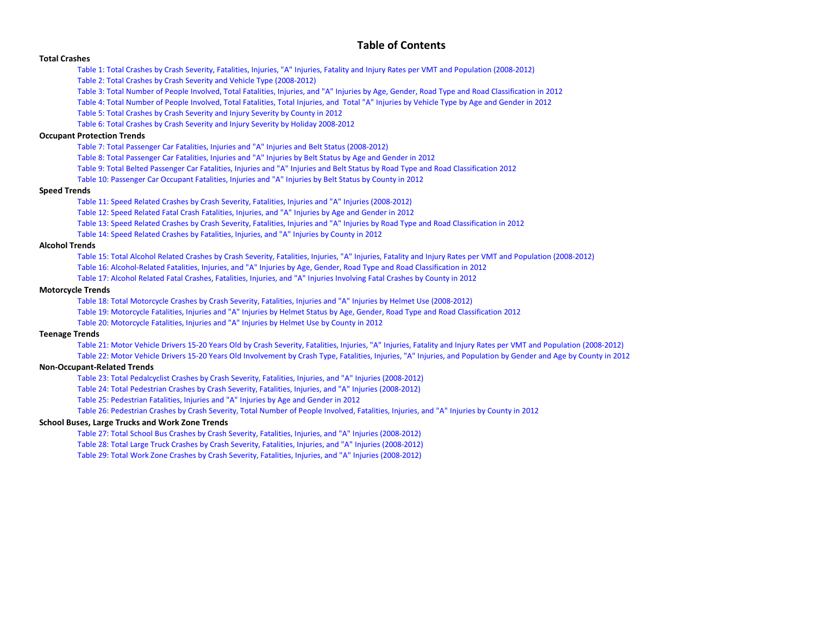#### **Table of Contents**

#### **[Total Crashes](#page-3-0)**

[Table 1: Total Crashes by Crash Severity, Fatalities, Injuries, "A" Injuries, Fatality and Injury Rates per VMT and Population \(2008-2012\)](#page-5-0)

[Table 2: Total Crashes by Crash Severity and Vehicle Type \(2008-2012\)](#page-6-0)

[Table 3: Total Number of People Involved, Total Fatalities, Injuries, and "A" Injuries by Age, Gender, Road Type and Road Classification in 2012](#page-8-0)

[Table 4: Total Number of People Involved, Total Fatalities, Total Injuries, and Total "A" Injuries by Vehicle Type by Age and Gender in 2012](#page-9-0) 

[Table 5: Total Crashes by Crash Severity and Injury Severity by County in 2012](#page-11-0)

[Table 6: Total Crashes by Crash Severity and Injury Severity by Holiday 2008-2012](#page-14-0)

#### **[Occupant Protection Trends](#page-15-0)**

[Table 7: Total Passenger Car Fatalities, Injuries and "A" Injuries and Belt Status \(2008-2012\)](#page-17-0)

[Table 8: Total Passenger Car Fatalities, Injuries and "A" Injuries by Belt Status by Age and Gender in 2012](#page-18-0)

[Table 9: Total Belted Passenger Car Fatalities, Injuries and "A" Injuries and Belt Status by Road Type and Road Classification 2012](#page-19-0)

[Table 10: Passenger Car Occupant Fatalities, Injuries and "A" Injuries by Belt Status by County in 2012](#page-20-0)

#### **[Speed Trends](#page-23-0)**

[Table 11: Speed Related Crashes by Crash Severity, Fatalities, Injuries and "A" Injuries \(2008-2012\)](#page-25-0)

[Table 12: Speed Related Fatal Crash Fatalities, Injuries, and "A" Injuries by Age and Gender in 2012](#page-27-0)

[Table 13: Speed Related Crashes by Crash Severity, Fatalities, Injuries and "A" Injuries by Road Type and Road Classification in 2012](#page-28-0)

[Table 14: Speed Related Crashes by Fatalities, Injuries, and "A" Injuries by County in 2012](#page-29-0)

#### **[Alcohol Trends](#page-31-0)**

[Table 15: Total Alcohol Related Crashes by Crash Severity, Fatalities, Injuries, "A" Injuries, Fatality and Injury Rates per VMT and Population \(2008-2012\)](#page-33-0)

[Table 16: Alcohol-Related Fatalities, Injuries, and "A" Injuries by Age, Gender, Road Type and Road Classification in 2012](#page-34-0)

[Table 17: Alcohol Related Fatal Crashes, Fatalities, Injuries, and "A" Injuries Involving Fatal Crashes by County in 2012](#page-35-0)

#### **[Motorcycle Trends](#page-38-0)**

[Table 18: Total Motorcycle Crashes by Crash Severity, Fatalities, Injuries and "A" Injuries by Helmet Use \(2008-2012\)](#page-40-0)

[Table 19: Motorcycle Fatalities, Injuries and "A" Injuries by Helmet Status by Age, Gender, Road Type and Road Classification 2012](#page-41-0)

[Table 20: Motorcycle Fatalities, Injuries and "A" Injuries by Helmet Use by County in 2012](#page-42-0)

#### **[Teenage Trends](#page-45-0)**

[Table 21: Motor Vehicle Drivers 15-20 Years Old by Crash Severity, Fatalities, Injuries, "A" Injuries, Fatality and Injury Rates per VMT and Population \(2008-2012\)](#page-47-0)

[Table 22: Motor Vehicle Drivers 15-20 Years Old Involvement by Crash Type, Fatalities, Injuries, "A" Injuries, and Population by Gender and Age by County in 2012](#page-48-0)

#### **[Non-Occupant-Related Trends](#page-51-0)**

[Table 23: Total Pedalcyclist Crashes by Crash Severity, Fatalities, Injuries, and "A" Injuries \(2008-2012\)](#page-53-0)

[Table 24: Total Pedestrian Crashes by Crash Severity, Fatalities, Injuries, and "A" Injuries \(2008-2012\)](#page-54-0)

[Table 25: Pedestrian Fatalities, Injuries and "A" Injuries by Age and Gender in 2012](#page-55-0)

[Table 26: Pedestrian Crashes by Crash Severity, Total Number of People Involved, Fatalities, Injuries, and "A" Injuries by County in 2012](#page-56-0)

#### **[School Buses, Large Trucks and Work Zone Trends](#page-59-0)**

[Table 27: Total School Bus Crashes by Crash Severity, Fatalities, Injuries, and "A" Injuries \(2008-2012\)](#page-61-0)

[Table 28: Total Large Truck Crashes by Crash Severity, Fatalities, Injuries, and "A" Injuries \(2008-2012\)](#page-63-0)

[Table 29: Total Work Zone Crashes by Crash Severity, Fatalities, Injuries, and "A" Injuries \(2008-2012\)](#page-64-0)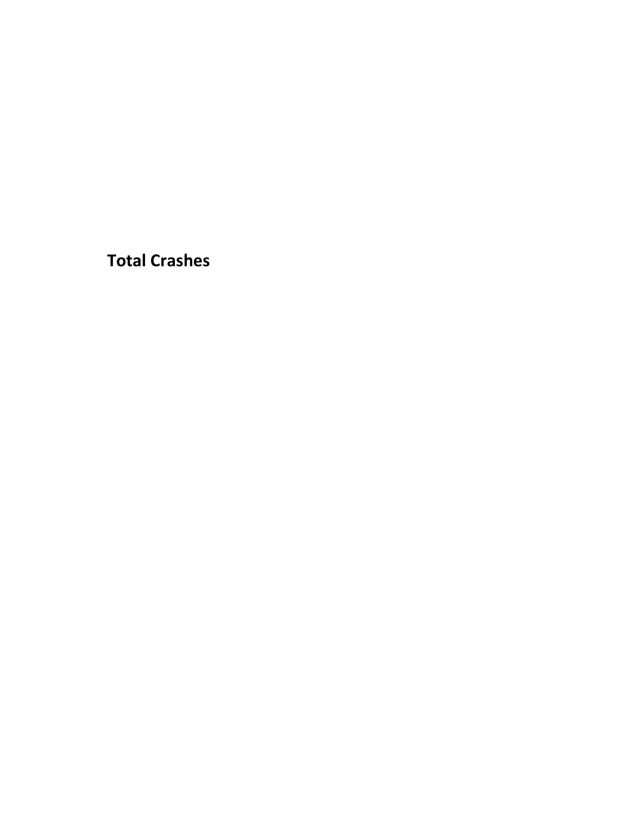<span id="page-3-0"></span>**Total Crashes**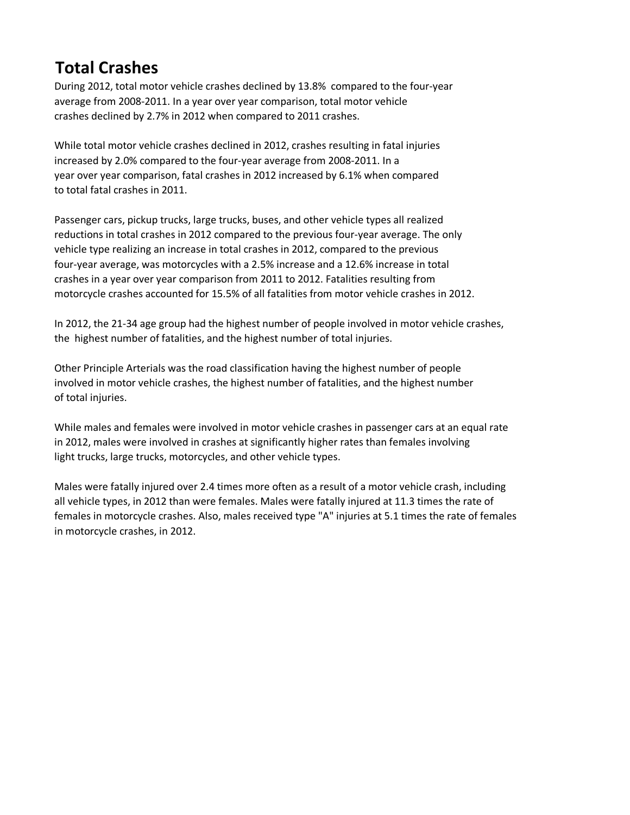# **Total Crashes**

During 2012, total motor vehicle crashes declined by 13.8% compared to the four-year average from 2008-2011. In a year over year comparison, total motor vehicle crashes declined by 2.7% in 2012 when compared to 2011 crashes.

While total motor vehicle crashes declined in 2012, crashes resulting in fatal injuries increased by 2.0% compared to the four-year average from 2008-2011. In a year over year comparison, fatal crashes in 2012 increased by 6.1% when compared to total fatal crashes in 2011.

Passenger cars, pickup trucks, large trucks, buses, and other vehicle types all realized reductions in total crashes in 2012 compared to the previous four-year average. The only vehicle type realizing an increase in total crashes in 2012, compared to the previous four-year average, was motorcycles with a 2.5% increase and a 12.6% increase in total crashes in a year over year comparison from 2011 to 2012. Fatalities resulting from motorcycle crashes accounted for 15.5% of all fatalities from motor vehicle crashes in 2012.

In 2012, the 21-34 age group had the highest number of people involved in motor vehicle crashes, the highest number of fatalities, and the highest number of total injuries.

Other Principle Arterials was the road classification having the highest number of people involved in motor vehicle crashes, the highest number of fatalities, and the highest number of total injuries.

While males and females were involved in motor vehicle crashes in passenger cars at an equal rate in 2012, males were involved in crashes at significantly higher rates than females involving light trucks, large trucks, motorcycles, and other vehicle types.

Males were fatally injured over 2.4 times more often as a result of a motor vehicle crash, including all vehicle types, in 2012 than were females. Males were fatally injured at 11.3 times the rate of females in motorcycle crashes. Also, males received type "A" injuries at 5.1 times the rate of females in motorcycle crashes, in 2012.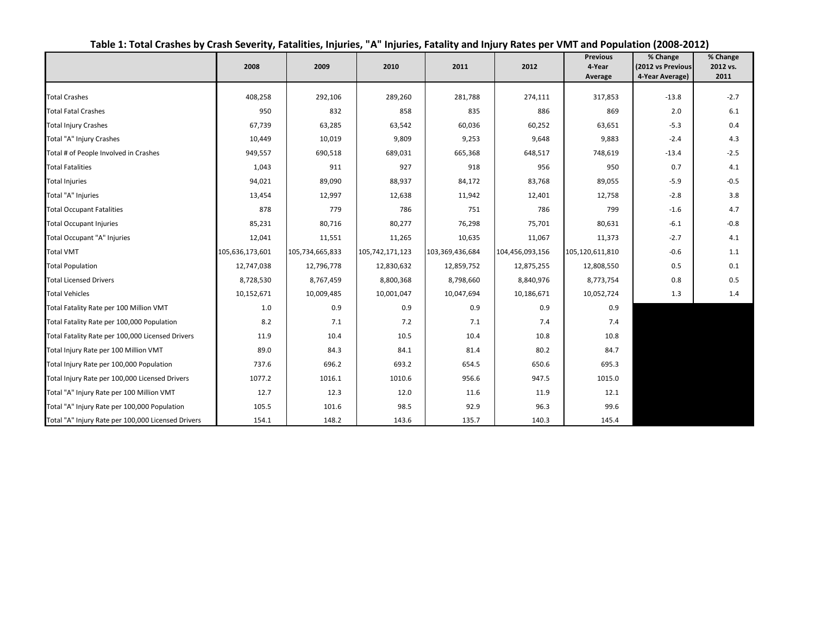<span id="page-5-0"></span>

|                                                    | 2008            | 2009            | 2010            | 2011            | 2012            | <b>Previous</b><br>4-Year<br>Average | % Change<br>(2012 vs Previous<br>4-Year Average) | % Change<br>2012 vs.<br>2011 |
|----------------------------------------------------|-----------------|-----------------|-----------------|-----------------|-----------------|--------------------------------------|--------------------------------------------------|------------------------------|
|                                                    |                 |                 |                 |                 |                 |                                      |                                                  |                              |
| <b>Total Crashes</b>                               | 408,258         | 292,106         | 289,260         | 281,788         | 274,111         | 317,853                              | $-13.8$                                          | $-2.7$                       |
| <b>Total Fatal Crashes</b>                         | 950             | 832             | 858             | 835             | 886             | 869                                  | 2.0                                              | 6.1                          |
| <b>Total Injury Crashes</b>                        | 67,739          | 63,285          | 63,542          | 60,036          | 60,252          | 63,651                               | $-5.3$                                           | 0.4                          |
| Total "A" Injury Crashes                           | 10,449          | 10,019          | 9,809           | 9,253           | 9,648           | 9,883                                | $-2.4$                                           | 4.3                          |
| Total # of People Involved in Crashes              | 949,557         | 690,518         | 689,031         | 665,368         | 648,517         | 748,619                              | $-13.4$                                          | $-2.5$                       |
| <b>Total Fatalities</b>                            | 1,043           | 911             | 927             | 918             | 956             | 950                                  | 0.7                                              | 4.1                          |
| <b>Total Injuries</b>                              | 94,021          | 89,090          | 88,937          | 84,172          | 83,768          | 89,055                               | $-5.9$                                           | $-0.5$                       |
| Total "A" Injuries                                 | 13,454          | 12,997          | 12,638          | 11,942          | 12,401          | 12,758                               | $-2.8$                                           | 3.8                          |
| <b>Total Occupant Fatalities</b>                   | 878             | 779             | 786             | 751             | 786             | 799                                  | $-1.6$                                           | 4.7                          |
| <b>Total Occupant Injuries</b>                     | 85,231          | 80,716          | 80,277          | 76,298          | 75,701          | 80,631                               | $-6.1$                                           | $-0.8$                       |
| Total Occupant "A" Injuries                        | 12,041          | 11,551          | 11,265          | 10,635          | 11,067          | 11,373                               | $-2.7$                                           | 4.1                          |
| <b>Total VMT</b>                                   | 105,636,173,601 | 105,734,665,833 | 105,742,171,123 | 103,369,436,684 | 104,456,093,156 | 105,120,611,810                      | $-0.6$                                           | 1.1                          |
| <b>Total Population</b>                            | 12,747,038      | 12,796,778      | 12,830,632      | 12,859,752      | 12,875,255      | 12,808,550                           | 0.5                                              | 0.1                          |
| <b>Total Licensed Drivers</b>                      | 8,728,530       | 8,767,459       | 8,800,368       | 8,798,660       | 8,840,976       | 8,773,754                            | 0.8                                              | 0.5                          |
| <b>Total Vehicles</b>                              | 10,152,671      | 10,009,485      | 10,001,047      | 10,047,694      | 10,186,671      | 10,052,724                           | 1.3                                              | 1.4                          |
| Total Fatality Rate per 100 Million VMT            | 1.0             | 0.9             | 0.9             | 0.9             | 0.9             | 0.9                                  |                                                  |                              |
| Total Fatality Rate per 100,000 Population         | 8.2             | 7.1             | 7.2             | 7.1             | 7.4             | 7.4                                  |                                                  |                              |
| Total Fatality Rate per 100,000 Licensed Drivers   | 11.9            | 10.4            | 10.5            | 10.4            | 10.8            | 10.8                                 |                                                  |                              |
| Total Injury Rate per 100 Million VMT              | 89.0            | 84.3            | 84.1            | 81.4            | 80.2            | 84.7                                 |                                                  |                              |
| Total Injury Rate per 100,000 Population           | 737.6           | 696.2           | 693.2           | 654.5           | 650.6           | 695.3                                |                                                  |                              |
| Total Injury Rate per 100,000 Licensed Drivers     | 1077.2          | 1016.1          | 1010.6          | 956.6           | 947.5           | 1015.0                               |                                                  |                              |
| Total "A" Injury Rate per 100 Million VMT          | 12.7            | 12.3            | 12.0            | 11.6            | 11.9            | 12.1                                 |                                                  |                              |
| Total "A" Injury Rate per 100,000 Population       | 105.5           | 101.6           | 98.5            | 92.9            | 96.3            | 99.6                                 |                                                  |                              |
| Total "A" Injury Rate per 100,000 Licensed Drivers | 154.1           | 148.2           | 143.6           | 135.7           | 140.3           | 145.4                                |                                                  |                              |

### **Table 1: Total Crashes by Crash Severity, Fatalities, Injuries, "A" Injuries, Fatality and Injury Rates per VMT and Population (2008-2012)**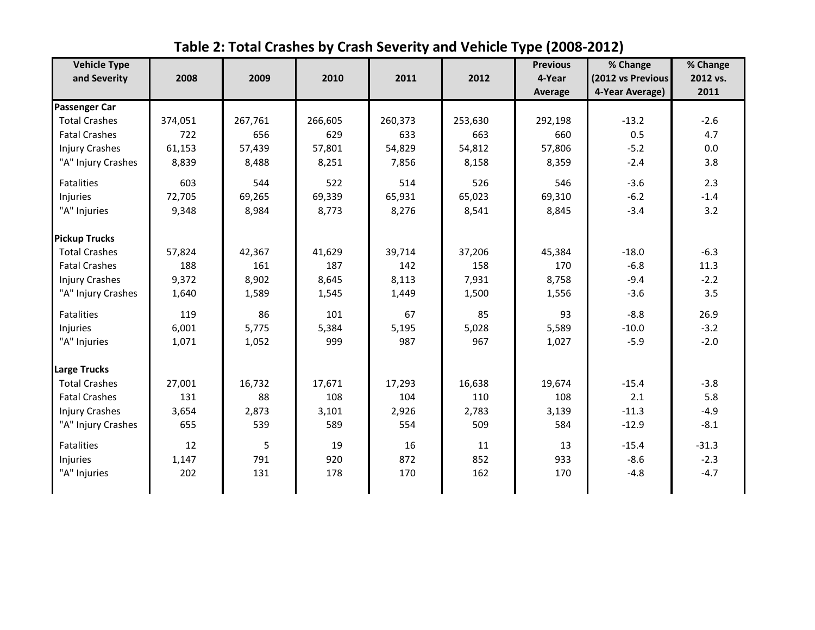<span id="page-6-0"></span>

| <b>Vehicle Type</b>   |         |         |         |         |         | <b>Previous</b>   | % Change                             | % Change         |
|-----------------------|---------|---------|---------|---------|---------|-------------------|--------------------------------------|------------------|
| and Severity          | 2008    | 2009    | 2010    | 2011    | 2012    | 4-Year<br>Average | (2012 vs Previous<br>4-Year Average) | 2012 vs.<br>2011 |
| <b>Passenger Car</b>  |         |         |         |         |         |                   |                                      |                  |
| <b>Total Crashes</b>  | 374,051 | 267,761 | 266,605 | 260,373 | 253,630 | 292,198           | $-13.2$                              | $-2.6$           |
| <b>Fatal Crashes</b>  | 722     | 656     | 629     | 633     | 663     | 660               | 0.5                                  | 4.7              |
| <b>Injury Crashes</b> | 61,153  | 57,439  | 57,801  | 54,829  | 54,812  | 57,806            | $-5.2$                               | 0.0              |
| "A" Injury Crashes    | 8,839   | 8,488   | 8,251   | 7,856   | 8,158   | 8,359             | $-2.4$                               | 3.8              |
| <b>Fatalities</b>     | 603     | 544     | 522     | 514     | 526     | 546               | $-3.6$                               | 2.3              |
| Injuries              | 72,705  | 69,265  | 69,339  | 65,931  | 65,023  | 69,310            | $-6.2$                               | $-1.4$           |
| "A" Injuries          | 9,348   | 8,984   | 8,773   | 8,276   | 8,541   | 8,845             | $-3.4$                               | 3.2              |
| <b>Pickup Trucks</b>  |         |         |         |         |         |                   |                                      |                  |
| <b>Total Crashes</b>  | 57,824  | 42,367  | 41,629  | 39,714  | 37,206  | 45,384            | $-18.0$                              | $-6.3$           |
| <b>Fatal Crashes</b>  | 188     | 161     | 187     | 142     | 158     | 170               | $-6.8$                               | 11.3             |
| <b>Injury Crashes</b> | 9,372   | 8,902   | 8,645   | 8,113   | 7,931   | 8,758             | $-9.4$                               | $-2.2$           |
| "A" Injury Crashes    | 1,640   | 1,589   | 1,545   | 1,449   | 1,500   | 1,556             | $-3.6$                               | 3.5              |
| Fatalities            | 119     | 86      | 101     | 67      | 85      | 93                | $-8.8$                               | 26.9             |
| Injuries              | 6,001   | 5,775   | 5,384   | 5,195   | 5,028   | 5,589             | $-10.0$                              | $-3.2$           |
| "A" Injuries          | 1,071   | 1,052   | 999     | 987     | 967     | 1,027             | $-5.9$                               | $-2.0$           |
| Large Trucks          |         |         |         |         |         |                   |                                      |                  |
| <b>Total Crashes</b>  | 27,001  | 16,732  | 17,671  | 17,293  | 16,638  | 19,674            | $-15.4$                              | $-3.8$           |
| <b>Fatal Crashes</b>  | 131     | 88      | 108     | 104     | 110     | 108               | 2.1                                  | 5.8              |
| <b>Injury Crashes</b> | 3,654   | 2,873   | 3,101   | 2,926   | 2,783   | 3,139             | $-11.3$                              | $-4.9$           |
| "A" Injury Crashes    | 655     | 539     | 589     | 554     | 509     | 584               | $-12.9$                              | $-8.1$           |
| <b>Fatalities</b>     | 12      | 5       | 19      | 16      | 11      | 13                | $-15.4$                              | $-31.3$          |
| Injuries              | 1,147   | 791     | 920     | 872     | 852     | 933               | $-8.6$                               | $-2.3$           |
| "A" Injuries          | 202     | 131     | 178     | 170     | 162     | 170               | $-4.8$                               | $-4.7$           |

**Table 2: Total Crashes by Crash Severity and Vehicle Type (2008-2012)**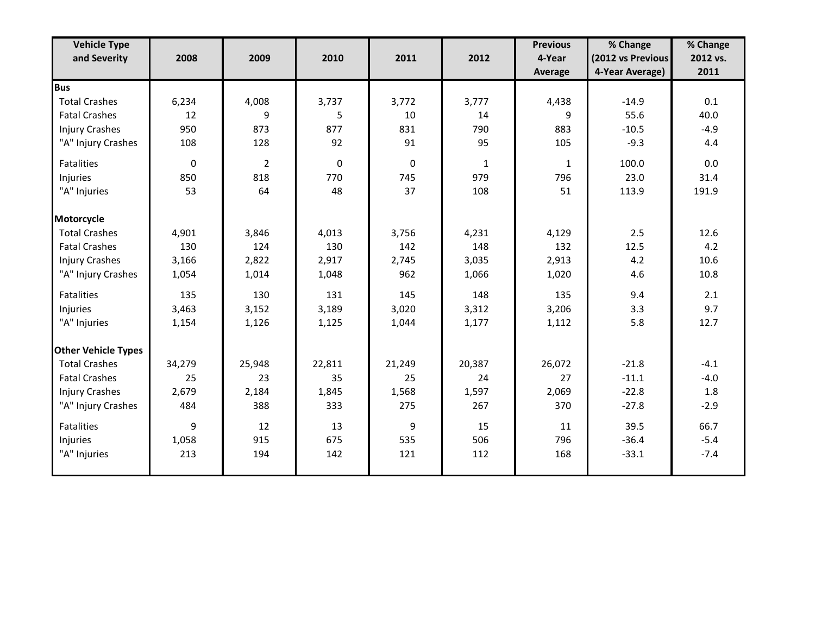| <b>Vehicle Type</b>        |        |                |              |              |              | <b>Previous</b> | % Change          | % Change |
|----------------------------|--------|----------------|--------------|--------------|--------------|-----------------|-------------------|----------|
| and Severity               | 2008   | 2009           | 2010         | 2011         | 2012         | 4-Year          | (2012 vs Previous | 2012 vs. |
|                            |        |                |              |              |              | Average         | 4-Year Average)   | 2011     |
| <b>Bus</b>                 |        |                |              |              |              |                 |                   |          |
| <b>Total Crashes</b>       | 6,234  | 4,008          | 3,737        | 3,772        | 3,777        | 4,438           | $-14.9$           | 0.1      |
| <b>Fatal Crashes</b>       | 12     | 9              | 5            | 10           | 14           | q               | 55.6              | 40.0     |
| <b>Injury Crashes</b>      | 950    | 873            | 877          | 831          | 790          | 883             | $-10.5$           | $-4.9$   |
| "A" Injury Crashes         | 108    | 128            | 92           | 91           | 95           | 105             | $-9.3$            | 4.4      |
| Fatalities                 | 0      | $\overline{2}$ | $\mathbf{0}$ | $\mathbf{0}$ | $\mathbf{1}$ | 1               | 100.0             | 0.0      |
| Injuries                   | 850    | 818            | 770          | 745          | 979          | 796             | 23.0              | 31.4     |
| "A" Injuries               | 53     | 64             | 48           | 37           | 108          | 51              | 113.9             | 191.9    |
| Motorcycle                 |        |                |              |              |              |                 |                   |          |
| <b>Total Crashes</b>       | 4,901  | 3,846          | 4,013        | 3,756        | 4,231        | 4,129           | 2.5               | 12.6     |
| <b>Fatal Crashes</b>       | 130    | 124            | 130          | 142          | 148          | 132             | 12.5              | 4.2      |
| <b>Injury Crashes</b>      | 3,166  | 2,822          | 2,917        | 2,745        | 3,035        | 2,913           | 4.2               | 10.6     |
| "A" Injury Crashes         | 1,054  | 1,014          | 1,048        | 962          | 1,066        | 1,020           | 4.6               | 10.8     |
| Fatalities                 | 135    | 130            | 131          | 145          | 148          | 135             | 9.4               | 2.1      |
| Injuries                   | 3,463  | 3,152          | 3,189        | 3,020        | 3,312        | 3,206           | 3.3               | 9.7      |
| "A" Injuries               | 1,154  | 1,126          | 1,125        | 1,044        | 1,177        | 1,112           | 5.8               | 12.7     |
| <b>Other Vehicle Types</b> |        |                |              |              |              |                 |                   |          |
| <b>Total Crashes</b>       | 34,279 | 25,948         | 22,811       | 21,249       | 20,387       | 26,072          | $-21.8$           | $-4.1$   |
| <b>Fatal Crashes</b>       | 25     | 23             | 35           | 25           | 24           | 27              | $-11.1$           | $-4.0$   |
| <b>Injury Crashes</b>      | 2,679  | 2,184          | 1,845        | 1,568        | 1,597        | 2,069           | $-22.8$           | 1.8      |
| "A" Injury Crashes         | 484    | 388            | 333          | 275          | 267          | 370             | $-27.8$           | $-2.9$   |
| Fatalities                 | 9      | 12             | 13           | 9            | 15           | 11              | 39.5              | 66.7     |
| Injuries                   | 1,058  | 915            | 675          | 535          | 506          | 796             | $-36.4$           | $-5.4$   |
| "A" Injuries               | 213    | 194            | 142          | 121          | 112          | 168             | $-33.1$           | $-7.4$   |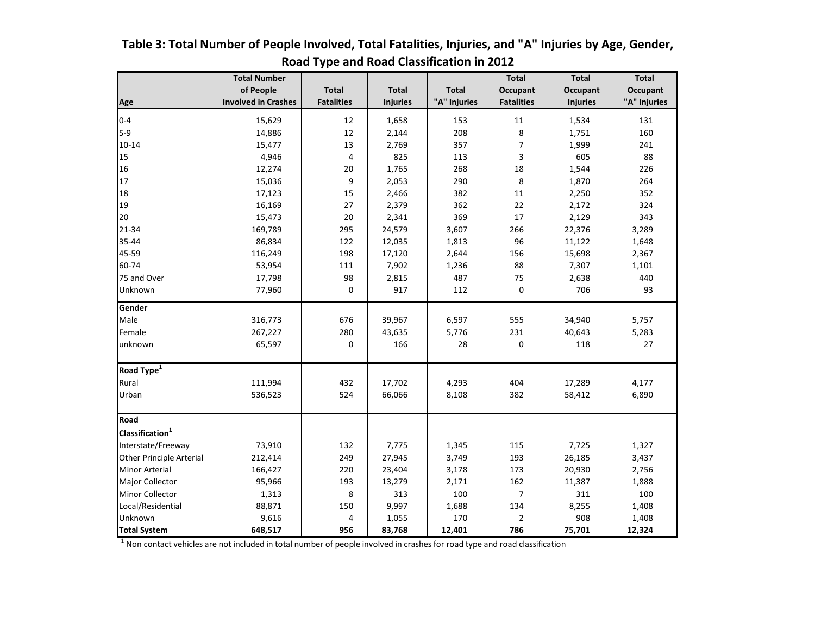|                                 | <b>Total Number</b>        |                   |                 |              | <b>Total</b>      | <b>Total</b>    | <b>Total</b> |
|---------------------------------|----------------------------|-------------------|-----------------|--------------|-------------------|-----------------|--------------|
|                                 | of People                  | <b>Total</b>      | <b>Total</b>    | <b>Total</b> | <b>Occupant</b>   | <b>Occupant</b> | Occupant     |
| Age                             | <b>Involved in Crashes</b> | <b>Fatalities</b> | <b>Injuries</b> | "A" Injuries | <b>Fatalities</b> | <b>Injuries</b> | "A" Injuries |
| $0 - 4$                         | 15,629                     | 12                | 1,658           | 153          | 11                | 1,534           | 131          |
| $5-9$                           | 14,886                     | 12                | 2,144           | 208          | 8                 | 1,751           | 160          |
| $10 - 14$                       | 15,477                     | 13                | 2,769           | 357          | 7                 | 1,999           | 241          |
| 15                              | 4,946                      | 4                 | 825             | 113          | 3                 | 605             | 88           |
| 16                              | 12,274                     | 20                | 1,765           | 268          | 18                | 1,544           | 226          |
| 17                              | 15,036                     | 9                 | 2,053           | 290          | 8                 | 1,870           | 264          |
| 18                              | 17,123                     | 15                | 2,466           | 382          | $11\,$            | 2,250           | 352          |
| 19                              | 16,169                     | 27                | 2,379           | 362          | 22                | 2,172           | 324          |
| 20                              | 15,473                     | 20                | 2,341           | 369          | 17                | 2,129           | 343          |
| 21-34                           | 169,789                    | 295               | 24,579          | 3,607        | 266               | 22,376          | 3,289        |
| 35-44                           | 86,834                     | 122               | 12,035          | 1,813        | 96                | 11,122          | 1,648        |
| 45-59                           | 116,249                    | 198               | 17,120          | 2,644        | 156               | 15,698          | 2,367        |
| 60-74                           | 53,954                     | 111               | 7,902           | 1,236        | 88                | 7,307           | 1,101        |
| 75 and Over                     | 17,798                     | 98                | 2,815           | 487          | 75                | 2,638           | 440          |
| Unknown                         | 77,960                     | $\mathbf 0$       | 917             | 112          | 0                 | 706             | 93           |
| Gender                          |                            |                   |                 |              |                   |                 |              |
| Male                            | 316,773                    | 676               | 39,967          | 6,597        | 555               | 34,940          | 5,757        |
| Female                          | 267,227                    | 280               | 43,635          | 5,776        | 231               | 40,643          | 5,283        |
| unknown                         | 65,597                     | 0                 | 166             | 28           | 0                 | 118             | 27           |
| Road Type <sup>1</sup>          |                            |                   |                 |              |                   |                 |              |
| Rural                           | 111,994                    | 432               | 17,702          | 4,293        | 404               | 17,289          | 4,177        |
| Urban                           | 536,523                    | 524               | 66,066          | 8,108        | 382               | 58,412          | 6,890        |
| Road                            |                            |                   |                 |              |                   |                 |              |
| Classification <sup>1</sup>     |                            |                   |                 |              |                   |                 |              |
| Interstate/Freeway              | 73,910                     | 132               | 7,775           | 1,345        | 115               | 7,725           | 1,327        |
| <b>Other Principle Arterial</b> | 212,414                    | 249               | 27,945          | 3,749        | 193               | 26,185          | 3,437        |
| Minor Arterial                  | 166,427                    | 220               | 23,404          | 3,178        | 173               | 20,930          | 2,756        |
| Major Collector                 | 95,966                     | 193               | 13,279          | 2,171        | 162               | 11,387          | 1,888        |
| Minor Collector                 | 1,313                      | 8                 | 313             | 100          | $\overline{7}$    | 311             | 100          |
| Local/Residential               | 88,871                     | 150               | 9,997           | 1,688        | 134               | 8,255           | 1,408        |
| Unknown                         | 9,616                      | 4                 | 1,055           | 170          | $\overline{2}$    | 908             | 1,408        |
| <b>Total System</b>             | 648,517                    | 956               | 83,768          | 12,401       | 786               | 75,701          | 12,324       |

### <span id="page-8-0"></span>**Table 3: Total Number of People Involved, Total Fatalities, Injuries, and "A" Injuries by Age, Gender, Road Type and Road Classification in 2012**

 $^1$  Non contact vehicles are not included in total number of people involved in crashes for road type and road classification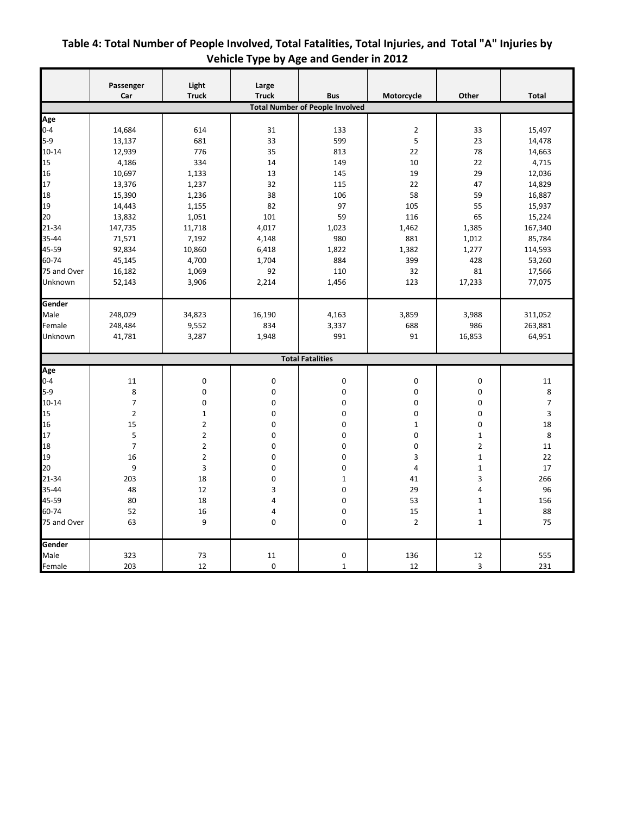|                | Passenger        | Light                   | Large        |                                                      |                | Other                   |                |
|----------------|------------------|-------------------------|--------------|------------------------------------------------------|----------------|-------------------------|----------------|
|                | Car              | <b>Truck</b>            | <b>Truck</b> | <b>Bus</b><br><b>Total Number of People Involved</b> | Motorcycle     |                         | <b>Total</b>   |
|                |                  |                         |              |                                                      |                |                         |                |
| Age<br>$0 - 4$ | 14,684           | 614                     | 31           | 133                                                  | $\overline{2}$ | 33                      | 15,497         |
| $5-9$          | 13,137           | 681                     | 33           | 599                                                  | 5              | 23                      | 14,478         |
| $10 - 14$      | 12,939           | 776                     | 35           | 813                                                  | 22             | 78                      | 14,663         |
| 15             | 4,186            | 334                     | 14           | 149                                                  | 10             | 22                      | 4,715          |
| 16             | 10,697           | 1,133                   | 13           | 145                                                  | 19             | 29                      | 12,036         |
| 17             | 13,376           | 1,237                   | 32           | 115                                                  | 22             | 47                      | 14,829         |
| 18             | 15,390           | 1,236                   | 38           | 106                                                  | 58             | 59                      | 16,887         |
| 19             |                  |                         | 82           | 97                                                   | 105            | 55                      | 15,937         |
| 20             | 14,443<br>13,832 | 1,155<br>1,051          | 101          | 59                                                   | 116            | 65                      |                |
|                |                  |                         |              | 1,023                                                |                |                         | 15,224         |
| 21-34          | 147,735          | 11,718                  | 4,017        |                                                      | 1,462          | 1,385                   | 167,340        |
| 35-44          | 71,571           | 7,192                   | 4,148        | 980                                                  | 881            | 1,012                   | 85,784         |
| 45-59          | 92,834           | 10,860                  | 6,418        | 1,822                                                | 1,382          | 1,277                   | 114,593        |
| 60-74          | 45,145           | 4,700                   | 1,704        | 884                                                  | 399            | 428                     | 53,260         |
| 75 and Over    | 16,182           | 1,069                   | 92           | 110                                                  | 32             | 81                      | 17,566         |
| Unknown        | 52,143           | 3,906                   | 2,214        | 1,456                                                | 123            | 17,233                  | 77,075         |
| Gender         |                  |                         |              |                                                      |                |                         |                |
| Male           | 248,029          | 34,823                  | 16,190       | 4,163                                                | 3,859          | 3,988                   | 311,052        |
| Female         | 248,484          | 9,552                   | 834          | 3,337                                                | 688            | 986                     | 263,881        |
| Unknown        | 41,781           | 3,287                   | 1,948        | 991                                                  | 91             | 16,853                  | 64,951         |
|                |                  |                         |              | <b>Total Fatalities</b>                              |                |                         |                |
| Age            |                  |                         |              |                                                      |                |                         |                |
| $0 - 4$        | 11               | 0                       | $\mathbf 0$  | 0                                                    | $\mathbf 0$    | 0                       | 11             |
| $5-9$          | 8                | 0                       | $\mathbf 0$  | 0                                                    | $\mathbf 0$    | 0                       | 8              |
| $10 - 14$      | $\overline{7}$   | 0                       | 0            | 0                                                    | 0              | 0                       | $\overline{7}$ |
| 15             | $\overline{2}$   | $\mathbf{1}$            | 0            | 0                                                    | $\mathbf 0$    | $\mathbf 0$             | 3              |
| 16             | 15               | $\overline{\mathbf{c}}$ | 0            | $\mathbf 0$                                          | $\mathbf{1}$   | $\mathbf 0$             | 18             |
| 17             | 5                | 2                       | 0            | $\mathbf 0$                                          | 0              | $1\,$                   | 8              |
| 18             | $\overline{7}$   | $\overline{2}$          | 0            | $\mathbf 0$                                          | 0              | $\overline{\mathbf{c}}$ | 11             |
| 19             | 16               | $\overline{2}$          | 0            | 0                                                    | 3              | $1\,$                   | 22             |
| 20             | 9                | 3                       | 0            | $\mathbf 0$                                          | $\overline{4}$ | $\mathbf 1$             | 17             |
| 21-34          | 203              | 18                      | 0            | $\mathbf{1}$                                         | 41             | 3                       | 266            |
| 35-44          | 48               | 12                      | 3            | $\mathbf 0$                                          | 29             | 4                       | 96             |
| 45-59          | 80               | 18                      | 4            | 0                                                    | 53             | $\mathbf 1$             | 156            |
| 60-74          | 52               | 16                      | 4            | $\mathbf 0$                                          | 15             | $\mathbf 1$             | 88             |
| 75 and Over    | 63               | 9                       | 0            | $\mathbf 0$                                          | $\overline{2}$ | $\mathbf{1}$            | 75             |
| Gender         |                  |                         |              |                                                      |                |                         |                |
| Male           | 323              | 73                      | 11           | $\pmb{0}$                                            | 136            | 12                      | 555            |
| Female         | 203              | 12                      | $\mathbf 0$  | $\mathbf 1$                                          | 12             | 3                       | 231            |

### <span id="page-9-0"></span>**Table 4: Total Number of People Involved, Total Fatalities, Total Injuries, and Total "A" Injuries by Vehicle Type by Age and Gender in 2012**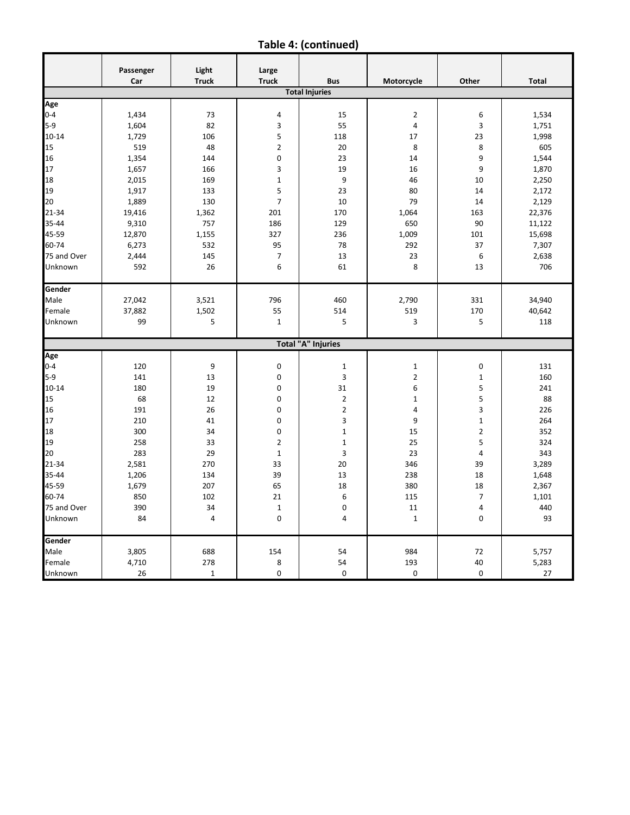**Table 4: (continued)**

|             | Passenger<br>Car | Light<br><b>Truck</b> | Large<br><b>Truck</b> | <b>Bus</b>                | Motorcycle     | Other          | <b>Total</b> |
|-------------|------------------|-----------------------|-----------------------|---------------------------|----------------|----------------|--------------|
|             |                  |                       |                       | <b>Total Injuries</b>     |                |                |              |
| Age         |                  |                       |                       |                           |                |                |              |
| $0 - 4$     | 1,434            | 73                    | 4                     | 15                        | $\overline{2}$ | 6              | 1,534        |
| $5-9$       | 1,604            | 82                    | 3                     | 55                        | $\overline{4}$ | 3              | 1,751        |
| $10 - 14$   | 1,729            | 106                   | 5                     | 118                       | 17             | 23             | 1,998        |
| 15          | 519              | 48                    | $\overline{2}$        | 20                        | 8              | 8              | 605          |
| 16          | 1,354            | 144                   | $\mathbf 0$           | 23                        | 14             | 9              | 1,544        |
| 17          | 1,657            | 166                   | 3                     | 19                        | 16             | 9              | 1,870        |
| 18          | 2,015            | 169                   | $\mathbf 1$           | 9                         | 46             | 10             | 2,250        |
| 19          | 1,917            | 133                   | 5                     | 23                        | 80             | 14             | 2,172        |
| 20          | 1,889            | 130                   | $\overline{7}$        | 10                        | 79             | 14             | 2,129        |
| 21-34       | 19,416           | 1,362                 | 201                   | 170                       | 1,064          | 163            | 22,376       |
| 35-44       | 9,310            | 757                   | 186                   | 129                       | 650            | 90             | 11,122       |
| 45-59       | 12,870           | 1,155                 | 327                   | 236                       | 1,009          | 101            | 15,698       |
| 60-74       | 6,273            | 532                   | 95                    | 78                        | 292            | 37             | 7,307        |
| 75 and Over | 2,444            | 145                   | $\overline{7}$        | 13                        | 23             | 6              | 2,638        |
| Unknown     | 592              | 26                    | 6                     | 61                        | 8              | 13             | 706          |
|             |                  |                       |                       |                           |                |                |              |
| Gender      |                  |                       |                       |                           |                |                |              |
| Male        | 27,042           | 3,521                 | 796                   | 460                       | 2,790          | 331            | 34,940       |
| Female      | 37,882           | 1,502                 | 55                    | 514                       | 519            | 170            | 40,642       |
| Unknown     | 99               | 5                     | $\mathbf{1}$          | 5                         | 3              | 5              | 118          |
|             |                  |                       |                       | <b>Total "A" Injuries</b> |                |                |              |
| Age         |                  |                       |                       |                           |                |                |              |
| $0 - 4$     | 120              | 9                     | 0                     | $\mathbf 1$               | $\mathbf 1$    | 0              | 131          |
| $5-9$       | 141              | 13                    | 0                     | 3                         | $\overline{2}$ | $\mathbf 1$    | 160          |
| $10 - 14$   | 180              | 19                    | $\mathbf 0$           | 31                        | 6              | 5              | 241          |
| 15          | 68               | 12                    | 0                     | $\overline{2}$            | $\mathbf 1$    | 5              | 88           |
| 16          | 191              | 26                    | 0                     | $\mathbf 2$               | 4              | 3              | 226          |
| 17          | 210              | 41                    | $\mathbf 0$           | 3                         | 9              | $\mathbf 1$    | 264          |
| 18          | 300              | 34                    | $\mathbf 0$           | $\mathbf{1}$              | 15             | $\mathbf 2$    | 352          |
| 19          | 258              | 33                    | $\overline{2}$        | $\mathbf{1}$              | 25             | 5              | 324          |
| 20          | 283              | 29                    | $1\,$                 | 3                         | 23             | 4              | 343          |
| 21-34       | 2,581            | 270                   | 33                    | 20                        | 346            | 39             | 3,289        |
| 35-44       | 1,206            | 134                   | 39                    | 13                        | 238            | 18             | 1,648        |
| 45-59       | 1,679            | 207                   | 65                    | 18                        | 380            | 18             | 2,367        |
| 60-74       | 850              | 102                   | 21                    | 6                         | 115            | $\overline{7}$ | 1,101        |
| 75 and Over | 390              | 34                    | $\mathbf{1}$          | 0                         | 11             | 4              | 440          |
| Unknown     | 84               | 4                     | $\mathbf 0$           | $\overline{4}$            | $\mathbf 1$    | $\mathbf 0$    | 93           |
| Gender      |                  |                       |                       |                           |                |                |              |
| Male        | 3,805            | 688                   | 154                   | 54                        | 984            | 72             | 5,757        |
| Female      | 4,710            | 278                   | 8                     | 54                        | 193            | 40             | 5,283        |
| Unknown     | 26               | $\mathbf{1}$          | 0                     | $\mathbf 0$               | 0              | $\mathbf 0$    | 27           |
|             |                  |                       |                       |                           |                |                |              |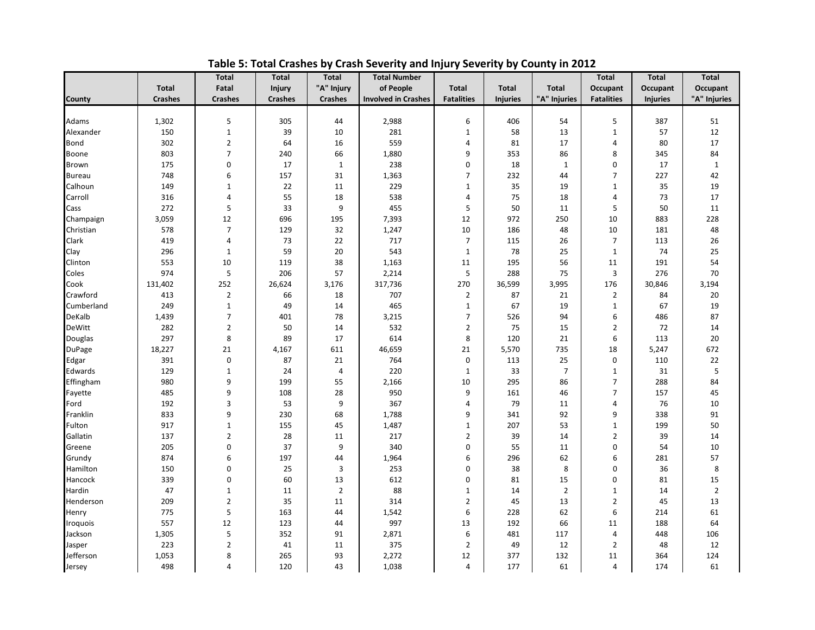<span id="page-11-0"></span>

|                 |                | <b>Total</b>            | <b>Total</b>   | <b>Total</b>   | <b>Total Number</b>        |                   |                 |                | <b>Total</b>      | <b>Total</b>    | <b>Total</b>   |
|-----------------|----------------|-------------------------|----------------|----------------|----------------------------|-------------------|-----------------|----------------|-------------------|-----------------|----------------|
|                 | <b>Total</b>   | Fatal                   | <b>Injury</b>  | "A" Injury     | of People                  | <b>Total</b>      | <b>Total</b>    | <b>Total</b>   | Occupant          | Occupant        | Occupant       |
| County          | <b>Crashes</b> | <b>Crashes</b>          | <b>Crashes</b> | <b>Crashes</b> | <b>Involved in Crashes</b> | <b>Fatalities</b> | <b>Injuries</b> | "A" Injuries   | <b>Fatalities</b> | <b>Injuries</b> | "A" Injuries   |
|                 |                |                         |                |                |                            |                   |                 |                |                   |                 |                |
| Adams           | 1,302          | 5                       | 305            | 44             | 2,988                      | 6                 | 406             | 54             | 5                 | 387             | 51             |
| Alexander       | 150            | $\mathbf 1$             | 39             | 10             | 281                        | $\mathbf{1}$      | 58              | 13             | $\mathbf{1}$      | 57              | 12             |
| Bond            | 302            | $\mathbf{2}$            | 64             | 16             | 559                        | 4                 | 81              | 17             | 4                 | 80              | 17             |
| Boone           | 803            | $\overline{7}$          | 240            | 66             | 1,880                      | 9                 | 353             | 86             | 8                 | 345             | 84             |
| Brown           | 175            | 0                       | 17             | $\mathbf{1}$   | 238                        | 0                 | 18              | $1\,$          | 0                 | 17              | $1\,$          |
| <b>Bureau</b>   | 748            | 6                       | 157            | 31             | 1,363                      | $\overline{7}$    | 232             | 44             | $\overline{7}$    | 227             | 42             |
| Calhoun         | 149            | $\mathbf 1$             | 22             | 11             | 229                        | $\mathbf 1$       | 35              | 19             | $\mathbf{1}$      | 35              | 19             |
| Carroll         | 316            | $\overline{\mathbf{4}}$ | 55             | 18             | 538                        | $\overline{4}$    | 75              | 18             | 4                 | 73              | 17             |
| Cass            | 272            | 5                       | 33             | 9              | 455                        | 5                 | 50              | 11             | 5                 | 50              | 11             |
| Champaign       | 3,059          | 12                      | 696            | 195            | 7,393                      | 12                | 972             | 250            | 10                | 883             | 228            |
| Christian       | 578            | $\overline{7}$          | 129            | 32             | 1,247                      | 10                | 186             | 48             | 10                | 181             | 48             |
| Clark           | 419            | $\overline{4}$          | 73             | 22             | 717                        | $\overline{7}$    | 115             | 26             | $\overline{7}$    | 113             | 26             |
| Clay            | 296            | $\mathbf{1}$            | 59             | 20             | 543                        | 1                 | 78              | 25             | $\mathbf{1}$      | 74              | 25             |
| Clinton         | 553            | 10                      | 119            | 38             | 1,163                      | 11                | 195             | 56             | 11                | 191             | 54             |
| Coles           | 974            | 5                       | 206            | 57             | 2,214                      | 5                 | 288             | 75             | 3                 | 276             | 70             |
| Cook            | 131,402        | 252                     | 26,624         | 3,176          | 317,736                    | 270               | 36,599          | 3,995          | 176               | 30,846          | 3,194          |
| Crawford        | 413            | $\overline{2}$          | 66             | 18             | 707                        | $\overline{2}$    | 87              | 21             | 2                 | 84              | 20             |
| Cumberland      | 249            | $\mathbf 1$             | 49             | 14             | 465                        | $\mathbf{1}$      | 67              | 19             | $1\,$             | 67              | 19             |
| <b>DeKalb</b>   | 1,439          | $\overline{7}$          | 401            | 78             | 3,215                      | $\overline{7}$    | 526             | 94             | 6                 | 486             | 87             |
| <b>DeWitt</b>   | 282            | $\overline{2}$          | 50             | 14             | 532                        | $\overline{2}$    | 75              | 15             | 2                 | 72              | 14             |
| Douglas         | 297            | 8                       | 89             | 17             | 614                        | 8                 | 120             | 21             | 6                 | 113             | 20             |
| <b>DuPage</b>   | 18,227         | 21                      | 4,167          | 611            | 46,659                     | 21                | 5,570           | 735            | 18                | 5,247           | 672            |
| Edgar           | 391            | 0                       | 87             | 21             | 764                        | $\mathbf 0$       | 113             | 25             | 0                 | 110             | 22             |
| Edwards         | 129            | $\mathbf 1$             | 24             | $\overline{4}$ | 220                        | $\mathbf{1}$      | 33              | $\overline{7}$ | $\mathbf{1}$      | 31              | 5              |
| Effingham       | 980            | 9                       | 199            | 55             | 2,166                      | 10                | 295             | 86             | $\overline{7}$    | 288             | 84             |
| Fayette         | 485            | 9                       | 108            | 28             | 950                        | 9                 | 161             | 46             | 7                 | 157             | 45             |
| Ford            | 192            | 3                       | 53             | 9              | 367                        | 4                 | 79              | 11             | $\overline{4}$    | 76              | 10             |
| Franklin        | 833            | 9                       | 230            | 68             | 1,788                      | 9                 | 341             | 92             | 9                 | 338             | 91             |
| Fulton          | 917            | $\mathbf 1$             | 155            | 45             | 1,487                      | $\mathbf{1}$      | 207             | 53             | $\mathbf{1}$      | 199             | 50             |
| Gallatin        | 137            | $\overline{2}$          | 28             | 11             | 217                        | $\overline{2}$    | 39              | 14             | $\overline{2}$    | 39              | 14             |
| Greene          | 205            | $\pmb{0}$               | 37             | 9              | 340                        | $\mathbf 0$       | 55              | 11             | 0                 | 54              | 10             |
| Grundy          | 874            | 6                       | 197            | 44             | 1,964                      | 6                 | 296             | 62             | 6                 | 281             | 57             |
| Hamilton        | 150            | $\pmb{0}$               | 25             | 3              | 253                        | $\mathbf 0$       | 38              | 8              | 0                 | 36              | 8              |
| Hancock         | 339            | $\pmb{0}$               | 60             | 13             | 612                        | $\mathbf 0$       | 81              | 15             | $\pmb{0}$         | 81              | 15             |
| Hardin          | 47             | $\mathbf 1$             | 11             | $\overline{2}$ | 88                         | $\mathbf 1$       | 14              | $\overline{2}$ | $\mathbf{1}$      | 14              | $\overline{2}$ |
| Henderson       | 209            | $\overline{2}$          | 35             | 11             | 314                        | $\overline{2}$    | 45              | 13             | $\overline{2}$    | 45              | 13             |
|                 | 775            | 5                       | 163            | 44             | 1,542                      | 6                 | 228             | 62             | 6                 | 214             | 61             |
| Henry           |                |                         |                |                |                            |                   |                 |                |                   |                 |                |
| <b>Iroquois</b> | 557            | 12                      | 123            | 44             | 997                        | 13<br>6           | 192             | 66             | 11                | 188             | 64             |
| Jackson         | 1,305          | 5                       | 352            | 91             | 2,871                      |                   | 481             | 117            | $\overline{4}$    | 448             | 106            |
| Jasper          | 223            | $\overline{2}$          | 41             | 11             | 375                        | $\overline{2}$    | 49              | 12             | $\overline{2}$    | 48              | 12             |
| Jefferson       | 1,053          | 8                       | 265            | 93             | 2,272                      | 12                | 377             | 132            | 11                | 364             | 124            |
| Jersey          | 498            | 4                       | 120            | 43             | 1,038                      | 4                 | 177             | 61             | 4                 | 174             | 61             |

**Table 5: Total Crashes by Crash Severity and Injury Severity by County in 2012**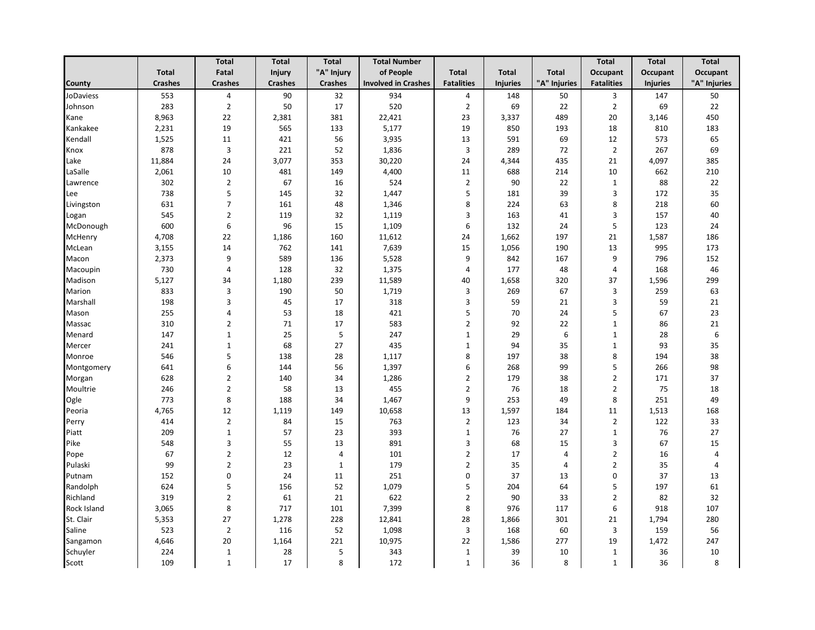|                  |                | <b>Total</b>            | <b>Total</b>   | <b>Total</b>   | <b>Total Number</b>        |                         |                 |              | <b>Total</b>      | <b>Total</b>    | <b>Total</b>   |
|------------------|----------------|-------------------------|----------------|----------------|----------------------------|-------------------------|-----------------|--------------|-------------------|-----------------|----------------|
|                  | <b>Total</b>   | Fatal                   | Injury         | "A" Injury     | of People                  | <b>Total</b>            | <b>Total</b>    | <b>Total</b> | Occupant          | Occupant        | Occupant       |
| County           | <b>Crashes</b> | <b>Crashes</b>          | <b>Crashes</b> | <b>Crashes</b> | <b>Involved in Crashes</b> | <b>Fatalities</b>       | <b>Injuries</b> | "A" Injuries | <b>Fatalities</b> | <b>Injuries</b> | "A" Injuries   |
| <b>JoDaviess</b> | 553            | 4                       | 90             | 32             | 934                        | $\overline{a}$          | 148             | 50           | 3                 | 147             | 50             |
| Johnson          | 283            | $\overline{2}$          | 50             | 17             | 520                        | $\mathbf 2$             | 69              | 22           | $\overline{2}$    | 69              | 22             |
| Kane             | 8,963          | 22                      | 2,381          | 381            | 22,421                     | 23                      | 3,337           | 489          | 20                | 3,146           | 450            |
| Kankakee         | 2,231          | 19                      | 565            | 133            | 5,177                      | 19                      | 850             | 193          | 18                | 810             | 183            |
| Kendall          | 1,525          | 11                      | 421            | 56             | 3,935                      | 13                      | 591             | 69           | 12                | 573             | 65             |
| Knox             | 878            | $\overline{3}$          | 221            | 52             | 1,836                      | $\overline{3}$          | 289             | 72           | $\overline{2}$    | 267             | 69             |
| Lake             | 11,884         | 24                      | 3,077          | 353            | 30,220                     | 24                      | 4,344           | 435          | 21                | 4,097           | 385            |
| LaSalle          | 2,061          | 10                      | 481            | 149            | 4,400                      | 11                      | 688             | 214          | 10                | 662             | 210            |
| Lawrence         | 302            | $\overline{2}$          | 67             | 16             | 524                        | $\overline{2}$          | 90              | 22           | $\mathbf{1}$      | 88              | 22             |
| Lee              | 738            | 5                       | 145            | 32             | 1,447                      | 5                       | 181             | 39           | 3                 | 172             | 35             |
| Livingston       | 631            | $\overline{7}$          | 161            | 48             | 1,346                      | 8                       | 224             | 63           | 8                 | 218             | 60             |
| Logan            | 545            | $\mathbf 2$             | 119            | 32             | 1,119                      | $\mathsf 3$             | 163             | 41           | 3                 | 157             | 40             |
| McDonough        | 600            | 6                       | 96             | 15             | 1,109                      | 6                       | 132             | 24           | 5                 | 123             | 24             |
| McHenry          | 4,708          | 22                      | 1,186          | 160            | 11,612                     | 24                      | 1,662           | 197          | 21                | 1,587           | 186            |
| McLean           | 3,155          | 14                      | 762            | 141            | 7,639                      | 15                      | 1,056           | 190          | 13                | 995             | 173            |
| Macon            | 2,373          | 9                       | 589            | 136            | 5,528                      | 9                       | 842             | 167          | 9                 | 796             | 152            |
| Macoupin         | 730            | $\overline{4}$          | 128            | 32             | 1,375                      | $\overline{4}$          | 177             | 48           | $\overline{4}$    | 168             | 46             |
| Madison          | 5,127          | 34                      | 1,180          | 239            | 11,589                     | 40                      | 1,658           | 320          | 37                | 1,596           | 299            |
| Marion           | 833            | $\mathsf 3$             | 190            | 50             | 1,719                      | $\overline{\mathbf{3}}$ | 269             | 67           | 3                 | 259             | 63             |
| Marshall         | 198            | 3                       | 45             | 17             | 318                        | 3                       | 59              | 21           | 3                 | 59              | 21             |
| Mason            | 255            | $\overline{\mathbf{4}}$ | 53             | 18             | 421                        | 5                       | 70              | 24           | 5                 | 67              | 23             |
| Massac           | 310            | $\overline{2}$          | 71             | 17             | 583                        | $\sqrt{2}$              | 92              | 22           | $\mathbf{1}$      | 86              | 21             |
| Menard           | 147            | $\mathbf{1}$            | 25             | 5              | 247                        | $\mathbf{1}$            | 29              | 6            | 1                 | 28              | 6              |
| Mercer           | 241            | $\mathbf{1}$            | 68             | 27             | 435                        | $\mathbf{1}$            | 94              | 35           | $\mathbf{1}$      | 93              | 35             |
| Monroe           | 546            | 5                       | 138            | 28             | 1,117                      | $\,8\,$                 | 197             | 38           | 8                 | 194             | 38             |
| Montgomery       | 641            | $\,6\,$                 | 144            | 56             | 1,397                      | 6                       | 268             | 99           | 5                 | 266             | 98             |
| Morgan           | 628            | $\overline{2}$          | 140            | 34             | 1,286                      | $\overline{2}$          | 179             | 38           | $\overline{2}$    | 171             | 37             |
| Moultrie         | 246            | $\overline{2}$          | 58             | 13             | 455                        | $\overline{2}$          | 76              | 18           | $\overline{2}$    | 75              | 18             |
| Ogle             | 773            | 8                       | 188            | 34             | 1,467                      | 9                       | 253             | 49           | 8                 | 251             | 49             |
| Peoria           | 4,765          | 12                      | 1,119          | 149            | 10,658                     | 13                      | 1,597           | 184          | 11                | 1,513           | 168            |
| Perry            | 414            | $\overline{2}$          | 84             | 15             | 763                        | $\overline{2}$          | 123             | 34           | $\overline{2}$    | 122             | 33             |
| Piatt            | 209            | $\mathbf{1}$            | 57             | 23             | 393                        | $\mathbf{1}$            | 76              | 27           | $\mathbf{1}$      | 76              | 27             |
| Pike             | 548            | 3                       | 55             | 13             | 891                        | $\overline{3}$          | 68              | 15           | 3                 | 67              | 15             |
| Pope             | 67             | $\overline{2}$          | 12             | $\overline{4}$ | 101                        | $\overline{2}$          | 17              | 4            | $\overline{2}$    | 16              | $\sqrt{4}$     |
| Pulaski          | 99             | $\overline{2}$          | 23             | 1              | 179                        | $\overline{2}$          | 35              | 4            | $\overline{2}$    | 35              | $\overline{4}$ |
| Putnam           | 152            | $\pmb{0}$               | 24             | 11             | 251                        | $\mathbf 0$             | 37              | 13           | $\mathbf 0$       | 37              | 13             |
| Randolph         | 624            | 5                       | 156            | 52             | 1,079                      | 5                       | 204             | 64           | 5                 | 197             | 61             |
| Richland         | 319            | $\overline{2}$          | 61             | 21             | 622                        | $\mathbf 2$             | 90              | 33           | $\overline{2}$    | 82              | 32             |
| Rock Island      | 3,065          | $\bf 8$                 | 717            | 101            | 7,399                      | 8                       | 976             | 117          | 6                 | 918             | 107            |
| St. Clair        | 5,353          | 27                      | 1,278          | 228            | 12,841                     | 28                      | 1,866           | 301          | 21                | 1,794           | 280            |
| Saline           | 523            | $\overline{2}$          | 116            | 52             | 1,098                      | $\overline{3}$          | 168             | 60           | 3                 | 159             | 56             |
| Sangamon         | 4,646          | 20                      | 1,164          | 221            | 10,975                     | 22                      | 1,586           | 277          | 19                | 1,472           | 247            |
| Schuyler         | 224            | $\mathbf{1}$            | 28             | 5              | 343                        | $\mathbf{1}$            | 39              | 10           | $\mathbf{1}$      | 36              | 10             |
| Scott            | 109            | $\mathbf{1}$            | 17             | 8              | 172                        | $\mathbf{1}$            | 36              | 8            | $\mathbf{1}$      | 36              | 8              |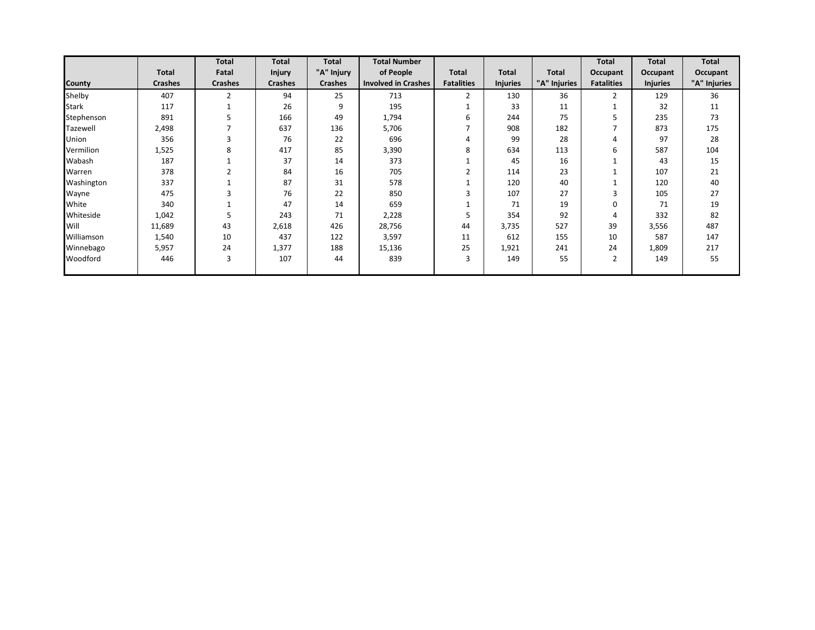|               |                | <b>Total</b>   | <b>Total</b>   | <b>Total</b>   | <b>Total Number</b>        |                   |                 |              | <b>Total</b>      | <b>Total</b>    | Total        |
|---------------|----------------|----------------|----------------|----------------|----------------------------|-------------------|-----------------|--------------|-------------------|-----------------|--------------|
|               | <b>Total</b>   | Fatal          | <b>Injury</b>  | "A" Injury     | of People                  | Total             | <b>Total</b>    | <b>Total</b> | Occupant          | Occupant        | Occupant     |
| <b>County</b> | <b>Crashes</b> | <b>Crashes</b> | <b>Crashes</b> | <b>Crashes</b> | <b>Involved in Crashes</b> | <b>Fatalities</b> | <b>Injuries</b> | "A" Injuries | <b>Fatalities</b> | <b>Injuries</b> | "A" Injuries |
| Shelby        | 407            | $\overline{2}$ | 94             | 25             | 713                        | $\overline{2}$    | 130             | 36           | $\overline{2}$    | 129             | 36           |
| <b>Stark</b>  | 117            |                | 26             | 9              | 195                        |                   | 33              | 11           |                   | 32              | 11           |
| Stephenson    | 891            |                | 166            | 49             | 1,794                      | 6                 | 244             | 75           | 5                 | 235             | 73           |
| Tazewell      | 2,498          |                | 637            | 136            | 5,706                      |                   | 908             | 182          |                   | 873             | 175          |
| Union         | 356            | 3              | 76             | 22             | 696                        | 4                 | 99              | 28           | 4                 | 97              | 28           |
| Vermilion     | 1,525          | 8              | 417            | 85             | 3,390                      | 8                 | 634             | 113          | 6                 | 587             | 104          |
| Wabash        | 187            |                | 37             | 14             | 373                        |                   | 45              | 16           |                   | 43              | 15           |
| Warren        | 378            |                | 84             | 16             | 705                        |                   | 114             | 23           |                   | 107             | 21           |
| Washington    | 337            |                | 87             | 31             | 578                        |                   | 120             | 40           |                   | 120             | 40           |
| Wayne         | 475            |                | 76             | 22             | 850                        | h                 | 107             | 27           | 3                 | 105             | 27           |
| White         | 340            |                | 47             | 14             | 659                        |                   | 71              | 19           | 0                 | 71              | 19           |
| Whiteside     | 1,042          | 5              | 243            | 71             | 2,228                      | 5                 | 354             | 92           | 4                 | 332             | 82           |
| Will          | 11,689         | 43             | 2,618          | 426            | 28,756                     | 44                | 3,735           | 527          | 39                | 3,556           | 487          |
| Williamson    | 1,540          | 10             | 437            | 122            | 3,597                      | 11                | 612             | 155          | 10                | 587             | 147          |
| Winnebago     | 5,957          | 24             | 1,377          | 188            | 15,136                     | 25                | 1,921           | 241          | 24                | 1,809           | 217          |
| Woodford      | 446            | 3              | 107            | 44             | 839                        | 3                 | 149             | 55           | 2                 | 149             | 55           |
|               |                |                |                |                |                            |                   |                 |              |                   |                 |              |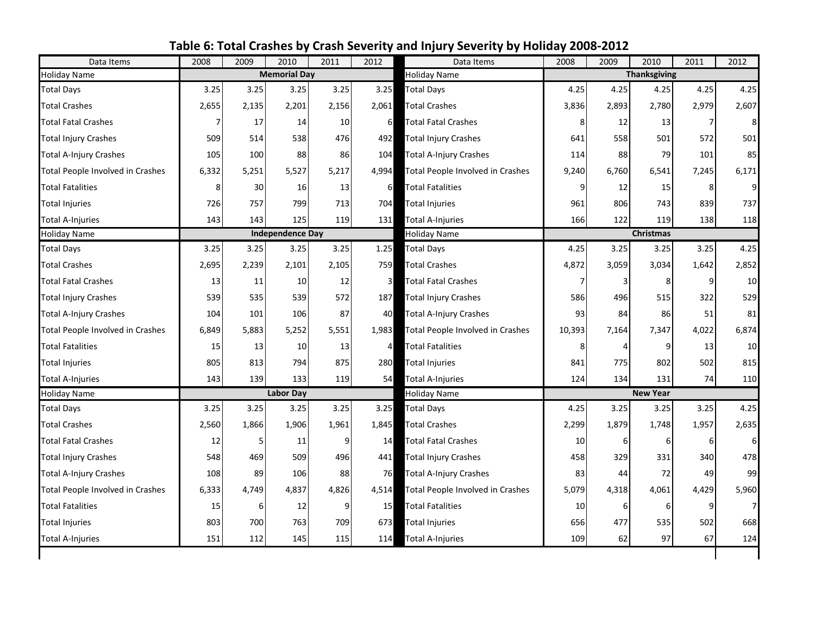<span id="page-14-0"></span>

| Data Items                       | 2008  | 2009  | 2010                    | 2011  | 2012           | Data Items                       | 2008   | 2009           | 2010                | 2011  | 2012  |
|----------------------------------|-------|-------|-------------------------|-------|----------------|----------------------------------|--------|----------------|---------------------|-------|-------|
| <b>Holiday Name</b>              |       |       | <b>Memorial Day</b>     |       |                | <b>Holiday Name</b>              |        |                | <b>Thanksgiving</b> |       |       |
| <b>Total Days</b>                | 3.25  | 3.25  | 3.25                    | 3.25  | 3.25           | <b>Total Days</b>                | 4.25   | 4.25           | 4.25                | 4.25  | 4.25  |
| <b>Total Crashes</b>             | 2,655 | 2,135 | 2,201                   | 2,156 | 2,061          | <b>Total Crashes</b>             | 3,836  | 2,893          | 2,780               | 2,979 | 2,607 |
| <b>Total Fatal Crashes</b>       |       | 17    | 14                      | 10    | 6              | <b>Total Fatal Crashes</b>       | 8      | 12             | 13                  | 7     |       |
| <b>Total Injury Crashes</b>      | 509   | 514   | 538                     | 476   | 492            | <b>Total Injury Crashes</b>      | 641    | 558            | 501                 | 572   | 501   |
| <b>Total A-Injury Crashes</b>    | 105   | 100   | 88                      | 86    | 104            | <b>Total A-Injury Crashes</b>    | 114    | 88             | 79                  | 101   | 85    |
| Total People Involved in Crashes | 6,332 | 5,251 | 5,527                   | 5,217 | 4.994          | Total People Involved in Crashes | 9,240  | 6,760          | 6,541               | 7,245 | 6,171 |
| <b>Total Fatalities</b>          | 8     | 30    | 16                      | 13    | 6              | <b>Total Fatalities</b>          | 9      | 12             | 15                  | 8     |       |
| <b>Total Injuries</b>            | 726   | 757   | 799                     | 713   | 704            | <b>Total Injuries</b>            | 961    | 806            | 743                 | 839   | 737   |
| <b>Total A-Injuries</b>          | 143   | 143   | 125                     | 119   | 131            | Total A-Injuries                 | 166    | 122            | 119                 | 138   | 118   |
| <b>Holiday Name</b>              |       |       | <b>Independence Day</b> |       |                | <b>Holiday Name</b>              |        |                | <b>Christmas</b>    |       |       |
| <b>Total Days</b>                | 3.25  | 3.25  | 3.25                    | 3.25  | 1.25           | <b>Total Days</b>                | 4.25   | 3.25           | 3.25                | 3.25  | 4.25  |
| <b>Total Crashes</b>             | 2,695 | 2,239 | 2,101                   | 2,105 | 759            | <b>Total Crashes</b>             | 4,872  | 3,059          | 3,034               | 1,642 | 2,852 |
| <b>Total Fatal Crashes</b>       | 13    | 11    | 10                      | 12    | 3              | <b>Total Fatal Crashes</b>       | 7      | 3              | 8                   | 9     | 10    |
| <b>Total Injury Crashes</b>      | 539   | 535   | 539                     | 572   | 187            | <b>Total Injury Crashes</b>      | 586    | 496            | 515                 | 322   | 529   |
| <b>Total A-Injury Crashes</b>    | 104   | 101   | 106                     | 87    | 40             | <b>Total A-Injury Crashes</b>    | 93     | 84             | 86                  | 51    | 81    |
| Total People Involved in Crashes | 6,849 | 5,883 | 5,252                   | 5,551 | 1,983          | Total People Involved in Crashes | 10,393 | 7,164          | 7,347               | 4,022 | 6,874 |
| <b>Total Fatalities</b>          | 15    | 13    | 10                      | 13    | $\overline{4}$ | <b>Total Fatalities</b>          | 8      | $\overline{A}$ | 9                   | 13    | 10    |
| <b>Total Injuries</b>            | 805   | 813   | 794                     | 875   | 280            | <b>Total Injuries</b>            | 841    | 775            | 802                 | 502   | 815   |
| <b>Total A-Injuries</b>          | 143   | 139   | 133                     | 119   | 54             | <b>Total A-Injuries</b>          | 124    | 134            | 131                 | 74    | 110   |
| <b>Holiday Name</b>              |       |       | <b>Labor Day</b>        |       |                | Holiday Name                     |        |                | <b>New Year</b>     |       |       |
| <b>Total Days</b>                | 3.25  | 3.25  | 3.25                    | 3.25  | 3.25           | <b>Total Days</b>                | 4.25   | 3.25           | 3.25                | 3.25  | 4.25  |
| <b>Total Crashes</b>             | 2,560 | 1,866 | 1,906                   | 1,961 | 1,845          | <b>Total Crashes</b>             | 2,299  | 1,879          | 1,748               | 1,957 | 2,635 |
| <b>Total Fatal Crashes</b>       | 12    | 5     | 11                      | 9     | 14             | <b>Total Fatal Crashes</b>       | 10     | 6              | 6                   | 6     |       |
| <b>Total Injury Crashes</b>      | 548   | 469   | 509                     | 496   | 441            | <b>Total Injury Crashes</b>      | 458    | 329            | 331                 | 340   | 478   |
| <b>Total A-Injury Crashes</b>    | 108   | 89    | 106                     | 88    | 76             | <b>Total A-Injury Crashes</b>    | 83     | 44             | 72                  | 49    | 99    |
| Total People Involved in Crashes | 6,333 | 4,749 | 4,837                   | 4,826 | 4,514          | Total People Involved in Crashes | 5,079  | 4,318          | 4,061               | 4,429 | 5,960 |
| <b>Total Fatalities</b>          | 15    | 6     | 12                      | 9     | 15             | <b>Total Fatalities</b>          | 10     | 6              | 6                   | 9     |       |
| <b>Total Injuries</b>            | 803   | 700   | 763                     | 709   | 673            | <b>Total Injuries</b>            | 656    | 477            | 535                 | 502   | 668   |
| <b>Total A-Injuries</b>          | 151   | 112   | 145                     | 115   | 114            | Total A-Injuries                 | 109    | 62             | 97                  | 67    | 124   |
|                                  |       |       |                         |       |                |                                  |        |                |                     |       |       |

## **Table 6: Total Crashes by Crash Severity and Injury Severity by Holiday 2008-2012**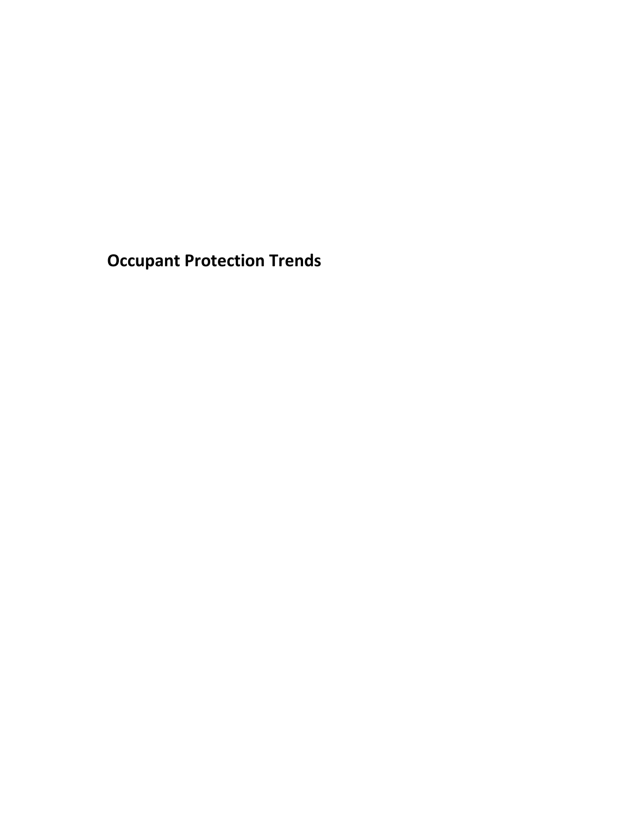<span id="page-15-0"></span>**Occupant Protection Trends**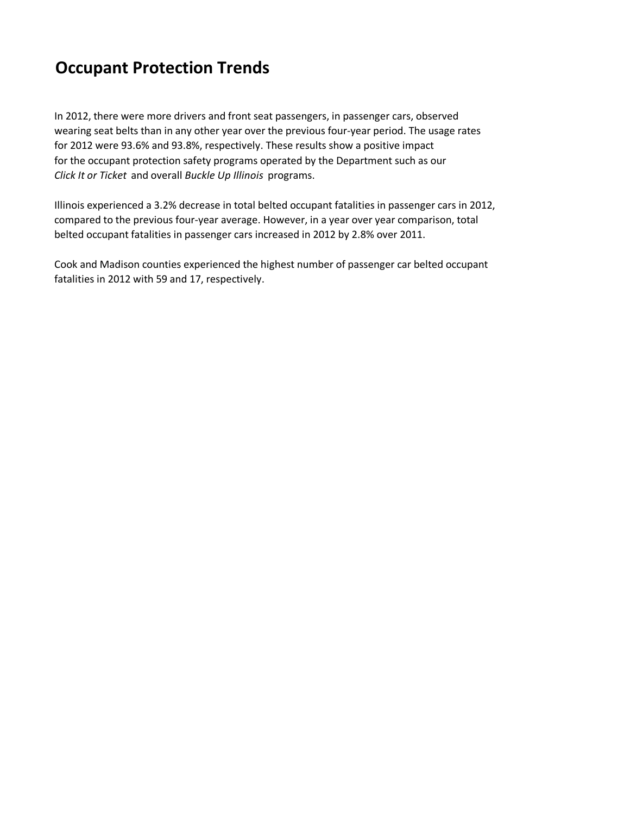# **Occupant Protection Trends**

In 2012, there were more drivers and front seat passengers, in passenger cars, observed wearing seat belts than in any other year over the previous four-year period. The usage rates for 2012 were 93.6% and 93.8%, respectively. These results show a positive impact for the occupant protection safety programs operated by the Department such as our *Click It or Ticket* and overall *Buckle Up Illinois* programs.

Illinois experienced a 3.2% decrease in total belted occupant fatalities in passenger cars in 2012, compared to the previous four-year average. However, in a year over year comparison, total belted occupant fatalities in passenger cars increased in 2012 by 2.8% over 2011.

Cook and Madison counties experienced the highest number of passenger car belted occupant fatalities in 2012 with 59 and 17, respectively.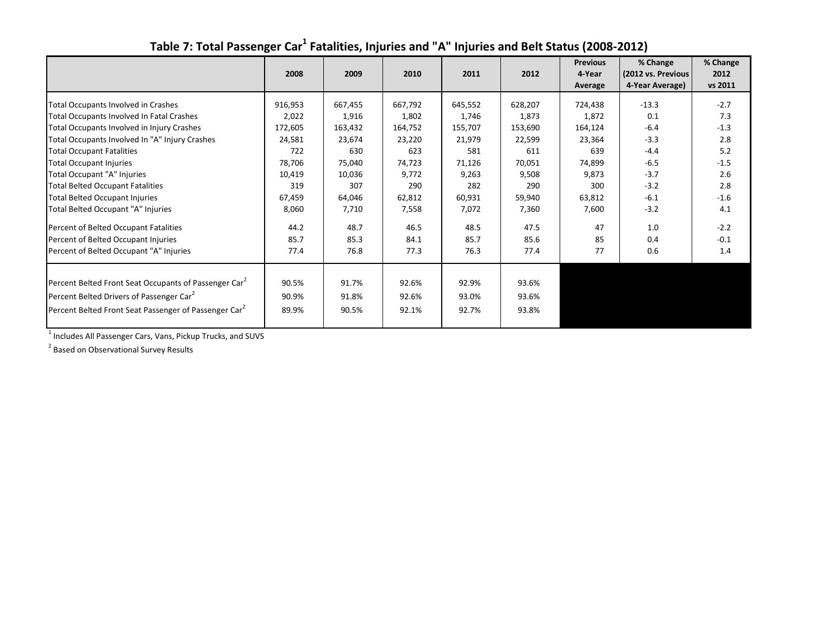<span id="page-17-0"></span>

|                                                                   |         |         |         |         |         | <b>Previous</b> | % Change           | % Change |
|-------------------------------------------------------------------|---------|---------|---------|---------|---------|-----------------|--------------------|----------|
|                                                                   | 2008    | 2009    | 2010    | 2011    | 2012    | 4-Year          | (2012 vs. Previous | 2012     |
|                                                                   |         |         |         |         |         | Average         | 4-Year Average)    | vs 2011  |
| Total Occupants Involved in Crashes                               | 916,953 | 667,455 | 667,792 | 645,552 | 628,207 | 724,438         | $-13.3$            | $-2.7$   |
| Total Occupants Involved In Fatal Crashes                         | 2,022   | 1,916   | 1,802   | 1,746   | 1,873   | 1,872           | 0.1                | 7.3      |
| Total Occupants Involved in Injury Crashes                        | 172,605 | 163,432 | 164,752 | 155,707 | 153,690 | 164,124         | $-6.4$             | $-1.3$   |
| Total Occupants Involved In "A" Injury Crashes                    | 24,581  | 23,674  | 23,220  | 21,979  | 22,599  | 23,364          | $-3.3$             | 2.8      |
| <b>Total Occupant Fatalities</b>                                  | 722     | 630     | 623     | 581     | 611     | 639             | $-4.4$             | 5.2      |
| <b>Total Occupant Injuries</b>                                    | 78,706  | 75,040  | 74,723  | 71,126  | 70,051  | 74,899          | $-6.5$             | $-1.5$   |
| Total Occupant "A" Injuries                                       | 10,419  | 10,036  | 9,772   | 9,263   | 9,508   | 9,873           | $-3.7$             | 2.6      |
| <b>Total Belted Occupant Fatalities</b>                           | 319     | 307     | 290     | 282     | 290     | 300             | $-3.2$             | 2.8      |
| <b>Total Belted Occupant Injuries</b>                             | 67,459  | 64,046  | 62,812  | 60,931  | 59,940  | 63,812          | $-6.1$             | $-1.6$   |
| Total Belted Occupant "A" Injuries                                | 8,060   | 7,710   | 7,558   | 7,072   | 7,360   | 7,600           | $-3.2$             | 4.1      |
| Percent of Belted Occupant Fatalities                             | 44.2    | 48.7    | 46.5    | 48.5    | 47.5    | 47              | 1.0                | $-2.2$   |
| Percent of Belted Occupant Injuries                               | 85.7    | 85.3    | 84.1    | 85.7    | 85.6    | 85              | 0.4                | $-0.1$   |
| Percent of Belted Occupant "A" Injuries                           | 77.4    | 76.8    | 77.3    | 76.3    | 77.4    | 77              | 0.6                | 1.4      |
|                                                                   |         |         |         |         |         |                 |                    |          |
| Percent Belted Front Seat Occupants of Passenger Car <sup>2</sup> | 90.5%   | 91.7%   | 92.6%   | 92.9%   | 93.6%   |                 |                    |          |
| Percent Belted Drivers of Passenger Car <sup>2</sup>              | 90.9%   | 91.8%   | 92.6%   | 93.0%   | 93.6%   |                 |                    |          |
| Percent Belted Front Seat Passenger of Passenger Car <sup>2</sup> | 89.9%   | 90.5%   | 92.1%   | 92.7%   | 93.8%   |                 |                    |          |

### Table 7: Total Passenger Car<sup>1</sup> Fatalities, Injuries and "A" Injuries and Belt Status (2008-2012)

<sup>1</sup> Includes All Passenger Cars, Vans, Pickup Trucks, and SUVS

<sup>2</sup> Based on Observational Survey Results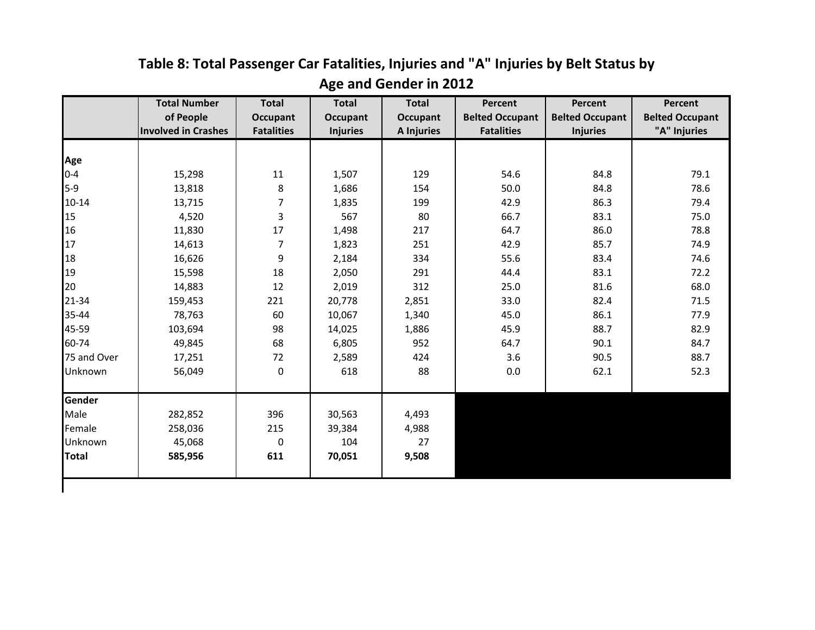<span id="page-18-0"></span>

|              | <b>Total Number</b>        | <b>Total</b>      | <b>Total</b>    | <b>Total</b>      | <b>Percent</b>         | <b>Percent</b>         | Percent                |
|--------------|----------------------------|-------------------|-----------------|-------------------|------------------------|------------------------|------------------------|
|              | of People                  | <b>Occupant</b>   | <b>Occupant</b> | Occupant          | <b>Belted Occupant</b> | <b>Belted Occupant</b> | <b>Belted Occupant</b> |
|              | <b>Involved in Crashes</b> | <b>Fatalities</b> | <b>Injuries</b> | <b>A Injuries</b> | <b>Fatalities</b>      | <b>Injuries</b>        | "A" Injuries           |
|              |                            |                   |                 |                   |                        |                        |                        |
| Age          |                            |                   |                 |                   |                        |                        |                        |
| $0 - 4$      | 15,298                     | $11\,$            | 1,507           | 129               | 54.6                   | 84.8                   | 79.1                   |
| $5-9$        | 13,818                     | 8                 | 1,686           | 154               | 50.0                   | 84.8                   | 78.6                   |
| 10-14        | 13,715                     | 7                 | 1,835           | 199               | 42.9                   | 86.3                   | 79.4                   |
| 15           | 4,520                      | 3                 | 567             | 80                | 66.7                   | 83.1                   | 75.0                   |
| 16           | 11,830                     | 17                | 1,498           | 217               | 64.7                   | 86.0                   | 78.8                   |
| 17           | 14,613                     | 7                 | 1,823           | 251               | 42.9                   | 85.7                   | 74.9                   |
| 18           | 16,626                     | 9                 | 2,184           | 334               | 55.6                   | 83.4                   | 74.6                   |
| 19           | 15,598                     | 18                | 2,050           | 291               | 44.4                   | 83.1                   | 72.2                   |
| 20           | 14,883                     | 12                | 2,019           | 312               | 25.0                   | 81.6                   | 68.0                   |
| 21-34        | 159,453                    | 221               | 20,778          | 2,851             | 33.0                   | 82.4                   | 71.5                   |
| 35-44        | 78,763                     | 60                | 10,067          | 1,340             | 45.0                   | 86.1                   | 77.9                   |
| 45-59        | 103,694                    | 98                | 14,025          | 1,886             | 45.9                   | 88.7                   | 82.9                   |
| 60-74        | 49,845                     | 68                | 6,805           | 952               | 64.7                   | 90.1                   | 84.7                   |
| 75 and Over  | 17,251                     | 72                | 2,589           | 424               | 3.6                    | 90.5                   | 88.7                   |
| Unknown      | 56,049                     | 0                 | 618             | 88                | 0.0                    | 62.1                   | 52.3                   |
| Gender       |                            |                   |                 |                   |                        |                        |                        |
| Male         | 282,852                    | 396               | 30,563          | 4,493             |                        |                        |                        |
| Female       | 258,036                    | 215               | 39,384          | 4,988             |                        |                        |                        |
| Unknown      | 45,068                     | 0                 | 104             | 27                |                        |                        |                        |
| <b>Total</b> | 585,956                    | 611               | 70,051          | 9,508             |                        |                        |                        |
|              |                            |                   |                 |                   |                        |                        |                        |

## **Table 8: Total Passenger Car Fatalities, Injuries and "A" Injuries by Belt Status by Age and Gender in 2012**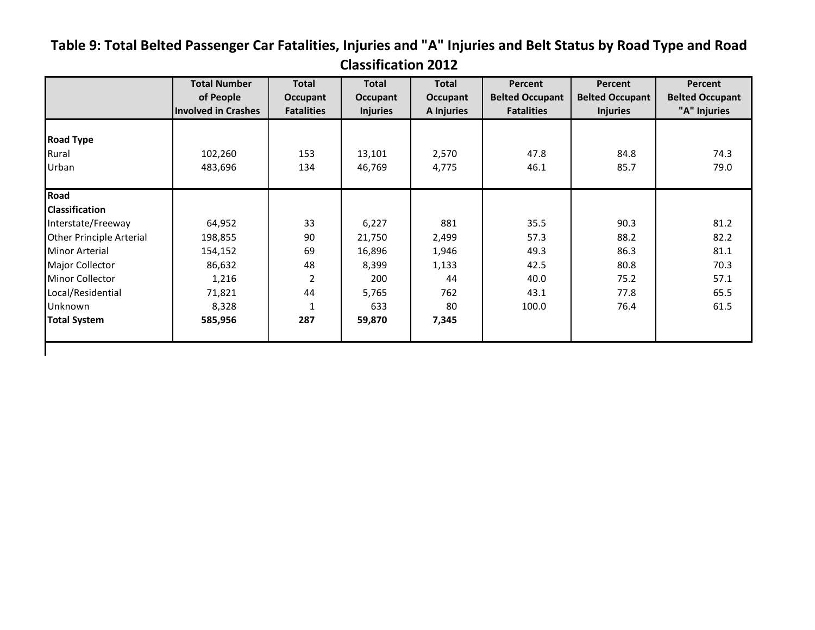## <span id="page-19-0"></span>**Table 9: Total Belted Passenger Car Fatalities, Injuries and "A" Injuries and Belt Status by Road Type and Road Classification 2012**

|                                 | <b>Total Number</b><br>of People<br><b>Involved in Crashes</b> | <b>Total</b><br>Occupant<br><b>Fatalities</b> | <b>Total</b><br>Occupant<br><b>Injuries</b> | Total<br>Occupant<br>A Injuries | Percent<br><b>Belted Occupant</b><br><b>Fatalities</b> | Percent<br><b>Belted Occupant</b><br><b>Injuries</b> | Percent<br><b>Belted Occupant</b><br>"A" Injuries |
|---------------------------------|----------------------------------------------------------------|-----------------------------------------------|---------------------------------------------|---------------------------------|--------------------------------------------------------|------------------------------------------------------|---------------------------------------------------|
|                                 |                                                                |                                               |                                             |                                 |                                                        |                                                      |                                                   |
| <b>Road Type</b>                |                                                                |                                               |                                             |                                 |                                                        |                                                      |                                                   |
| Rural                           | 102,260                                                        | 153                                           | 13,101                                      | 2,570                           | 47.8                                                   | 84.8                                                 | 74.3                                              |
| Urban                           | 483,696                                                        | 134                                           | 46,769                                      | 4,775                           | 46.1                                                   | 85.7                                                 | 79.0                                              |
| Road                            |                                                                |                                               |                                             |                                 |                                                        |                                                      |                                                   |
| <b>Classification</b>           |                                                                |                                               |                                             |                                 |                                                        |                                                      |                                                   |
| Interstate/Freeway              | 64,952                                                         | 33                                            | 6,227                                       | 881                             | 35.5                                                   | 90.3                                                 | 81.2                                              |
| <b>Other Principle Arterial</b> | 198,855                                                        | 90                                            | 21,750                                      | 2,499                           | 57.3                                                   | 88.2                                                 | 82.2                                              |
| <b>Minor Arterial</b>           | 154,152                                                        | 69                                            | 16,896                                      | 1,946                           | 49.3                                                   | 86.3                                                 | 81.1                                              |
| Major Collector                 | 86,632                                                         | 48                                            | 8,399                                       | 1,133                           | 42.5                                                   | 80.8                                                 | 70.3                                              |
| <b>Minor Collector</b>          | 1,216                                                          | 2                                             | 200                                         | 44                              | 40.0                                                   | 75.2                                                 | 57.1                                              |
| Local/Residential               | 71,821                                                         | 44                                            | 5,765                                       | 762                             | 43.1                                                   | 77.8                                                 | 65.5                                              |
| Unknown                         | 8,328                                                          | $\mathbf{1}$                                  | 633                                         | 80                              | 100.0                                                  | 76.4                                                 | 61.5                                              |
| <b>Total System</b>             | 585,956                                                        | 287                                           | 59,870                                      | 7,345                           |                                                        |                                                      |                                                   |
|                                 |                                                                |                                               |                                             |                                 |                                                        |                                                      |                                                   |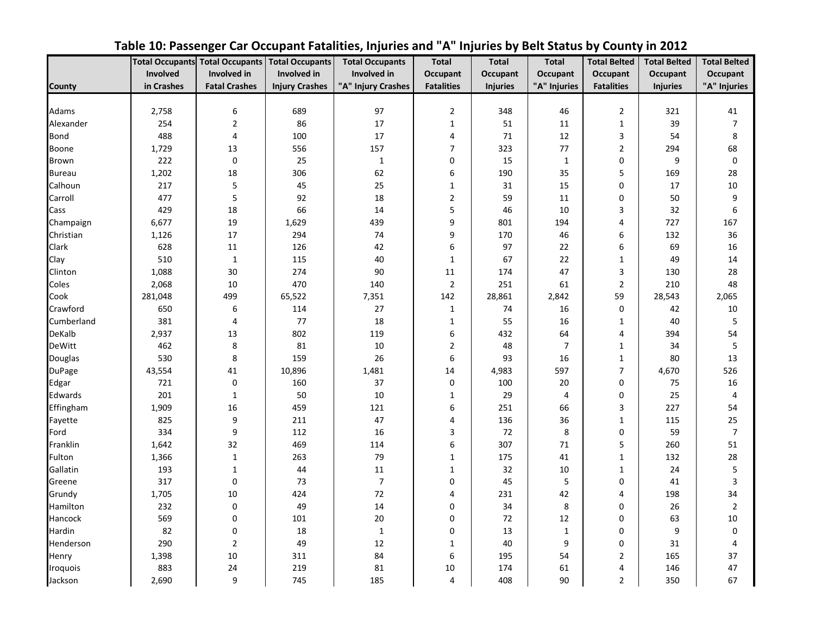<span id="page-20-0"></span>

|               |            | <b>Total Occupants Total Occupants</b> | <b>Total Occupants</b> | <b>Total Occupants</b> | <b>Total</b>      | <b>Total</b>    | <b>Total</b>    | <b>Total Belted</b>     | <b>Total Belted</b> | <b>Total Belted</b> |
|---------------|------------|----------------------------------------|------------------------|------------------------|-------------------|-----------------|-----------------|-------------------------|---------------------|---------------------|
|               | Involved   | Involved in                            | Involved in            | <b>Involved</b> in     | <b>Occupant</b>   | <b>Occupant</b> | <b>Occupant</b> | Occupant                | Occupant            | Occupant            |
| <b>County</b> | in Crashes | <b>Fatal Crashes</b>                   | <b>Injury Crashes</b>  | "A" Injury Crashes     | <b>Fatalities</b> | <b>Injuries</b> | "A" Injuries    | <b>Fatalities</b>       | <b>Injuries</b>     | "A" Injuries        |
|               |            |                                        |                        |                        |                   |                 |                 |                         |                     |                     |
| Adams         | 2,758      | 6                                      | 689                    | 97                     | $\mathbf 2$       | 348             | 46              | $\overline{2}$          | 321                 | 41                  |
| Alexander     | 254        | $\mathbf 2$                            | 86                     | 17                     | $\mathbf 1$       | 51              | 11              | $\mathbf{1}$            | 39                  | $\overline{7}$      |
| <b>Bond</b>   | 488        | 4                                      | 100                    | 17                     | 4                 | 71              | 12              | 3                       | 54                  | 8                   |
| Boone         | 1,729      | 13                                     | 556                    | 157                    | $\overline{7}$    | 323             | 77              | $\overline{\mathbf{c}}$ | 294                 | 68                  |
| Brown         | 222        | $\pmb{0}$                              | 25                     | $\mathbf 1$            | $\pmb{0}$         | 15              | $\mathbf{1}$    | $\boldsymbol{0}$        | 9                   | $\boldsymbol{0}$    |
| <b>Bureau</b> | 1,202      | 18                                     | 306                    | 62                     | 6                 | 190             | 35              | 5                       | 169                 | 28                  |
| Calhoun       | 217        | 5                                      | 45                     | 25                     | $\mathbf{1}$      | 31              | 15              | $\mathbf 0$             | 17                  | $10\,$              |
| Carroll       | 477        | 5                                      | 92                     | 18                     | $\overline{2}$    | 59              | 11              | 0                       | 50                  | 9                   |
| Cass          | 429        | 18                                     | 66                     | 14                     | 5                 | 46              | 10              | 3                       | 32                  | 6                   |
| Champaign     | 6,677      | 19                                     | 1,629                  | 439                    | 9                 | 801             | 194             | 4                       | 727                 | 167                 |
| Christian     | 1,126      | 17                                     | 294                    | 74                     | 9                 | 170             | 46              | 6                       | 132                 | 36                  |
| Clark         | 628        | 11                                     | 126                    | 42                     | 6                 | 97              | 22              | 6                       | 69                  | 16                  |
| Clay          | 510        | $\mathbf 1$                            | 115                    | 40                     | $1\,$             | 67              | 22              | $\mathbf 1$             | 49                  | 14                  |
| Clinton       | 1,088      | 30                                     | 274                    | 90                     | 11                | 174             | 47              | 3                       | 130                 | 28                  |
| Coles         | 2,068      | 10                                     | 470                    | 140                    | $\overline{2}$    | 251             | 61              | $\overline{2}$          | 210                 | 48                  |
| Cook          | 281,048    | 499                                    | 65,522                 | 7,351                  | 142               | 28,861          | 2,842           | 59                      | 28,543              | 2,065               |
| Crawford      | 650        | 6                                      | 114                    | 27                     | $\mathbf 1$       | 74              | 16              | $\boldsymbol{0}$        | 42                  | 10                  |
| Cumberland    | 381        | $\overline{4}$                         | 77                     | 18                     | $\mathbf{1}$      | 55              | 16              | $\mathbf{1}$            | 40                  | 5                   |
| DeKalb        | 2,937      | 13                                     | 802                    | 119                    | 6                 | 432             | 64              | $\overline{4}$          | 394                 | 54                  |
| <b>DeWitt</b> | 462        | $\,8\,$                                | 81                     | 10                     | $\overline{2}$    | 48              | $\overline{7}$  | $\mathbf{1}$            | 34                  | 5                   |
| Douglas       | 530        | 8                                      | 159                    | 26                     | 6                 | 93              | 16              | $\mathbf{1}$            | 80                  | 13                  |
| <b>DuPage</b> | 43,554     | 41                                     | 10,896                 | 1,481                  | 14                | 4,983           | 597             | $\overline{7}$          | 4,670               | 526                 |
| Edgar         | 721        | $\pmb{0}$                              | 160                    | 37                     | $\mathbf 0$       | 100             | 20              | 0                       | 75                  | 16                  |
| Edwards       | 201        | $\mathbf{1}$                           | 50                     | 10                     | $\mathbf{1}$      | 29              | 4               | 0                       | 25                  | $\overline{4}$      |
| Effingham     | 1,909      | 16                                     | 459                    | 121                    | 6                 | 251             | 66              | 3                       | 227                 | 54                  |
| Fayette       | 825        | 9                                      | 211                    | 47                     | 4                 | 136             | 36              | $\mathbf 1$             | 115                 | 25                  |
| Ford          | 334        | 9                                      | 112                    | 16                     | 3                 | 72              | 8               | $\mathbf 0$             | 59                  | $\overline{7}$      |
| Franklin      | 1,642      | 32                                     | 469                    | 114                    | 6                 | 307             | 71              | 5                       | 260                 | 51                  |
| Fulton        | 1,366      | $\mathbf 1$                            | 263                    | 79                     | $\mathbf{1}$      | 175             | 41              | $1\,$                   | 132                 | 28                  |
| Gallatin      | 193        | $\mathbf{1}$                           | 44                     | 11                     | $\mathbf{1}$      | 32              | 10              | $\mathbf{1}$            | 24                  | 5                   |
| Greene        | 317        | $\pmb{0}$                              | 73                     | $\overline{7}$         | 0                 | 45              | 5               | 0                       | 41                  | 3                   |
| Grundy        | 1,705      | $10\,$                                 | 424                    | 72                     | 4                 | 231             | 42              | 4                       | 198                 | 34                  |
| Hamilton      | 232        | 0                                      | 49                     | 14                     | $\mathbf 0$       | 34              | 8               | $\mathbf 0$             | 26                  | $\overline{2}$      |
| Hancock       | 569        | 0                                      | 101                    | 20                     | $\mathbf 0$       | 72              | 12              | 0                       | 63                  | 10                  |
| Hardin        | 82         | 0                                      | 18                     | $\mathbf{1}$           | $\pmb{0}$         | 13              | $\mathbf{1}$    | 0                       | 9                   | $\pmb{0}$           |
| Henderson     | 290        | $\overline{2}$                         | 49                     | 12                     | $\mathbf{1}$      | 40              | 9               | 0                       | 31                  | 4                   |
| Henry         | 1,398      | 10                                     | 311                    | 84                     | 6                 | 195             | 54              | $\overline{2}$          | 165                 | 37                  |
| Iroquois      | 883        | 24                                     | 219                    | 81                     | 10                | 174             | 61              | 4                       | 146                 | 47                  |
| Jackson       | 2,690      | 9                                      | 745                    | 185                    | 4                 | 408             | 90              | $\overline{2}$          | 350                 | 67                  |

## **Table 10: Passenger Car Occupant Fatalities, Injuries and "A" Injuries by Belt Status by County in 2012**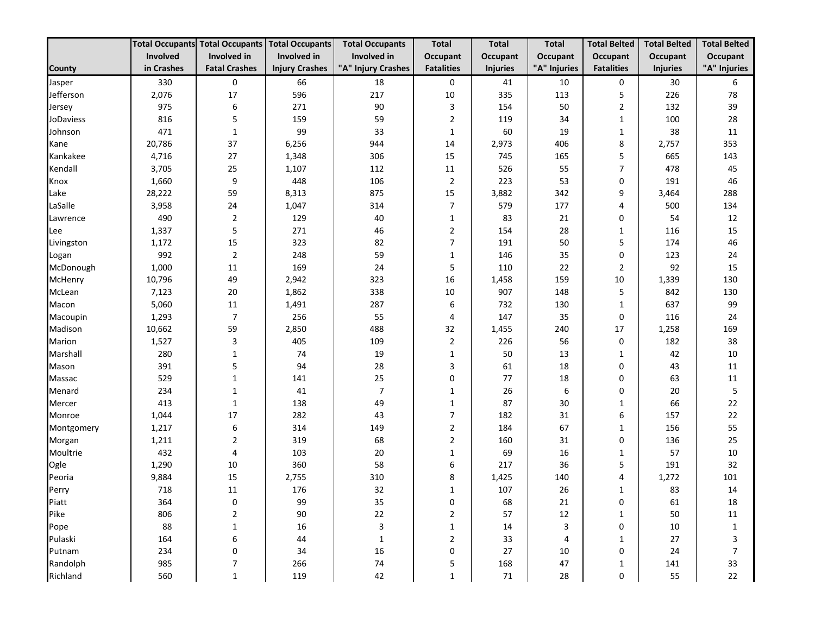|                  |            | <b>Total Occupants Total Occupants</b> | <b>Total Occupants</b> | <b>Total Occupants</b> | <b>Total</b>      | <b>Total</b>    | <b>Total</b> | <b>Total Belted</b> | <b>Total Belted</b> | <b>Total Belted</b> |
|------------------|------------|----------------------------------------|------------------------|------------------------|-------------------|-----------------|--------------|---------------------|---------------------|---------------------|
|                  | Involved   | Involved in                            | Involved in            | Involved in            | <b>Occupant</b>   | <b>Occupant</b> | Occupant     | Occupant            | Occupant            | Occupant            |
| County           | in Crashes | <b>Fatal Crashes</b>                   | <b>Injury Crashes</b>  | "A" Injury Crashes     | <b>Fatalities</b> | <b>Injuries</b> | "A" Injuries | <b>Fatalities</b>   | <b>Injuries</b>     | "A" Injuries        |
| Jasper           | 330        | 0                                      | 66                     | 18                     | 0                 | 41              | 10           | $\mathbf 0$         | 30                  | 6                   |
| Jefferson        | 2,076      | 17                                     | 596                    | 217                    | 10                | 335             | 113          | 5                   | 226                 | 78                  |
| Jersey           | 975        | 6                                      | 271                    | 90                     | 3                 | 154             | 50           | $\overline{2}$      | 132                 | 39                  |
| <b>JoDaviess</b> | 816        | 5                                      | 159                    | 59                     | $\overline{2}$    | 119             | 34           | 1                   | 100                 | 28                  |
| Johnson          | 471        | 1                                      | 99                     | 33                     | $\mathbf{1}$      | 60              | 19           | 1                   | 38                  | 11                  |
| Kane             | 20,786     | 37                                     | 6,256                  | 944                    | 14                | 2,973           | 406          | 8                   | 2,757               | 353                 |
| Kankakee         | 4,716      | 27                                     | 1,348                  | 306                    | 15                | 745             | 165          | 5                   | 665                 | 143                 |
| Kendall          | 3,705      | 25                                     | 1,107                  | 112                    | 11                | 526             | 55           | $\overline{7}$      | 478                 | 45                  |
| Knox             | 1,660      | 9                                      | 448                    | 106                    | $\overline{2}$    | 223             | 53           | 0                   | 191                 | 46                  |
| Lake             | 28,222     | 59                                     | 8,313                  | 875                    | 15                | 3,882           | 342          | 9                   | 3,464               | 288                 |
| LaSalle          | 3,958      | 24                                     | 1,047                  | 314                    | $\overline{7}$    | 579             | 177          | 4                   | 500                 | 134                 |
| Lawrence         | 490        | $\overline{2}$                         | 129                    | 40                     | $\mathbf{1}$      | 83              | 21           | 0                   | 54                  | 12                  |
| Lee              | 1,337      | 5                                      | 271                    | 46                     | $\overline{2}$    | 154             | 28           | 1                   | 116                 | 15                  |
| Livingston       | 1,172      | 15                                     | 323                    | 82                     | $\overline{7}$    | 191             | 50           | 5                   | 174                 | 46                  |
| Logan            | 992        | $\overline{2}$                         | 248                    | 59                     | $\mathbf{1}$      | 146             | 35           | $\mathbf 0$         | 123                 | 24                  |
| McDonough        | 1,000      | 11                                     | 169                    | 24                     | 5                 | 110             | 22           | $\overline{2}$      | 92                  | 15                  |
| McHenry          | 10,796     | 49                                     | 2,942                  | 323                    | 16                | 1,458           | 159          | 10                  | 1,339               | 130                 |
| McLean           | 7,123      | 20                                     | 1,862                  | 338                    | 10                | 907             | 148          | 5                   | 842                 | 130                 |
| Macon            | 5,060      | 11                                     | 1,491                  | 287                    | 6                 | 732             | 130          | 1                   | 637                 | 99                  |
| Macoupin         | 1,293      | $\overline{7}$                         | 256                    | 55                     | 4                 | 147             | 35           | 0                   | 116                 | 24                  |
| Madison          | 10,662     | 59                                     | 2,850                  | 488                    | 32                | 1,455           | 240          | 17                  | 1,258               | 169                 |
| Marion           | 1,527      | 3                                      | 405                    | 109                    | $\overline{2}$    | 226             | 56           | 0                   | 182                 | 38                  |
| Marshall         | 280        | $\mathbf{1}$                           | 74                     | 19                     | $\mathbf{1}$      | 50              | 13           | 1                   | 42                  | 10                  |
| Mason            | 391        | 5                                      | 94                     | 28                     | 3                 | 61              | 18           | 0                   | 43                  | 11                  |
| Massac           | 529        | $\mathbf{1}$                           | 141                    | 25                     | 0                 | 77              | 18           | $\mathbf 0$         | 63                  | 11                  |
| Menard           | 234        | $\mathbf{1}$                           | 41                     | $\overline{7}$         | 1                 | 26              | 6            | $\mathbf 0$         | 20                  | 5                   |
| Mercer           | 413        | 1                                      | 138                    | 49                     | $\mathbf{1}$      | 87              | 30           | 1                   | 66                  | 22                  |
| Monroe           | 1,044      | 17                                     | 282                    | 43                     | $\overline{7}$    | 182             | 31           | 6                   | 157                 | 22                  |
| Montgomery       | 1,217      | 6                                      | 314                    | 149                    | $\overline{2}$    | 184             | 67           | 1                   | 156                 | 55                  |
| Morgan           | 1,211      | 2                                      | 319                    | 68                     | $\overline{2}$    | 160             | 31           | $\mathbf 0$         | 136                 | 25                  |
| Moultrie         | 432        | 4                                      | 103                    | 20                     | $\mathbf{1}$      | 69              | 16           | 1                   | 57                  | 10                  |
| Ogle             | 1,290      | 10                                     | 360                    | 58                     | 6                 | 217             | 36           | 5                   | 191                 | 32                  |
| Peoria           | 9,884      | 15                                     | 2,755                  | 310                    | 8                 | 1,425           | 140          | 4                   | 1,272               | 101                 |
| Perry            | 718        | 11                                     | 176                    | 32                     | $\mathbf{1}$      | 107             | 26           | 1                   | 83                  | 14                  |
| Piatt            | 364        | 0                                      | 99                     | 35                     | 0                 | 68              | 21           | 0                   | 61                  | 18                  |
| Pike             | 806        | $\mathbf 2$                            | 90                     | 22                     | $\overline{2}$    | 57              | 12           | 1                   | 50                  | 11                  |
| Pope             | 88         | 1                                      | 16                     | 3                      | 1                 | 14              | 3            | 0                   | 10                  | $\mathbf{1}$        |
| Pulaski          | 164        | 6                                      | 44                     | $\mathbf{1}$           | 2                 | 33              | 4            | $\mathbf{1}$        | 27                  | 3                   |
| Putnam           | 234        | 0                                      | 34                     | 16                     | $\mathbf 0$       | 27              | 10           | 0                   | 24                  | $\overline{7}$      |
| Randolph         | 985        | 7                                      | 266                    | 74                     | 5                 | 168             | 47           | 1                   | 141                 | 33                  |
| Richland         | 560        | $\mathbf{1}$                           | 119                    | 42                     | $\mathbf{1}$      | $71\,$          | 28           | 0                   | 55                  | 22                  |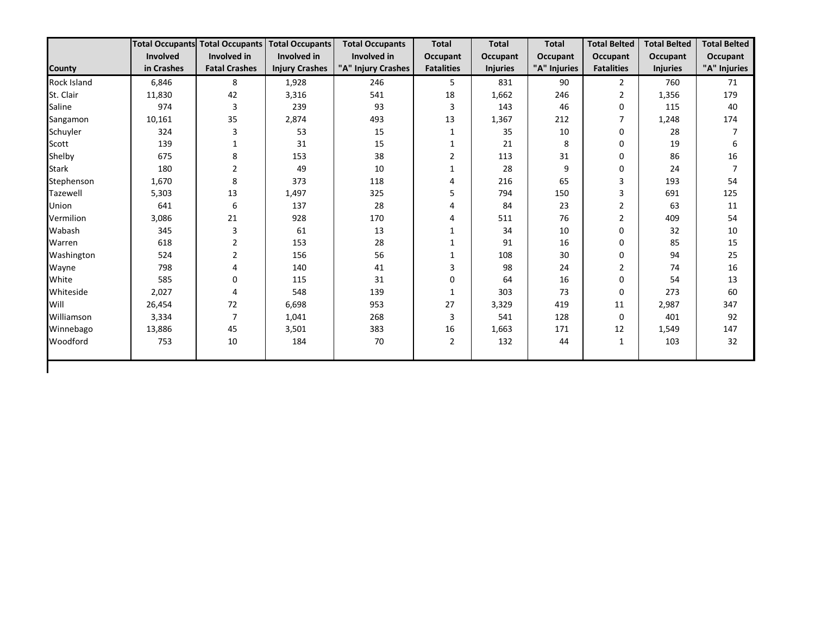|                    |            | <b>Total Occupants Total Occupants</b> | <b>Total Occupants</b> | <b>Total Occupants</b> | <b>Total</b>      | <b>Total</b>    | <b>Total</b> | <b>Total Belted</b> | <b>Total Belted</b> | <b>Total Belted</b> |
|--------------------|------------|----------------------------------------|------------------------|------------------------|-------------------|-----------------|--------------|---------------------|---------------------|---------------------|
|                    | Involved   | Involved in                            | Involved in            | Involved in            | <b>Occupant</b>   | Occupant        | Occupant     | <b>Occupant</b>     | Occupant            | Occupant            |
| <b>County</b>      | in Crashes | <b>Fatal Crashes</b>                   | <b>Injury Crashes</b>  | "A" Injury Crashes     | <b>Fatalities</b> | <b>Injuries</b> | "A" Injuries | <b>Fatalities</b>   | <b>Injuries</b>     | "A" Injuries        |
| <b>Rock Island</b> | 6,846      | 8                                      | 1,928                  | 246                    | 5                 | 831             | 90           | $\mathbf{2}$        | 760                 | 71                  |
| St. Clair          | 11,830     | 42                                     | 3,316                  | 541                    | 18                | 1,662           | 246          | 2                   | 1,356               | 179                 |
| Saline             | 974        | 3                                      | 239                    | 93                     | 3                 | 143             | 46           | 0                   | 115                 | 40                  |
| Sangamon           | 10,161     | 35                                     | 2,874                  | 493                    | 13                | 1,367           | 212          | 7                   | 1,248               | 174                 |
| Schuyler           | 324        | 3                                      | 53                     | 15                     | 1                 | 35              | 10           | $\Omega$            | 28                  |                     |
| Scott              | 139        | 1                                      | 31                     | 15                     | 1                 | 21              | 8            | 0                   | 19                  | 6                   |
| Shelby             | 675        | 8                                      | 153                    | 38                     | 2                 | 113             | 31           | 0                   | 86                  | 16                  |
| <b>Stark</b>       | 180        | $\mathbf 2$                            | 49                     | 10                     |                   | 28              | 9            | 0                   | 24                  | 7                   |
| Stephenson         | 1,670      | 8                                      | 373                    | 118                    | 4                 | 216             | 65           | 3                   | 193                 | 54                  |
| Tazewell           | 5,303      | 13                                     | 1,497                  | 325                    | 5                 | 794             | 150          | 3                   | 691                 | 125                 |
| Union              | 641        | 6                                      | 137                    | 28                     | 4                 | 84              | 23           | $\overline{2}$      | 63                  | 11                  |
| Vermilion          | 3,086      | 21                                     | 928                    | 170                    | 4                 | 511             | 76           | $\overline{2}$      | 409                 | 54                  |
| Wabash             | 345        | 3                                      | 61                     | 13                     |                   | 34              | 10           | $\Omega$            | 32                  | 10                  |
| Warren             | 618        | $\overline{2}$                         | 153                    | 28                     | $\mathbf{1}$      | 91              | 16           | 0                   | 85                  | 15                  |
| Washington         | 524        | $\overline{2}$                         | 156                    | 56                     |                   | 108             | 30           | 0                   | 94                  | 25                  |
| Wayne              | 798        | 4                                      | 140                    | 41                     | 3                 | 98              | 24           | $\overline{2}$      | 74                  | 16                  |
| White              | 585        | 0                                      | 115                    | 31                     | 0                 | 64              | 16           | 0                   | 54                  | 13                  |
| Whiteside          | 2,027      | 4                                      | 548                    | 139                    | $\mathbf{1}$      | 303             | 73           | $\Omega$            | 273                 | 60                  |
| Will               | 26,454     | 72                                     | 6,698                  | 953                    | 27                | 3,329           | 419          | 11                  | 2,987               | 347                 |
| Williamson         | 3,334      | $\overline{7}$                         | 1,041                  | 268                    | 3                 | 541             | 128          | 0                   | 401                 | 92                  |
| Winnebago          | 13,886     | 45                                     | 3,501                  | 383                    | 16                | 1,663           | 171          | 12                  | 1,549               | 147                 |
| Woodford           | 753        | $10\,$                                 | 184                    | 70                     | 2                 | 132             | 44           | $\mathbf{1}$        | 103                 | 32                  |
|                    |            |                                        |                        |                        |                   |                 |              |                     |                     |                     |
|                    |            |                                        |                        |                        |                   |                 |              |                     |                     |                     |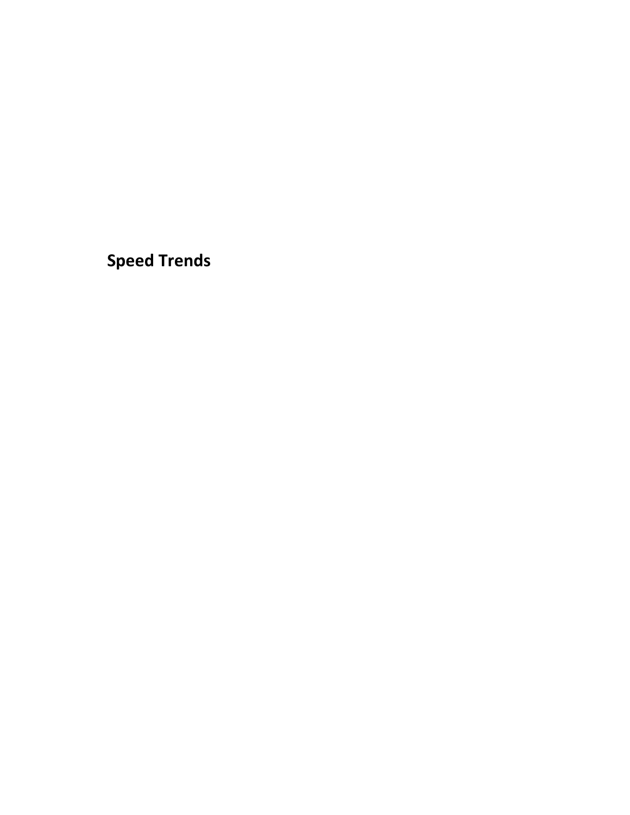<span id="page-23-0"></span>**Speed Trends**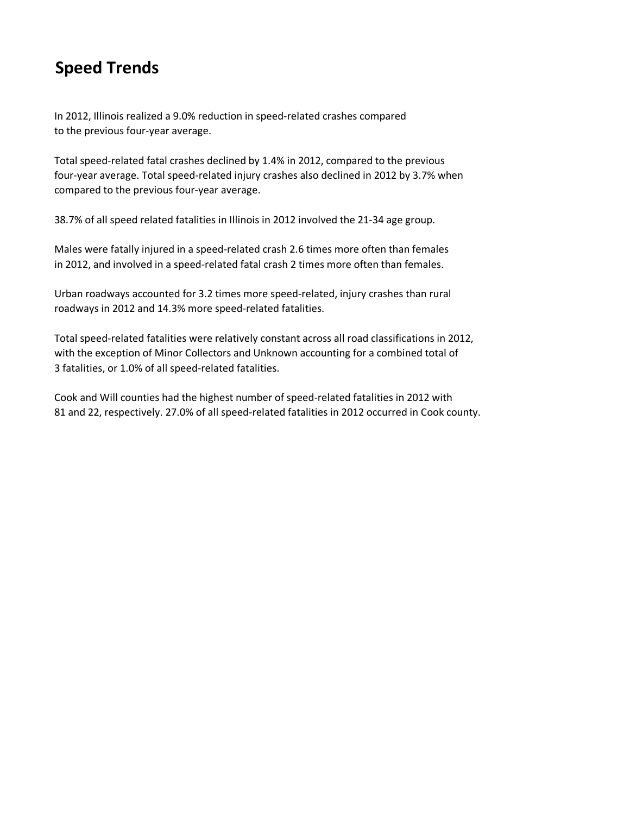# **Speed Trends**

In 2012, Illinois realized a 9.0% reduction in speed-related crashes compared to the previous four-year average.

Total speed-related fatal crashes declined by 1.4% in 2012, compared to the previous four-year average. Total speed-related injury crashes also declined in 2012 by 3.7% when compared to the previous four-year average.

38.7% of all speed related fatalities in Illinois in 2012 involved the 21-34 age group.

Males were fatally injured in a speed-related crash 2.6 times more often than females in 2012, and involved in a speed-related fatal crash 2 times more often than females.

Urban roadways accounted for 3.2 times more speed-related, injury crashes than rural roadways in 2012 and 14.3% more speed-related fatalities.

Total speed-related fatalities were relatively constant across all road classifications in 2012, with the exception of Minor Collectors and Unknown accounting for a combined total of 3 fatalities, or 1.0% of all speed-related fatalities.

Cook and Will counties had the highest number of speed-related fatalities in 2012 with 81 and 22, respectively. 27.0% of all speed-related fatalities in 2012 occurred in Cook county.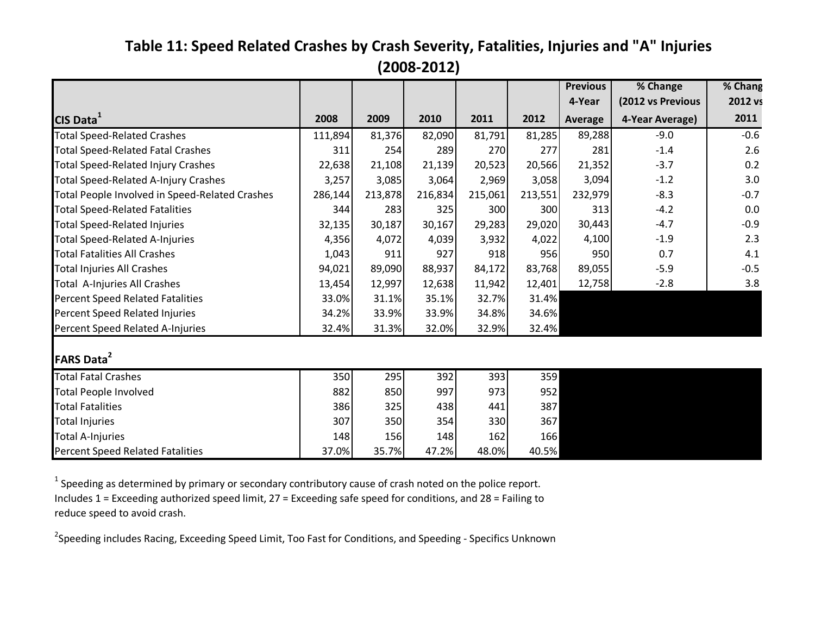## **Table 11: Speed Related Crashes by Crash Severity, Fatalities, Injuries and "A" Injuries (2008-2012)**

<span id="page-25-0"></span>

|                                                |         |         |         |         |         | <b>Previous</b><br>4-Year | % Change                             | % Chang         |
|------------------------------------------------|---------|---------|---------|---------|---------|---------------------------|--------------------------------------|-----------------|
| CIS Data <sup>1</sup>                          | 2008    | 2009    | 2010    | 2011    | 2012    | Average                   | (2012 vs Previous<br>4-Year Average) | 2012 vs<br>2011 |
| <b>Total Speed-Related Crashes</b>             | 111,894 | 81,376  | 82,090  | 81,791  | 81,285  | 89,288                    | $-9.0$                               | $-0.6$          |
| <b>Total Speed-Related Fatal Crashes</b>       | 311     | 254     | 289     | 270     | 277     | 281                       | $-1.4$                               | 2.6             |
| <b>Total Speed-Related Injury Crashes</b>      | 22,638  | 21,108  | 21,139  | 20,523  | 20,566  | 21,352                    | $-3.7$                               | 0.2             |
| <b>Total Speed-Related A-Injury Crashes</b>    | 3,257   | 3,085   | 3,064   | 2,969   | 3,058   | 3,094                     | $-1.2$                               | 3.0             |
| Total People Involved in Speed-Related Crashes | 286,144 | 213,878 | 216,834 | 215,061 | 213,551 | 232,979                   | $-8.3$                               | $-0.7$          |
| <b>Total Speed-Related Fatalities</b>          | 344     | 283     | 325     | 300     | 300     | 313                       | $-4.2$                               | 0.0             |
| <b>Total Speed-Related Injuries</b>            | 32,135  | 30,187  | 30,167  | 29,283  | 29,020  | 30,443                    | $-4.7$                               | $-0.9$          |
| <b>Total Speed-Related A-Injuries</b>          | 4,356   | 4,072   | 4,039   | 3,932   | 4,022   | 4,100                     | $-1.9$                               | 2.3             |
| <b>Total Fatalities All Crashes</b>            | 1,043   | 911     | 927     | 918     | 956     | 950                       | 0.7                                  | 4.1             |
| <b>Total Injuries All Crashes</b>              | 94,021  | 89,090  | 88,937  | 84,172  | 83,768  | 89,055                    | $-5.9$                               | $-0.5$          |
| Total A-Injuries All Crashes                   | 13,454  | 12,997  | 12,638  | 11,942  | 12,401  | 12,758                    | $-2.8$                               | 3.8             |
| <b>Percent Speed Related Fatalities</b>        | 33.0%   | 31.1%   | 35.1%   | 32.7%   | 31.4%   |                           |                                      |                 |
| Percent Speed Related Injuries                 | 34.2%   | 33.9%   | 33.9%   | 34.8%   | 34.6%   |                           |                                      |                 |
| Percent Speed Related A-Injuries               | 32.4%   | 31.3%   | 32.0%   | 32.9%   | 32.4%   |                           |                                      |                 |
| <b>FARS Data<sup>2</sup></b>                   |         |         |         |         |         |                           |                                      |                 |
| <b>Total Fatal Crashes</b>                     | 350     | 295     | 392     | 393     | 359     |                           |                                      |                 |
| <b>Total People Involved</b>                   | 882     | 850     | 997     | 973     | 952     |                           |                                      |                 |
| <b>Total Fatalities</b>                        | 386     | 325     | 438     | 441     | 387     |                           |                                      |                 |
| <b>Total Injuries</b>                          | 307     | 350     | 354     | 330     | 367     |                           |                                      |                 |
| <b>Total A-Injuries</b>                        | 148     | 156     | 148     | 162     | 166     |                           |                                      |                 |
| <b>Percent Speed Related Fatalities</b>        | 37.0%   | 35.7%   | 47.2%   | 48.0%   | 40.5%   |                           |                                      |                 |

 $<sup>1</sup>$  Speeding as determined by primary or secondary contributory cause of crash noted on the police report.</sup> Includes 1 = Exceeding authorized speed limit, 27 = Exceeding safe speed for conditions, and 28 = Failing to reduce speed to avoid crash.

<sup>2</sup>Speeding includes Racing, Exceeding Speed Limit, Too Fast for Conditions, and Speeding - Specifics Unknown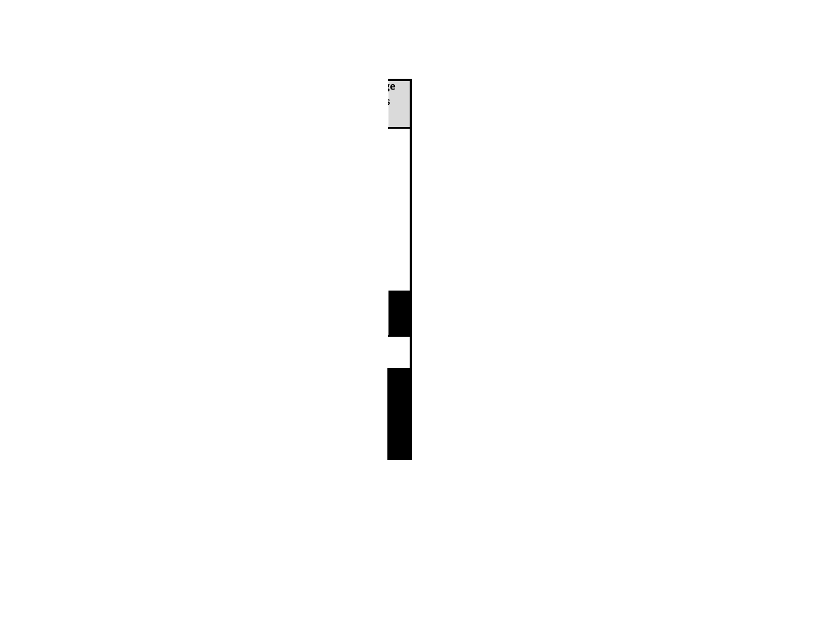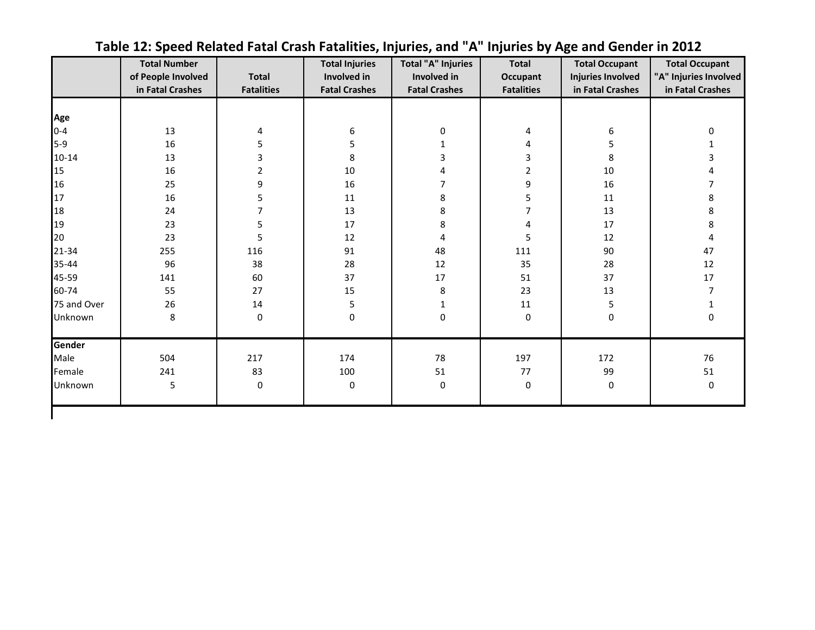<span id="page-27-0"></span>

|             | <b>Total Number</b><br>of People Involved<br>in Fatal Crashes | <b>Total</b><br><b>Fatalities</b> | <b>Total Injuries</b><br>Involved in<br><b>Fatal Crashes</b> | <b>Total "A" Injuries</b><br>Involved in<br><b>Fatal Crashes</b> | <b>Total</b><br>Occupant<br><b>Fatalities</b> | <b>Total Occupant</b><br><b>Injuries Involved</b><br>in Fatal Crashes | <b>Total Occupant</b><br>"A" Injuries Involved<br>in Fatal Crashes |
|-------------|---------------------------------------------------------------|-----------------------------------|--------------------------------------------------------------|------------------------------------------------------------------|-----------------------------------------------|-----------------------------------------------------------------------|--------------------------------------------------------------------|
|             |                                                               |                                   |                                                              |                                                                  |                                               |                                                                       |                                                                    |
| Age         |                                                               |                                   |                                                              |                                                                  |                                               |                                                                       |                                                                    |
| $0 - 4$     | 13                                                            | 4                                 | 6                                                            | 0                                                                | 4                                             | 6                                                                     | 0                                                                  |
| $5-9$       | 16                                                            | 5                                 | 5                                                            | $\mathbf{1}$                                                     | 4                                             | 5                                                                     |                                                                    |
| $10 - 14$   | 13                                                            | 3                                 | 8                                                            | 3                                                                | 3                                             | 8                                                                     |                                                                    |
| 15          | 16                                                            | 2                                 | 10                                                           | 4                                                                | 2                                             | $10\,$                                                                |                                                                    |
| 16          | 25                                                            | 9                                 | 16                                                           | 7                                                                | 9                                             | 16                                                                    |                                                                    |
| 17          | 16                                                            | 5                                 | 11                                                           | 8                                                                | 5                                             | $11\,$                                                                | 8                                                                  |
| 18          | 24                                                            | 7                                 | 13                                                           | 8                                                                | 7                                             | 13                                                                    | 8                                                                  |
| 19          | 23                                                            | 5                                 | 17                                                           | 8                                                                | 4                                             | 17                                                                    | 8                                                                  |
| 20          | 23                                                            | 5                                 | 12                                                           | 4                                                                | 5                                             | 12                                                                    | 4                                                                  |
| $21 - 34$   | 255                                                           | 116                               | 91                                                           | 48                                                               | 111                                           | 90                                                                    | 47                                                                 |
| 35-44       | 96                                                            | 38                                | 28                                                           | 12                                                               | 35                                            | 28                                                                    | 12                                                                 |
| 45-59       | 141                                                           | 60                                | 37                                                           | 17                                                               | 51                                            | 37                                                                    | 17                                                                 |
| 60-74       | 55                                                            | 27                                | 15                                                           | 8                                                                | 23                                            | 13                                                                    |                                                                    |
| 75 and Over | 26                                                            | 14                                | 5                                                            | 1                                                                | 11                                            | 5                                                                     |                                                                    |
| Unknown     | 8                                                             | 0                                 | $\pmb{0}$                                                    | 0                                                                | 0                                             | 0                                                                     | 0                                                                  |
| Gender      |                                                               |                                   |                                                              |                                                                  |                                               |                                                                       |                                                                    |
| Male        | 504                                                           | 217                               | 174                                                          | 78                                                               | 197                                           | 172                                                                   | 76                                                                 |
| Female      | 241                                                           | 83                                | 100                                                          | 51                                                               | 77                                            | 99                                                                    | 51                                                                 |
| Unknown     | 5                                                             | 0                                 | 0                                                            | 0                                                                | 0                                             | 0                                                                     | 0                                                                  |

**Table 12: Speed Related Fatal Crash Fatalities, Injuries, and "A" Injuries by Age and Gender in 2012**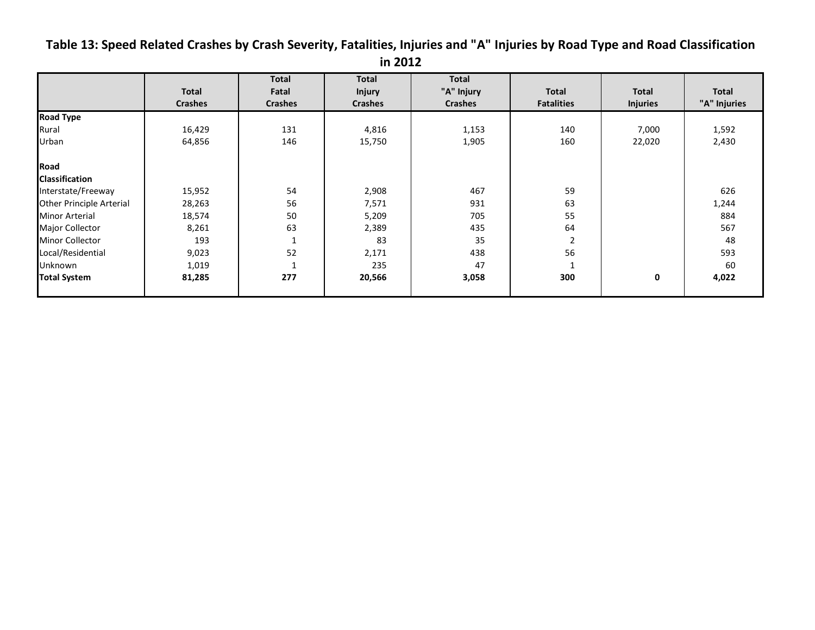<span id="page-28-0"></span>**Table 13: Speed Related Crashes by Crash Severity, Fatalities, Injuries and "A" Injuries by Road Type and Road Classification** 

| 201<br>ın |
|-----------|
|-----------|

|                          |                | <b>Total</b>   | <b>Total</b>   | <b>Total</b>   |                   |                 |              |
|--------------------------|----------------|----------------|----------------|----------------|-------------------|-----------------|--------------|
|                          | <b>Total</b>   | Fatal          | <b>Injury</b>  | "A" Injury     | <b>Total</b>      | <b>Total</b>    | Total        |
|                          | <b>Crashes</b> | <b>Crashes</b> | <b>Crashes</b> | <b>Crashes</b> | <b>Fatalities</b> | <b>Injuries</b> | "A" Injuries |
| <b>Road Type</b>         |                |                |                |                |                   |                 |              |
| Rural                    | 16,429         | 131            | 4,816          | 1,153          | 140               | 7,000           | 1,592        |
| Urban                    | 64,856         | 146            | 15,750         | 1,905          | 160               | 22,020          | 2,430        |
| Road                     |                |                |                |                |                   |                 |              |
| <b>Classification</b>    |                |                |                |                |                   |                 |              |
| Interstate/Freeway       | 15,952         | 54             | 2,908          | 467            | 59                |                 | 626          |
| Other Principle Arterial | 28,263         | 56             | 7,571          | 931            | 63                |                 | 1,244        |
| <b>Minor Arterial</b>    | 18,574         | 50             | 5,209          | 705            | 55                |                 | 884          |
| Major Collector          | 8,261          | 63             | 2,389          | 435            | 64                |                 | 567          |
| <b>Minor Collector</b>   | 193            | $\mathbf{1}$   | 83             | 35             |                   |                 | 48           |
| Local/Residential        | 9,023          | 52             | 2,171          | 438            | 56                |                 | 593          |
| Unknown                  | 1,019          | $\mathbf{1}$   | 235            | 47             |                   |                 | 60           |
| <b>Total System</b>      | 81,285         | 277            | 20,566         | 3,058          | 300               | 0               | 4,022        |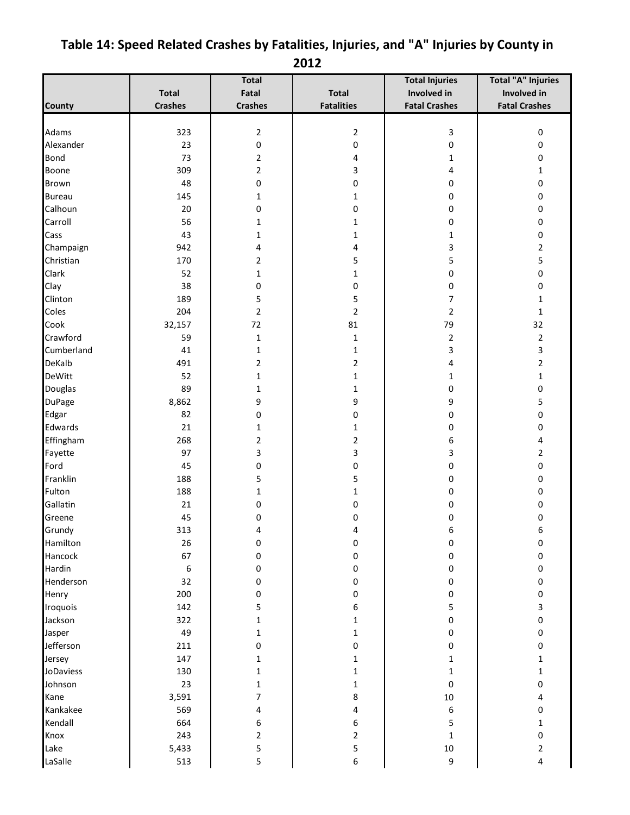|                |                | <b>Total</b>   |                         | <b>Total Injuries</b> | <b>Total "A" Injuries</b> |
|----------------|----------------|----------------|-------------------------|-----------------------|---------------------------|
|                | <b>Total</b>   | Fatal          | Total                   | Involved in           | Involved in               |
| <b>County</b>  | <b>Crashes</b> | <b>Crashes</b> | <b>Fatalities</b>       | <b>Fatal Crashes</b>  | <b>Fatal Crashes</b>      |
|                |                |                |                         |                       |                           |
| Adams          | 323            | $\overline{2}$ | $\overline{\mathbf{c}}$ | 3                     | $\boldsymbol{0}$          |
| Alexander      | 23             | 0              | 0                       | 0                     | 0                         |
| <b>Bond</b>    | 73             | 2              | 4                       | 1                     | 0                         |
| Boone          | 309            | 2              | 3                       | 4                     | 1                         |
| Brown          | 48             | 0              | 0                       | 0                     | 0                         |
| <b>Bureau</b>  | 145            | 1              | 1                       | 0                     | 0                         |
| Calhoun        | 20             | 0              | 0                       | 0                     | 0                         |
| Carroll        | 56             | 1              | 1                       | 0                     | 0                         |
| Cass           | 43             | 1              | $\mathbf{1}$            | 1                     | 0                         |
| Champaign      | 942            | 4              | 4                       | 3                     | 2                         |
| Christian      | 170            | 2              | 5                       | 5                     | 5                         |
| Clark          | 52             | 1              | $\mathbf{1}$            | 0                     | 0                         |
| Clay           | 38             | 0              | 0                       | 0                     | 0                         |
| Clinton        | 189            | 5              | 5                       | 7                     | 1                         |
| Coles          | 204            | $\overline{2}$ | $\overline{2}$          | $\overline{2}$        | 1                         |
| Cook           | 32,157         | 72             | 81                      | 79                    | 32                        |
| Crawford       | 59             | $\mathbf{1}$   | $\mathbf{1}$            | $\mathbf 2$           | $\overline{2}$            |
| Cumberland     | 41             | 1              | 1                       | 3                     | 3                         |
| DeKalb         | 491            | 2              | 2                       | 4                     | 2                         |
| <b>DeWitt</b>  | 52             | 1              | 1                       | $\mathbf{1}$          | 1                         |
| <b>Douglas</b> | 89             | 1              | 1                       | 0                     | 0                         |
| <b>DuPage</b>  | 8,862          | 9              | 9                       | 9                     | 5                         |
| Edgar          | 82             | 0              | 0                       | 0                     | 0                         |
| Edwards        | 21             | 1              | 1                       | 0                     | 0                         |
| Effingham      | 268            | 2              | 2                       | 6                     | 4                         |
| Fayette        | 97             | 3              | 3                       | 3                     | 2                         |
| Ford           | 45             | 0              | 0                       | 0                     | 0                         |
| Franklin       | 188            | 5              | 5                       | 0                     | 0                         |
| Fulton         | 188            | 1              | $\mathbf{1}$            | 0                     | 0                         |
| Gallatin       | 21             | 0              | 0                       | 0                     | 0                         |
| Greene         | 45             | 0              | 0                       | 0                     | 0                         |
| Grundy         | 313            |                | Δ                       | 6                     | 6                         |
| Hamilton       | 26             | 0              | 0                       | 0                     | 0                         |
| Hancock        | 67             | 0              | 0                       | 0                     | 0                         |
| Hardin         | 6              | 0              | 0                       | 0                     | 0                         |
| Henderson      | 32             | 0              | 0                       | $\pmb{0}$             | 0                         |
| Henry          | 200            | 0              | 0                       | 0                     | 0                         |
| Iroquois       | 142            | 5              | 6                       | 5                     | 3                         |
| Jackson        | 322            | 1              | 1                       | $\pmb{0}$             | 0                         |
| Jasper         | 49             | 1              | 1                       | 0                     | 0                         |
| Jefferson      | 211            | 0              | 0                       | 0                     | 0                         |
| Jersey         | 147            | 1              | 1                       | 1                     | 1                         |
| JoDaviess      | 130            | 1              | 1                       | $\mathbf{1}$          | 1                         |
| Johnson        | 23             | 1              | 1                       | 0                     | 0                         |
| Kane           | 3,591          | 7              | 8                       | 10                    | 4                         |
| Kankakee       | 569            | 4              | 4                       | 6                     | 0                         |
| Kendall        | 664            | 6              | 6                       | 5                     | 1                         |
| Knox           | 243            | 2              | $\overline{2}$          |                       |                           |
| Lake           | 5,433          | 5              | 5                       | $\mathbf 1$<br>$10\,$ | 0<br>2                    |
| LaSalle        | 513            | 5              | 6                       | 9                     | 4                         |
|                |                |                |                         |                       |                           |

## <span id="page-29-0"></span>**Table 14: Speed Related Crashes by Fatalities, Injuries, and "A" Injuries by County in 2012**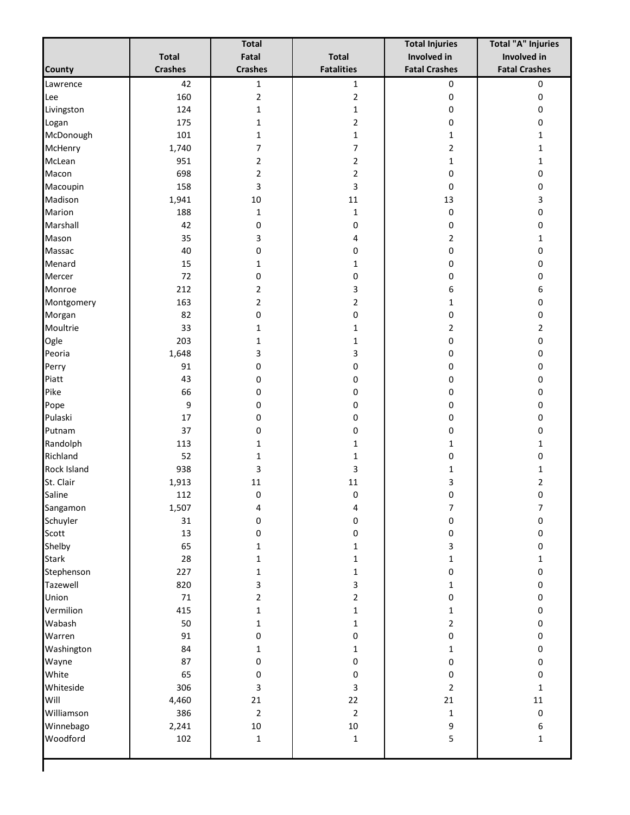|                    |                | <b>Total</b>     |                   | <b>Total Injuries</b> | <b>Total "A" Injuries</b> |
|--------------------|----------------|------------------|-------------------|-----------------------|---------------------------|
|                    | <b>Total</b>   | Fatal            | <b>Total</b>      | Involved in           | Involved in               |
| <b>County</b>      | <b>Crashes</b> | <b>Crashes</b>   | <b>Fatalities</b> | <b>Fatal Crashes</b>  | <b>Fatal Crashes</b>      |
| Lawrence           | 42             | $\mathbf 1$      | $\mathbf{1}$      | $\pmb{0}$             | $\pmb{0}$                 |
| Lee                | 160            | $\mathbf 2$      | $\overline{2}$    | 0                     | 0                         |
| Livingston         | 124            | 1                | $\mathbf 1$       | 0                     | 0                         |
| Logan              | 175            | 1                | $\overline{2}$    | 0                     | 0                         |
| McDonough          | 101            | 1                | $\mathbf{1}$      | 1                     | 1                         |
| McHenry            | 1,740          | 7                | 7                 | $\overline{2}$        | 1                         |
| McLean             | 951            | 2                | $\overline{2}$    | 1                     | $\mathbf{1}$              |
| Macon              | 698            | $\overline{2}$   | 2                 | 0                     | 0                         |
| Macoupin           | 158            | 3                | 3                 | 0                     | 0                         |
| Madison            | 1,941          | $10\,$           | $11\,$            | 13                    | 3                         |
| Marion             | 188            | $\mathbf{1}$     | $\mathbf{1}$      | 0                     | 0                         |
| Marshall           | 42             | 0                | 0                 | 0                     | 0                         |
| Mason              | 35             | 3                | 4                 | $\overline{2}$        | $\mathbf{1}$              |
| Massac             | 40             | 0                | 0                 | 0                     | 0                         |
| Menard             | 15             | 1                | $\mathbf 1$       | 0                     | 0                         |
| Mercer             | 72             | 0                | 0                 | 0                     | 0                         |
| Monroe             | 212            | 2                | 3                 | 6                     | 6                         |
| Montgomery         | 163            | 2                | $\overline{2}$    | 1                     | 0                         |
| Morgan             | 82             | 0                | 0                 | 0                     | 0                         |
| Moultrie           | 33             | 1                | $\mathbf{1}$      | 2                     | $\overline{2}$            |
| Ogle               | 203            | 1                | $\mathbf{1}$      | 0                     | 0                         |
| Peoria             | 1,648          | 3                | 3                 | 0                     | 0                         |
| Perry              | 91             | 0                | 0                 | 0                     | 0                         |
| Piatt              | 43             | 0                | 0                 | 0                     | 0                         |
| Pike               | 66             | 0                | 0                 | 0                     | 0                         |
| Pope               | 9              | 0                | 0                 | 0                     | 0                         |
| Pulaski            | 17             | 0                | 0                 | 0                     | 0                         |
| Putnam             | 37             | 0                | 0                 | 0                     | 0                         |
| Randolph           | 113            | 1                | $\mathbf{1}$      | 1                     | 1                         |
| Richland           | 52             | 1                | $\mathbf{1}$      | 0                     | 0                         |
| <b>Rock Island</b> | 938            | 3                | 3                 | 1                     | 1                         |
| St. Clair          | 1,913          | $11\,$           | 11                | 3                     | $\overline{2}$            |
| Saline             | 112            | $\boldsymbol{0}$ | $\mathbf 0$       | 0                     | $\pmb{0}$                 |
| Sangamon           | 1,507          | 4                | 4                 | 7                     | $\overline{7}$            |
| Schuyler           | 31             | 0                | $\pmb{0}$         | 0                     | 0                         |
| Scott              | 13             | 0                | $\pmb{0}$         | 0                     | $\pmb{0}$                 |
| Shelby             | 65             | 1                | $\mathbf 1$       | 3                     | 0                         |
| <b>Stark</b>       | 28             | 1                | $\mathbf 1$       | $\mathbf{1}$          | $\mathbf{1}$              |
| Stephenson         | 227            | 1                | $\mathbf 1$       | 0                     | 0                         |
| Tazewell           | 820            | 3                | 3                 | $\mathbf{1}$          | 0                         |
| Union              | 71             | 2                | $\overline{2}$    | $\pmb{0}$             | 0                         |
| Vermilion          | 415            | 1                | $\mathbf 1$       | 1                     | 0                         |
| Wabash             | 50             | 1                | $\mathbf 1$       | $\overline{2}$        | 0                         |
| Warren             | 91             | 0                | $\pmb{0}$         | 0                     | 0                         |
| Washington         | 84             | $\mathbf{1}$     | $\mathbf 1$       | 1                     | $\pmb{0}$                 |
| Wayne              | 87             | 0                | 0                 | 0                     | $\pmb{0}$                 |
| White              | 65             | 0                | $\pmb{0}$         | 0                     | $\pmb{0}$                 |
| Whiteside          | 306            | 3                | 3                 | $\overline{2}$        | $\mathbf 1$               |
| Will               | 4,460          | 21               | 22                | 21                    | $11\,$                    |
| Williamson         | 386            | $\overline{2}$   | $\overline{2}$    | $\mathbf{1}$          | $\pmb{0}$                 |
| Winnebago          | 2,241          | $10\,$           | $10\,$            | 9                     | 6                         |
| Woodford           | 102            | $\mathbf 1$      | $\mathbf 1$       | 5                     | $\mathbf 1$               |
|                    |                |                  |                   |                       |                           |
|                    |                |                  |                   |                       |                           |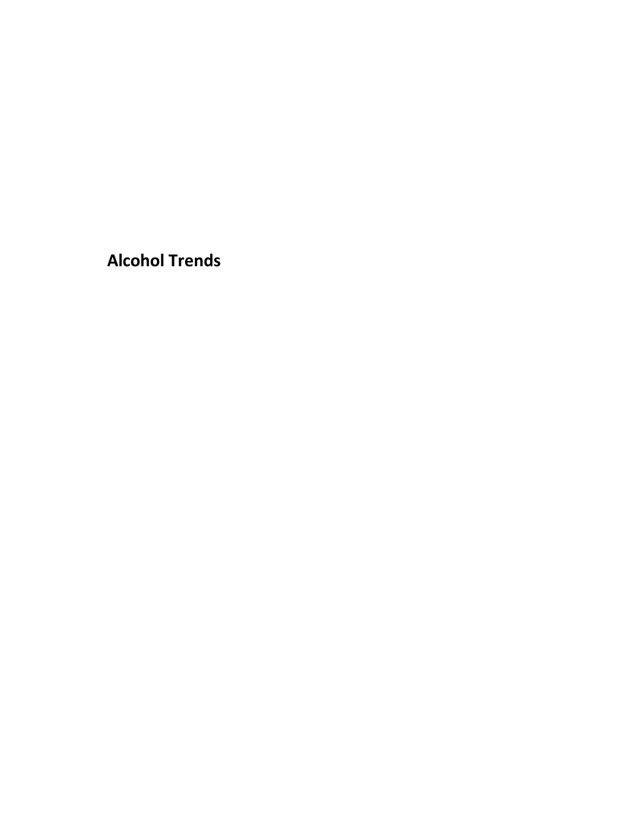<span id="page-31-0"></span>**Alcohol Trends**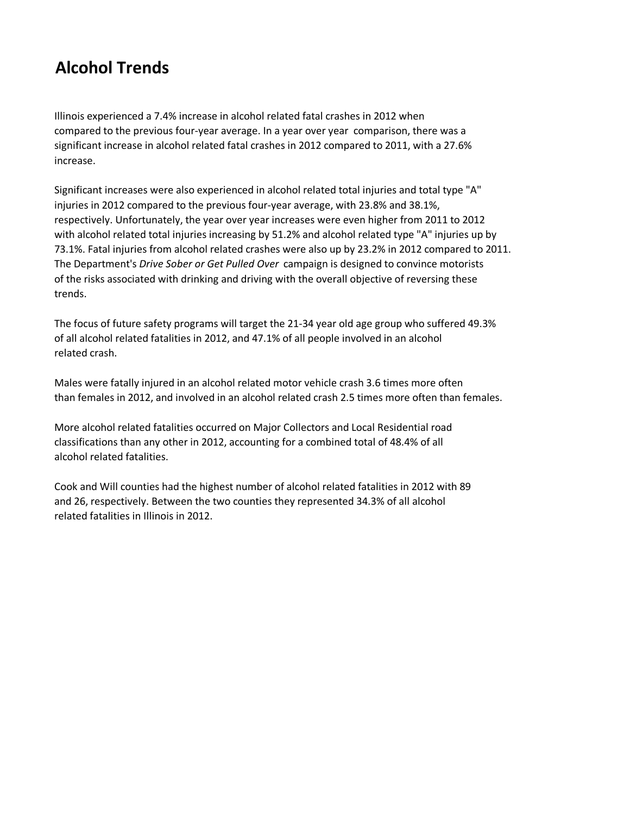# **Alcohol Trends**

Illinois experienced a 7.4% increase in alcohol related fatal crashes in 2012 when compared to the previous four-year average. In a year over year comparison, there was a significant increase in alcohol related fatal crashes in 2012 compared to 2011, with a 27.6% increase.

Significant increases were also experienced in alcohol related total injuries and total type "A" injuries in 2012 compared to the previous four-year average, with 23.8% and 38.1%, respectively. Unfortunately, the year over year increases were even higher from 2011 to 2012 with alcohol related total injuries increasing by 51.2% and alcohol related type "A" injuries up by 73.1%. Fatal injuries from alcohol related crashes were also up by 23.2% in 2012 compared to 2011. The Department's *Drive Sober or Get Pulled Over* campaign is designed to convince motorists of the risks associated with drinking and driving with the overall objective of reversing these trends.

The focus of future safety programs will target the 21-34 year old age group who suffered 49.3% of all alcohol related fatalities in 2012, and 47.1% of all people involved in an alcohol related crash.

Males were fatally injured in an alcohol related motor vehicle crash 3.6 times more often than females in 2012, and involved in an alcohol related crash 2.5 times more often than females.

More alcohol related fatalities occurred on Major Collectors and Local Residential road classifications than any other in 2012, accounting for a combined total of 48.4% of all alcohol related fatalities.

Cook and Will counties had the highest number of alcohol related fatalities in 2012 with 89 and 26, respectively. Between the two counties they represented 34.3% of all alcohol related fatalities in Illinois in 2012.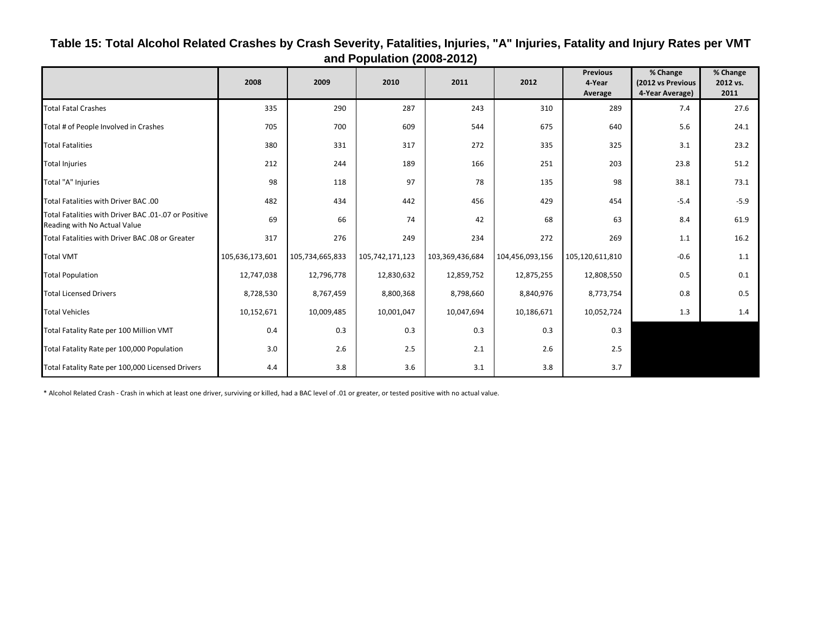|                                                                                      | 2008            | 2009            | 2010            | 2011            | 2012            | <b>Previous</b><br>4-Year<br>Average | % Change<br>(2012 vs Previous<br>4-Year Average) | % Change<br>2012 vs.<br>2011 |
|--------------------------------------------------------------------------------------|-----------------|-----------------|-----------------|-----------------|-----------------|--------------------------------------|--------------------------------------------------|------------------------------|
| <b>Total Fatal Crashes</b>                                                           | 335             | 290             | 287             | 243             | 310             | 289                                  | 7.4                                              | 27.6                         |
| Total # of People Involved in Crashes                                                | 705             | 700             | 609             | 544             | 675             | 640                                  | 5.6                                              | 24.1                         |
| <b>Total Fatalities</b>                                                              | 380             | 331             | 317             | 272             | 335             | 325                                  | 3.1                                              | 23.2                         |
| <b>Total Injuries</b>                                                                | 212             | 244             | 189             | 166             | 251             | 203                                  | 23.8                                             | 51.2                         |
| Total "A" Injuries                                                                   | 98              | 118             | 97              | 78              | 135             | 98                                   | 38.1                                             | 73.1                         |
| Total Fatalities with Driver BAC .00                                                 | 482             | 434             | 442             | 456             | 429             | 454                                  | $-5.4$                                           | $-5.9$                       |
| Total Fatalities with Driver BAC .01-.07 or Positive<br>Reading with No Actual Value | 69              | 66              | 74              | 42              | 68              | 63                                   | 8.4                                              | 61.9                         |
| Total Fatalities with Driver BAC .08 or Greater                                      | 317             | 276             | 249             | 234             | 272             | 269                                  | 1.1                                              | 16.2                         |
| <b>Total VMT</b>                                                                     | 105,636,173,601 | 105,734,665,833 | 105,742,171,123 | 103,369,436,684 | 104,456,093,156 | 105,120,611,810                      | $-0.6$                                           | 1.1                          |
| <b>Total Population</b>                                                              | 12,747,038      | 12,796,778      | 12,830,632      | 12,859,752      | 12,875,255      | 12,808,550                           | 0.5                                              | 0.1                          |
| <b>Total Licensed Drivers</b>                                                        | 8,728,530       | 8,767,459       | 8,800,368       | 8,798,660       | 8,840,976       | 8,773,754                            | 0.8                                              | 0.5                          |
| <b>Total Vehicles</b>                                                                | 10,152,671      | 10,009,485      | 10,001,047      | 10,047,694      | 10,186,671      | 10,052,724                           | 1.3                                              | 1.4                          |
| Total Fatality Rate per 100 Million VMT                                              | 0.4             | 0.3             | 0.3             | 0.3             | 0.3             | 0.3                                  |                                                  |                              |
| Total Fatality Rate per 100,000 Population                                           | 3.0             | 2.6             | 2.5             | 2.1             | 2.6             | 2.5                                  |                                                  |                              |
| Total Fatality Rate per 100,000 Licensed Drivers                                     | 4.4             | 3.8             | 3.6             | 3.1             | 3.8             | 3.7                                  |                                                  |                              |

### <span id="page-33-0"></span>**Table 15: Total Alcohol Related Crashes by Crash Severity, Fatalities, Injuries, "A" Injuries, Fatality and Injury Rates per VMT and Population (2008-2012)**

\* Alcohol Related Crash - Crash in which at least one driver, surviving or killed, had a BAC level of .01 or greater, or tested positive with no actual value.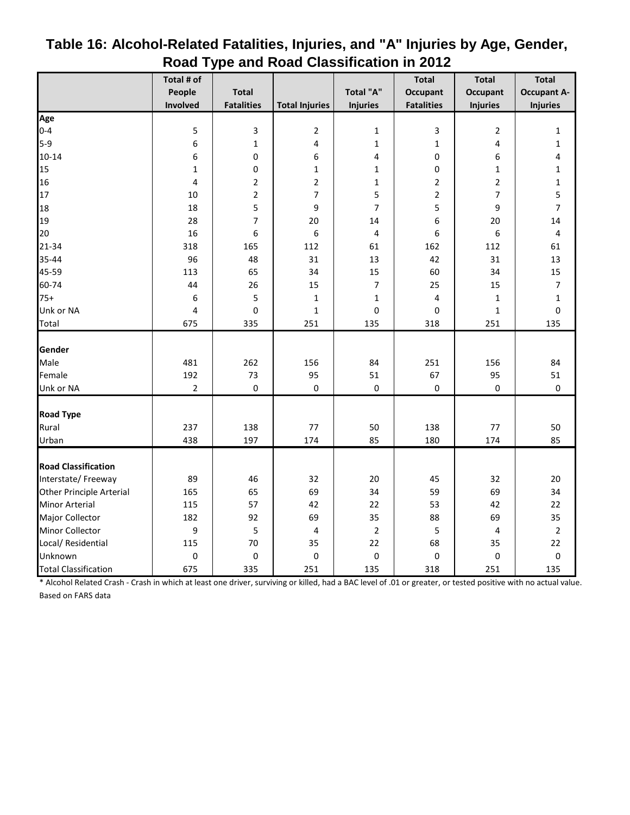|                             | Total # of       |                   |                       |                  | <b>Total</b>      | <b>Total</b>    | <b>Total</b>             |
|-----------------------------|------------------|-------------------|-----------------------|------------------|-------------------|-----------------|--------------------------|
|                             | People           | <b>Total</b>      |                       | Total "A"        | <b>Occupant</b>   | <b>Occupant</b> | <b>Occupant A-</b>       |
|                             | Involved         | <b>Fatalities</b> | <b>Total Injuries</b> | <b>Injuries</b>  | <b>Fatalities</b> | <b>Injuries</b> | <b>Injuries</b>          |
| Age                         |                  |                   |                       |                  |                   |                 |                          |
| $0 - 4$                     | 5                | 3                 | $\overline{2}$        | 1                | 3                 | 2               | $\mathbf{1}$             |
| $5-9$                       | 6                | $\mathbf{1}$      | 4                     | $\mathbf{1}$     | $\mathbf 1$       | 4               | $\mathbf{1}$             |
| $10 - 14$                   | 6                | 0                 | 6                     | 4                | 0                 | 6               | 4                        |
| 15                          | $\mathbf 1$      | 0                 | $\mathbf{1}$          | $\mathbf{1}$     | 0                 | $\mathbf{1}$    | $\mathbf 1$              |
| 16                          | 4                | $\overline{2}$    | $\overline{2}$        | $\mathbf{1}$     | $\overline{2}$    | $\overline{2}$  | $\mathbf{1}$             |
| 17                          | 10               | 2                 | 7                     | 5                | $\overline{c}$    | 7               | 5                        |
| 18                          | 18               | 5                 | 9                     | 7                | 5                 | 9               | $\overline{7}$           |
| 19                          | 28               | 7                 | 20                    | 14               | 6                 | 20              | 14                       |
| 20                          | 16               | 6                 | 6                     | 4                | 6                 | 6               | $\overline{\mathbf{r}}$  |
| 21-34                       | 318              | 165               | 112                   | 61               | 162               | 112             | 61                       |
| 35-44                       | 96               | 48                | 31                    | 13               | 42                | 31              | 13                       |
| 45-59                       | 113              | 65                | 34                    | 15               | 60                | 34              | 15                       |
| 60-74                       | 44               | 26                | 15                    | $\overline{7}$   | 25                | 15              | $\overline{\phantom{a}}$ |
| $75+$                       | 6                | 5                 | $\mathbf{1}$          | $\mathbf{1}$     | 4                 | $\mathbf{1}$    | $\mathbf{1}$             |
| Unk or NA                   | 4                | 0                 | $\mathbf{1}$          | 0                | $\mathbf 0$       | $\mathbf{1}$    | $\pmb{0}$                |
| Total                       | 675              | 335               | 251                   | 135              | 318               | 251             | 135                      |
|                             |                  |                   |                       |                  |                   |                 |                          |
| Gender                      |                  |                   |                       |                  |                   |                 |                          |
| Male                        | 481              | 262               | 156                   | 84               | 251               | 156             | 84                       |
| Female                      | 192              | 73                | 95                    | 51               | 67                | 95              | 51                       |
| Unk or NA                   | $\mathbf 2$      | $\boldsymbol{0}$  | $\pmb{0}$             | $\pmb{0}$        | $\pmb{0}$         | $\pmb{0}$       | $\boldsymbol{0}$         |
| <b>Road Type</b>            |                  |                   |                       |                  |                   |                 |                          |
| Rural                       | 237              | 138               | 77                    | 50               | 138               | 77              | 50                       |
| Urban                       | 438              | 197               | 174                   | 85               | 180               | 174             | 85                       |
|                             |                  |                   |                       |                  |                   |                 |                          |
| <b>Road Classification</b>  |                  |                   |                       |                  |                   |                 |                          |
| Interstate/Freeway          | 89               | 46                | 32                    | 20               | 45                | 32              | 20                       |
| Other Principle Arterial    | 165              | 65                | 69                    | 34               | 59                | 69              | 34                       |
| Minor Arterial              | 115              | 57                | 42                    | 22               | 53                | 42              | 22                       |
| Major Collector             | 182              | 92                | 69                    | 35               | 88                | 69              | 35                       |
| Minor Collector             | 9                | 5                 | 4                     | $\overline{2}$   | 5                 | 4               | $\mathbf 2$              |
| Local/ Residential          | 115              | 70                | 35                    | 22               | 68                | 35              | 22                       |
| Unknown                     | $\boldsymbol{0}$ | $\mathbf 0$       | $\pmb{0}$             | $\boldsymbol{0}$ | $\boldsymbol{0}$  | $\pmb{0}$       | $\boldsymbol{0}$         |
| <b>Total Classification</b> | 675              | 335               | 251                   | 135              | 318               | 251             | 135                      |

### <span id="page-34-0"></span>**Table 16: Alcohol-Related Fatalities, Injuries, and "A" Injuries by Age, Gender, Road Type and Road Classification in 2012**

\* Alcohol Related Crash - Crash in which at least one driver, surviving or killed, had a BAC level of .01 or greater, or tested positive with no actual value. Based on FARS data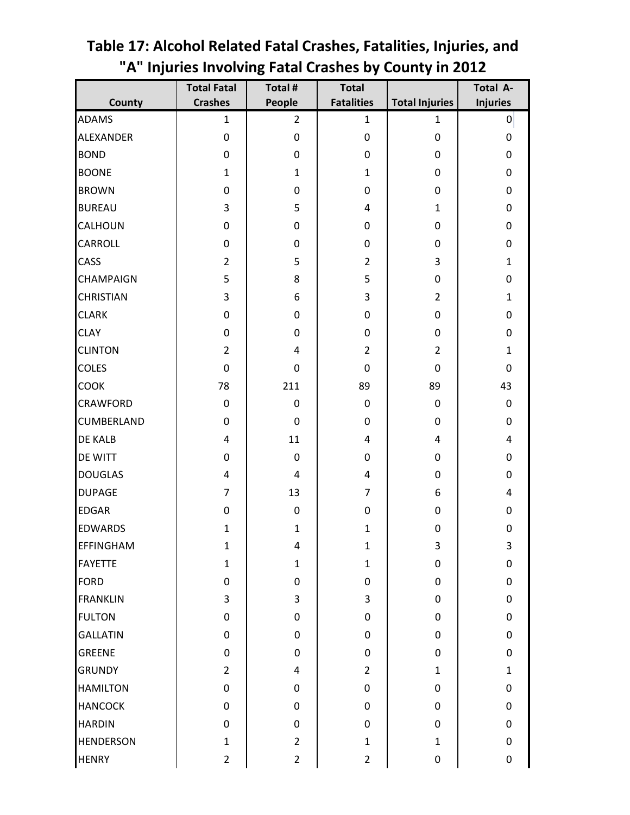|                   | <b>Total Fatal</b> | Total #        | <b>Total</b>      |                       | Total A-                |
|-------------------|--------------------|----------------|-------------------|-----------------------|-------------------------|
| County            | <b>Crashes</b>     | People         | <b>Fatalities</b> | <b>Total Injuries</b> | <b>Injuries</b>         |
| <b>ADAMS</b>      | 1                  | $\overline{2}$ | $\mathbf{1}$      | 1                     | $\overline{0}$          |
| <b>ALEXANDER</b>  | $\boldsymbol{0}$   | 0              | 0                 | 0                     | $\pmb{0}$               |
| <b>BOND</b>       | 0                  | 0              | 0                 | 0                     | $\boldsymbol{0}$        |
| <b>BOONE</b>      | $\mathbf{1}$       | $\mathbf{1}$   | $\mathbf{1}$      | $\boldsymbol{0}$      | $\pmb{0}$               |
| <b>BROWN</b>      | 0                  | 0              | 0                 | $\boldsymbol{0}$      | $\mathbf 0$             |
| <b>BUREAU</b>     | 3                  | 5              | 4                 | $\mathbf{1}$          | $\pmb{0}$               |
| <b>CALHOUN</b>    | $\boldsymbol{0}$   | 0              | 0                 | 0                     | $\mathbf 0$             |
| <b>CARROLL</b>    | 0                  | 0              | 0                 | $\boldsymbol{0}$      | $\pmb{0}$               |
| <b>CASS</b>       | $\overline{2}$     | 5              | $\overline{2}$    | 3                     | $\mathbf{1}$            |
| <b>CHAMPAIGN</b>  | 5                  | 8              | 5                 | 0                     | 0                       |
| <b>CHRISTIAN</b>  | 3                  | 6              | 3                 | $\overline{2}$        | $\mathbf{1}$            |
| <b>CLARK</b>      | 0                  | 0              | 0                 | $\boldsymbol{0}$      | $\mathbf 0$             |
| <b>CLAY</b>       | 0                  | 0              | $\pmb{0}$         | $\boldsymbol{0}$      | $\boldsymbol{0}$        |
| <b>CLINTON</b>    | $\overline{2}$     | 4              | $\overline{2}$    | $\overline{2}$        | $\mathbf{1}$            |
| <b>COLES</b>      | $\mathbf 0$        | 0              | 0                 | $\mathbf 0$           | $\mathbf 0$             |
| <b>COOK</b>       | 78                 | 211            | 89                | 89                    | 43                      |
| <b>CRAWFORD</b>   | 0                  | $\mathbf 0$    | $\pmb{0}$         | $\mathbf 0$           | $\pmb{0}$               |
| <b>CUMBERLAND</b> | 0                  | $\pmb{0}$      | 0                 | 0                     | $\pmb{0}$               |
| <b>DE KALB</b>    | 4                  | 11             | 4                 | 4                     | 4                       |
| <b>DE WITT</b>    | 0                  | $\pmb{0}$      | 0                 | $\boldsymbol{0}$      | $\pmb{0}$               |
| <b>DOUGLAS</b>    | 4                  | $\overline{4}$ | 4                 | $\mathbf 0$           | $\pmb{0}$               |
| <b>DUPAGE</b>     | $\overline{7}$     | 13             | 7                 | 6                     | $\overline{\mathbf{4}}$ |
| <b>EDGAR</b>      | 0                  | 0              | $\pmb{0}$         | 0                     | $\mathbf 0$             |
| <b>EDWARDS</b>    | $\mathbf{1}$       | $\mathbf{1}$   | $\mathbf{1}$      | $\mathbf 0$           | $\mathbf 0$             |
| <b>EFFINGHAM</b>  | $\mathbf{1}$       | 4              | $\mathbf 1$       | 3                     | 3                       |
| <b>FAYETTE</b>    | $\mathbf{1}$       | $\mathbf{1}$   | $\mathbf{1}$      | 0                     | $\pmb{0}$               |
| <b>FORD</b>       | 0                  | 0              | $\pmb{0}$         | $\boldsymbol{0}$      | $\pmb{0}$               |
| <b>FRANKLIN</b>   | 3                  | 3              | 3                 | 0                     | $\pmb{0}$               |
| <b>FULTON</b>     | 0                  | 0              | $\pmb{0}$         | 0                     | $\pmb{0}$               |
| <b>GALLATIN</b>   | 0                  | $\mathbf 0$    | $\pmb{0}$         | $\mathbf 0$           | $\mathbf 0$             |
| <b>GREENE</b>     | $\boldsymbol{0}$   | 0              | $\pmb{0}$         | $\boldsymbol{0}$      | $\pmb{0}$               |
| <b>GRUNDY</b>     | $\overline{2}$     | 4              | $\overline{2}$    | $\mathbf{1}$          | $\mathbf{1}$            |
| <b>HAMILTON</b>   | $\pmb{0}$          | 0              | $\pmb{0}$         | 0                     | $\pmb{0}$               |
| <b>HANCOCK</b>    | 0                  | $\mathbf 0$    | $\pmb{0}$         | $\pmb{0}$             | $\pmb{0}$               |
| <b>HARDIN</b>     | 0                  | $\pmb{0}$      | 0                 | $\boldsymbol{0}$      | $\mathbf 0$             |
| <b>HENDERSON</b>  | $\mathbf{1}$       | $\overline{2}$ | $\mathbf{1}$      | $\mathbf{1}$          | $\mathbf 0$             |
| <b>HENRY</b>      | $\overline{2}$     | $\overline{2}$ | $\overline{2}$    | $\boldsymbol{0}$      | $\pmb{0}$               |
|                   |                    |                |                   |                       |                         |

# <span id="page-35-0"></span>**Table 17: Alcohol Related Fatal Crashes, Fatalities, Injuries, and "A" Injuries Involving Fatal Crashes by County in 2012**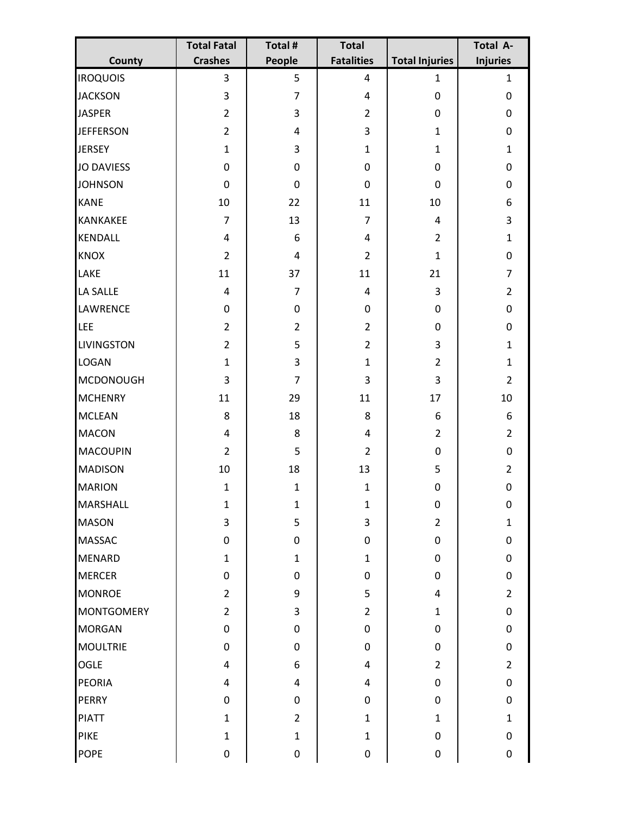|                   | <b>Total Fatal</b>      | Total #          | <b>Total</b>      |                       | Total A-        |
|-------------------|-------------------------|------------------|-------------------|-----------------------|-----------------|
| County            | <b>Crashes</b>          | People           | <b>Fatalities</b> | <b>Total Injuries</b> | <b>Injuries</b> |
| <b>IROQUOIS</b>   | 3                       | 5                | 4                 | $\mathbf{1}$          | $\mathbf{1}$    |
| <b>JACKSON</b>    | 3                       | $\overline{7}$   | 4                 | $\pmb{0}$             | $\pmb{0}$       |
| <b>JASPER</b>     | $\overline{2}$          | 3                | $\overline{2}$    | $\pmb{0}$             | $\mathbf 0$     |
| <b>JEFFERSON</b>  | $\overline{2}$          | 4                | 3                 | $\mathbf{1}$          | $\pmb{0}$       |
| <b>JERSEY</b>     | $\mathbf{1}$            | 3                | $\mathbf{1}$      | $\mathbf{1}$          | $\mathbf{1}$    |
| <b>JO DAVIESS</b> | 0                       | $\pmb{0}$        | 0                 | $\pmb{0}$             | $\pmb{0}$       |
| <b>JOHNSON</b>    | 0                       | $\mathbf 0$      | 0                 | $\mathbf 0$           | $\pmb{0}$       |
| <b>KANE</b>       | 10                      | 22               | 11                | 10                    | 6               |
| <b>KANKAKEE</b>   | $\overline{7}$          | 13               | $\overline{7}$    | $\overline{4}$        | $\overline{3}$  |
| <b>KENDALL</b>    | $\overline{\mathbf{4}}$ | 6                | 4                 | $\overline{2}$        | $\mathbf{1}$    |
| <b>KNOX</b>       | $\overline{2}$          | $\overline{4}$   | $\overline{2}$    | $\mathbf{1}$          | $\pmb{0}$       |
| LAKE              | 11                      | 37               | 11                | 21                    | $\overline{7}$  |
| LA SALLE          | $\overline{4}$          | $\overline{7}$   | 4                 | $\mathbf{3}$          | $\overline{2}$  |
| LAWRENCE          | $\pmb{0}$               | 0                | $\pmb{0}$         | $\boldsymbol{0}$      | $\pmb{0}$       |
| LEE               | $\overline{2}$          | $\overline{2}$   | $\overline{2}$    | $\mathbf 0$           | $\pmb{0}$       |
| <b>LIVINGSTON</b> | $\overline{2}$          | 5                | $\overline{2}$    | 3                     | $\mathbf{1}$    |
| <b>LOGAN</b>      | $\mathbf{1}$            | 3                | $\mathbf{1}$      | $\overline{2}$        | $\mathbf{1}$    |
| <b>MCDONOUGH</b>  | 3                       | $\overline{7}$   | 3                 | 3                     | $\overline{2}$  |
| <b>MCHENRY</b>    | 11                      | 29               | 11                | 17                    | 10              |
| <b>MCLEAN</b>     | 8                       | 18               | 8                 | $\boldsymbol{6}$      | 6               |
| <b>MACON</b>      | $\overline{4}$          | 8                | 4                 | $\overline{2}$        | $\overline{2}$  |
| <b>MACOUPIN</b>   | $\overline{2}$          | 5                | $\overline{2}$    | $\pmb{0}$             | $\pmb{0}$       |
| <b>MADISON</b>    | 10                      | 18               | 13                | 5                     | $\overline{2}$  |
| <b>MARION</b>     | $\mathbf{1}$            | $\mathbf{1}$     | $\mathbf{1}$      | $\boldsymbol{0}$      | 0               |
| <b>MARSHALL</b>   | $\mathbf 1$             | $\mathbf 1$      | $\mathbf 1$       | $\pmb{0}$             | 0               |
| <b>MASON</b>      | $\overline{3}$          | 5                | 3                 | $\overline{2}$        | $\mathbf{1}$    |
| <b>MASSAC</b>     | 0                       | $\pmb{0}$        | $\pmb{0}$         | $\pmb{0}$             | $\pmb{0}$       |
| <b>MENARD</b>     | $\mathbf{1}$            | $\mathbf{1}$     | $\mathbf{1}$      | $\mathbf 0$           | $\pmb{0}$       |
| <b>MERCER</b>     | 0                       | $\pmb{0}$        | 0                 | $\mathbf 0$           | $\pmb{0}$       |
| <b>MONROE</b>     | $\overline{2}$          | 9                | 5                 | $\overline{4}$        | $\overline{2}$  |
| <b>MONTGOMERY</b> | $\overline{2}$          | 3                | $\overline{2}$    | $\mathbf{1}$          | $\pmb{0}$       |
| <b>MORGAN</b>     | 0                       | $\boldsymbol{0}$ | $\pmb{0}$         | $\mathbf 0$           | $\mathbf 0$     |
| <b>MOULTRIE</b>   | 0                       | 0                | $\boldsymbol{0}$  | $\mathbf 0$           | $\pmb{0}$       |
| <b>OGLE</b>       | $\overline{4}$          | 6                | 4                 | $\overline{2}$        | $\overline{2}$  |
| <b>PEORIA</b>     | 4                       | $\overline{4}$   | 4                 | $\pmb{0}$             | $\pmb{0}$       |
| <b>PERRY</b>      | $\pmb{0}$               | 0                | 0                 | $\boldsymbol{0}$      | $\pmb{0}$       |
| <b>PIATT</b>      | $\mathbf{1}$            | $\overline{2}$   | $\mathbf{1}$      | $\mathbf{1}$          | $\mathbf{1}$    |
| <b>PIKE</b>       | $\mathbf{1}$            | $\mathbf{1}$     | $\mathbf{1}$      | $\mathbf 0$           | $\pmb{0}$       |
| <b>POPE</b>       | $\pmb{0}$               | 0                | $\pmb{0}$         | $\pmb{0}$             | $\mathbf 0$     |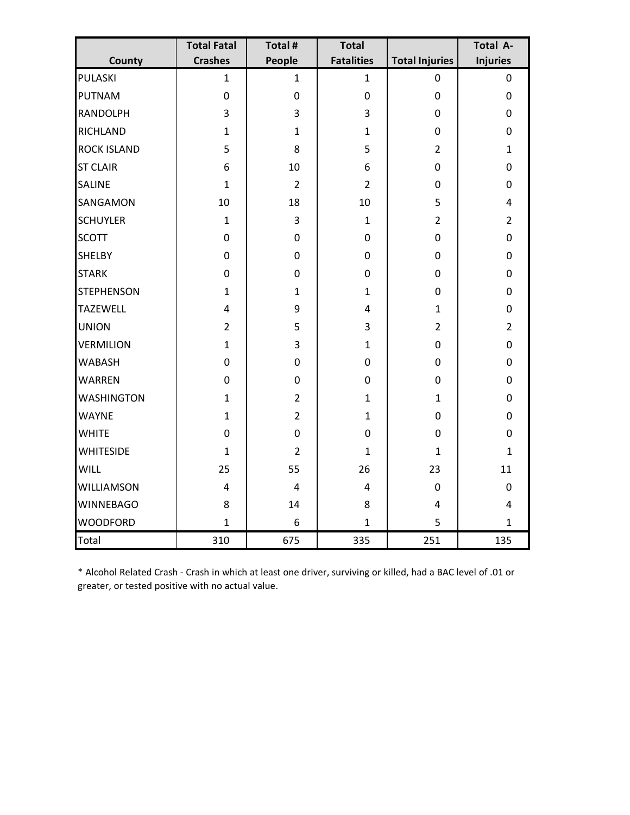|                    | <b>Total Fatal</b> | Total #          | <b>Total</b>            |                       | Total A-        |
|--------------------|--------------------|------------------|-------------------------|-----------------------|-----------------|
| County             | <b>Crashes</b>     | People           | <b>Fatalities</b>       | <b>Total Injuries</b> | <b>Injuries</b> |
| <b>PULASKI</b>     | $\mathbf{1}$       | $\mathbf{1}$     | $\mathbf{1}$            | $\mathbf 0$           | $\mathbf 0$     |
| <b>PUTNAM</b>      | $\boldsymbol{0}$   | $\boldsymbol{0}$ | $\boldsymbol{0}$        | $\mathbf 0$           | $\mathbf 0$     |
| <b>RANDOLPH</b>    | 3                  | 3                | 3                       | $\pmb{0}$             | $\pmb{0}$       |
| <b>RICHLAND</b>    | $\mathbf{1}$       | $\mathbf{1}$     | $\mathbf{1}$            | $\pmb{0}$             | $\pmb{0}$       |
| <b>ROCK ISLAND</b> | 5                  | 8                | 5                       | $\overline{2}$        | $\mathbf{1}$    |
| <b>ST CLAIR</b>    | 6                  | 10               | 6                       | $\mathbf 0$           | $\mathbf 0$     |
| <b>SALINE</b>      | $\mathbf{1}$       | $\overline{2}$   | $\overline{2}$          | $\mathbf 0$           | $\pmb{0}$       |
| SANGAMON           | 10                 | 18               | 10                      | 5                     | $\overline{4}$  |
| <b>SCHUYLER</b>    | $\mathbf{1}$       | 3                | $\mathbf{1}$            | $\overline{2}$        | $\overline{2}$  |
| <b>SCOTT</b>       | $\pmb{0}$          | 0                | $\boldsymbol{0}$        | $\pmb{0}$             | $\pmb{0}$       |
| <b>SHELBY</b>      | 0                  | $\boldsymbol{0}$ | 0                       | $\pmb{0}$             | $\pmb{0}$       |
| <b>STARK</b>       | $\pmb{0}$          | 0                | 0                       | $\pmb{0}$             | $\pmb{0}$       |
| <b>STEPHENSON</b>  | $\mathbf{1}$       | $\mathbf{1}$     | $\mathbf{1}$            | $\pmb{0}$             | $\pmb{0}$       |
| <b>TAZEWELL</b>    | $\overline{4}$     | 9                | $\overline{\mathbf{4}}$ | $\mathbf{1}$          | $\pmb{0}$       |
| <b>UNION</b>       | $\overline{2}$     | 5                | 3                       | $\overline{2}$        | $\overline{2}$  |
| <b>VERMILION</b>   | $\mathbf{1}$       | 3                | $\mathbf{1}$            | $\mathbf 0$           | $\mathbf 0$     |
| <b>WABASH</b>      | 0                  | 0                | $\mathbf 0$             | $\mathbf 0$           | $\pmb{0}$       |
| <b>WARREN</b>      | $\boldsymbol{0}$   | $\overline{0}$   | $\mathbf 0$             | $\boldsymbol{0}$      | $\pmb{0}$       |
| <b>WASHINGTON</b>  | $\mathbf{1}$       | $\overline{2}$   | $\mathbf{1}$            | $\mathbf{1}$          | $\pmb{0}$       |
| <b>WAYNE</b>       | $\mathbf{1}$       | $\overline{2}$   | $\mathbf{1}$            | $\boldsymbol{0}$      | $\pmb{0}$       |
| <b>WHITE</b>       | $\pmb{0}$          | $\mathbf 0$      | $\boldsymbol{0}$        | $\pmb{0}$             | $\pmb{0}$       |
| <b>WHITESIDE</b>   | $\mathbf{1}$       | $\overline{2}$   | $\mathbf{1}$            | $\mathbf{1}$          | $\mathbf{1}$    |
| <b>WILL</b>        | 25                 | 55               | 26                      | 23                    | 11              |
| <b>WILLIAMSON</b>  | $\overline{4}$     | 4                | $\overline{4}$          | $\mathbf 0$           | $\mathbf 0$     |
| <b>WINNEBAGO</b>   | 8                  | 14               | 8                       | $\overline{4}$        | $\overline{4}$  |
| <b>WOODFORD</b>    | $\mathbf{1}$       | 6                | $\mathbf{1}$            | 5                     | $\mathbf{1}$    |
| <b>Total</b>       | 310                | 675              | 335                     | 251                   | 135             |

\* Alcohol Related Crash - Crash in which at least one driver, surviving or killed, had a BAC level of .01 or greater, or tested positive with no actual value.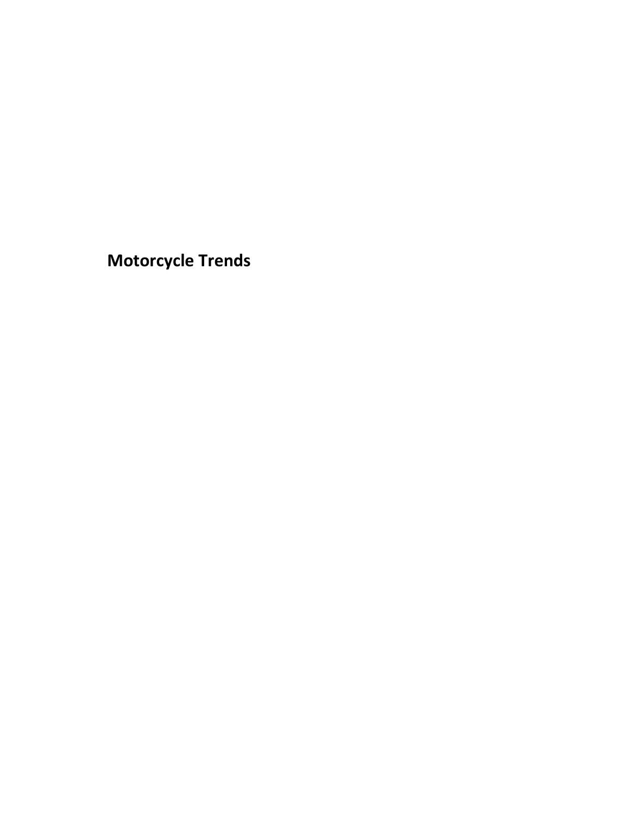<span id="page-38-0"></span>**Motorcycle Trends**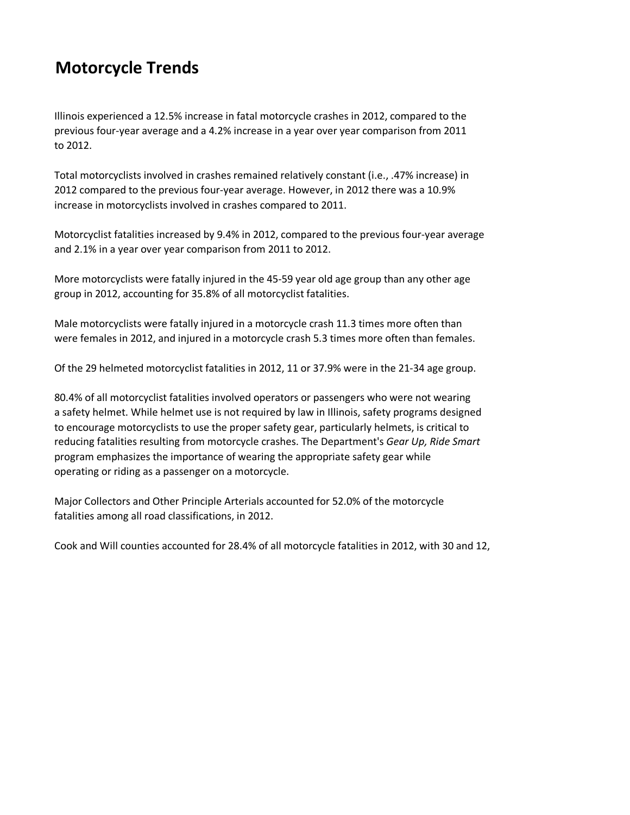# **Motorcycle Trends**

Illinois experienced a 12.5% increase in fatal motorcycle crashes in 2012, compared to the previous four-year average and a 4.2% increase in a year over year comparison from 2011 to 2012.

Total motorcyclists involved in crashes remained relatively constant (i.e., .47% increase) in 2012 compared to the previous four-year average. However, in 2012 there was a 10.9% increase in motorcyclists involved in crashes compared to 2011.

Motorcyclist fatalities increased by 9.4% in 2012, compared to the previous four-year average and 2.1% in a year over year comparison from 2011 to 2012.

More motorcyclists were fatally injured in the 45-59 year old age group than any other age group in 2012, accounting for 35.8% of all motorcyclist fatalities.

Male motorcyclists were fatally injured in a motorcycle crash 11.3 times more often than were females in 2012, and injured in a motorcycle crash 5.3 times more often than females.

Of the 29 helmeted motorcyclist fatalities in 2012, 11 or 37.9% were in the 21-34 age group.

80.4% of all motorcyclist fatalities involved operators or passengers who were not wearing a safety helmet. While helmet use is not required by law in Illinois, safety programs designed to encourage motorcyclists to use the proper safety gear, particularly helmets, is critical to reducing fatalities resulting from motorcycle crashes. The Department's *Gear Up, Ride Smart* program emphasizes the importance of wearing the appropriate safety gear while operating or riding as a passenger on a motorcycle.

Major Collectors and Other Principle Arterials accounted for 52.0% of the motorcycle fatalities among all road classifications, in 2012.

Cook and Will counties accounted for 28.4% of all motorcycle fatalities in 2012, with 30 and 12,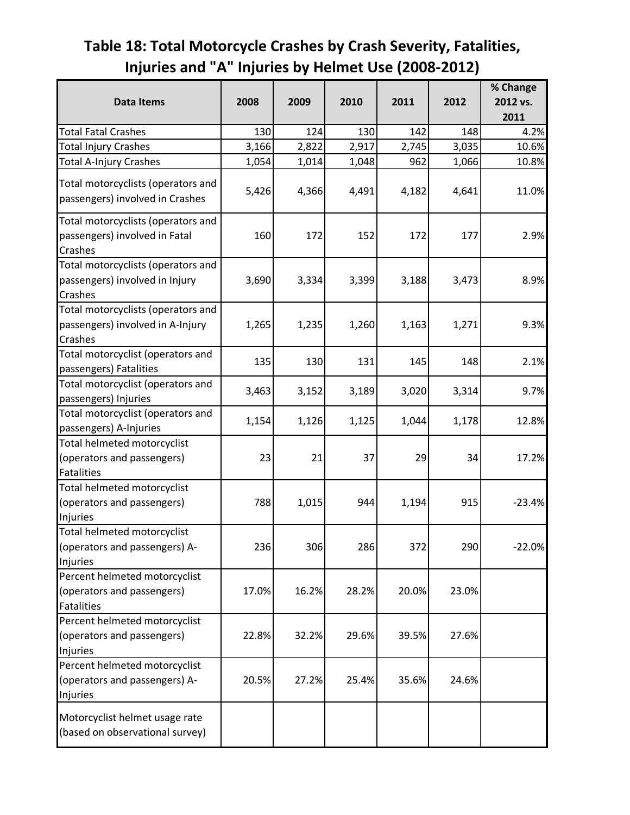# <span id="page-40-0"></span>**Table 18: Total Motorcycle Crashes by Crash Severity, Fatalities, Injuries and "A" Injuries by Helmet Use (2008-2012)**

| <b>Data Items</b>                                                                 | 2008  | 2009  | 2010  | 2011  | 2012  | % Change<br>2012 vs. |
|-----------------------------------------------------------------------------------|-------|-------|-------|-------|-------|----------------------|
|                                                                                   |       |       |       |       |       | 2011                 |
| <b>Total Fatal Crashes</b>                                                        | 130   | 124   | 130   | 142   | 148   | 4.2%                 |
| <b>Total Injury Crashes</b>                                                       | 3,166 | 2,822 | 2,917 | 2,745 | 3,035 | 10.6%                |
| Total A-Injury Crashes                                                            | 1,054 | 1,014 | 1,048 | 962   | 1,066 | 10.8%                |
| Total motorcyclists (operators and<br>passengers) involved in Crashes             | 5,426 | 4,366 | 4,491 | 4,182 | 4,641 | 11.0%                |
| Total motorcyclists (operators and<br>passengers) involved in Fatal<br>Crashes    | 160   | 172   | 152   | 172   | 177   | 2.9%                 |
| Total motorcyclists (operators and<br>passengers) involved in Injury<br>Crashes   | 3,690 | 3,334 | 3,399 | 3,188 | 3,473 | 8.9%                 |
| Total motorcyclists (operators and<br>passengers) involved in A-Injury<br>Crashes | 1,265 | 1,235 | 1,260 | 1,163 | 1,271 | 9.3%                 |
| Total motorcyclist (operators and<br>passengers) Fatalities                       | 135   | 130   | 131   | 145   | 148   | 2.1%                 |
| Total motorcyclist (operators and<br>passengers) Injuries                         | 3,463 | 3,152 | 3,189 | 3,020 | 3,314 | 9.7%                 |
| Total motorcyclist (operators and<br>passengers) A-Injuries                       | 1,154 | 1,126 | 1,125 | 1,044 | 1,178 | 12.8%                |
| Total helmeted motorcyclist<br>(operators and passengers)<br><b>Fatalities</b>    | 23    | 21    | 37    | 29    | 34    | 17.2%                |
| Total helmeted motorcyclist<br>(operators and passengers)<br>Injuries             | 788   | 1,015 | 944   | 1,194 | 915   | $-23.4%$             |
| Total helmeted motorcyclist<br>(operators and passengers) A-<br>Injuries          | 236   | 306   | 286   | 372   | 290   | $-22.0%$             |
| Percent helmeted motorcyclist<br>(operators and passengers)<br><b>Fatalities</b>  | 17.0% | 16.2% | 28.2% | 20.0% | 23.0% |                      |
| Percent helmeted motorcyclist<br>(operators and passengers)<br>Injuries           | 22.8% | 32.2% | 29.6% | 39.5% | 27.6% |                      |
| Percent helmeted motorcyclist<br>(operators and passengers) A-<br>Injuries        | 20.5% | 27.2% | 25.4% | 35.6% | 24.6% |                      |
| Motorcyclist helmet usage rate<br>(based on observational survey)                 |       |       |       |       |       |                      |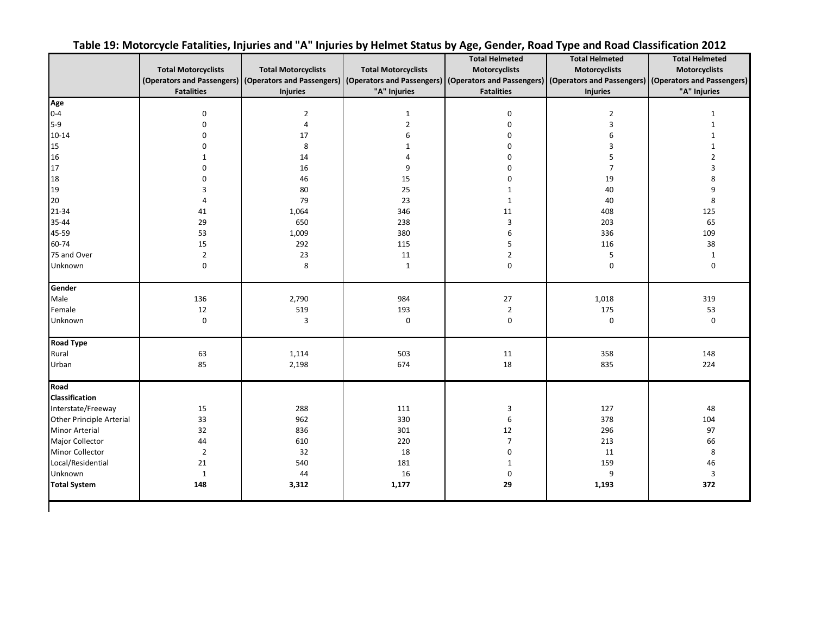<span id="page-41-0"></span>

|                          |                            |                            |                            | <b>Total Helmeted</b>                                                                                                                                                                        | <b>Total Helmeted</b>     | <b>Total Helmeted</b> |
|--------------------------|----------------------------|----------------------------|----------------------------|----------------------------------------------------------------------------------------------------------------------------------------------------------------------------------------------|---------------------------|-----------------------|
|                          | <b>Total Motorcyclists</b> | <b>Total Motorcyclists</b> | <b>Total Motorcyclists</b> | Motorcyclists                                                                                                                                                                                | Motorcyclists             | <b>Motorcyclists</b>  |
|                          |                            |                            |                            | (Operators and Passengers) (Operators and Passengers) (Operators and Passengers) (Operators and Passengers) (Operators and Passengers) (Operators and Passengers) (Operators and Passengers) |                           |                       |
|                          | <b>Fatalities</b>          | <b>Injuries</b>            | "A" Injuries               | <b>Fatalities</b>                                                                                                                                                                            | <b>Injuries</b>           | "A" Injuries          |
| Age                      |                            |                            |                            |                                                                                                                                                                                              |                           |                       |
| $0 - 4$                  | $\pmb{0}$                  | $\overline{2}$             | $1\,$                      | $\pmb{0}$                                                                                                                                                                                    | $\overline{2}$            | $\mathbf{1}$          |
| $5-9$                    | $\pmb{0}$                  | $\overline{4}$             | $\overline{2}$             | $\mathbf 0$                                                                                                                                                                                  | $\ensuremath{\mathsf{3}}$ | $\mathbf{1}$          |
| $10 - 14$                | $\pmb{0}$                  | 17                         | 6                          | $\mathbf 0$                                                                                                                                                                                  | 6                         |                       |
| 15                       | $\Omega$                   | 8                          | $\mathbf{1}$               | 0                                                                                                                                                                                            | 3                         | $\mathbf{1}$          |
| 16                       | $\mathbf{1}$               | 14                         | 4                          | $\Omega$                                                                                                                                                                                     | 5                         | $\overline{2}$        |
| 17                       | $\Omega$                   | 16                         | 9                          | $\Omega$                                                                                                                                                                                     | $\overline{7}$            | 3                     |
| 18                       | $\mathbf 0$                | 46                         | 15                         | 0                                                                                                                                                                                            | 19                        | 8                     |
| 19                       | 3                          | 80                         | 25                         | $\mathbf 1$                                                                                                                                                                                  | 40                        | 9                     |
| 20                       | $\overline{4}$             | 79                         | 23                         | $\mathbf 1$                                                                                                                                                                                  | 40                        | 8                     |
| 21-34                    | 41                         | 1,064                      | 346                        | 11                                                                                                                                                                                           | 408                       | 125                   |
| 35-44                    | 29                         | 650                        | 238                        | $\overline{3}$                                                                                                                                                                               | 203                       | 65                    |
| 45-59                    | 53                         | 1,009                      | 380                        | 6                                                                                                                                                                                            | 336                       | 109                   |
| 60-74                    | 15                         | 292                        | 115                        | 5                                                                                                                                                                                            | 116                       | 38                    |
| 75 and Over              | $\mathbf 2$                | 23                         | $11\,$                     | $\mathbf 2$                                                                                                                                                                                  | 5                         | $\mathbf{1}$          |
| Unknown                  | $\mathbf 0$                | 8                          | $\mathbf{1}$               | $\pmb{0}$                                                                                                                                                                                    | $\mathbf 0$               | 0                     |
| Gender                   |                            |                            |                            |                                                                                                                                                                                              |                           |                       |
| Male                     | 136                        | 2,790                      | 984                        | 27                                                                                                                                                                                           | 1,018                     | 319                   |
| Female                   | 12                         | 519                        | 193                        | $\overline{2}$                                                                                                                                                                               | 175                       | 53                    |
| Unknown                  | $\pmb{0}$                  | 3                          | $\pmb{0}$                  | $\mathbf 0$                                                                                                                                                                                  | $\mathbf 0$               | $\mathbf 0$           |
| <b>Road Type</b>         |                            |                            |                            |                                                                                                                                                                                              |                           |                       |
| Rural                    | 63                         | 1,114                      | 503                        | 11                                                                                                                                                                                           | 358                       | 148                   |
| Urban                    | 85                         | 2,198                      | 674                        | 18                                                                                                                                                                                           | 835                       | 224                   |
| Road                     |                            |                            |                            |                                                                                                                                                                                              |                           |                       |
| <b>Classification</b>    |                            |                            |                            |                                                                                                                                                                                              |                           |                       |
| Interstate/Freeway       | 15                         | 288                        | 111                        | 3                                                                                                                                                                                            | 127                       | 48                    |
| Other Principle Arterial | 33                         | 962                        | 330                        | 6                                                                                                                                                                                            | 378                       | 104                   |
| <b>Minor Arterial</b>    | 32                         | 836                        | 301                        | 12                                                                                                                                                                                           | 296                       | 97                    |
| Major Collector          | 44                         | 610                        | 220                        | $\overline{7}$                                                                                                                                                                               | 213                       | 66                    |
| Minor Collector          | $\overline{2}$             | 32                         | 18                         | $\mathbf 0$                                                                                                                                                                                  | 11                        | 8                     |
| Local/Residential        | 21                         | 540                        | 181                        | $\mathbf{1}$                                                                                                                                                                                 | 159                       | 46                    |
| Unknown                  | $\mathbf{1}$               | 44                         | 16                         | $\mathbf 0$                                                                                                                                                                                  | 9                         | 3                     |
| <b>Total System</b>      | 148                        | 3,312                      | 1,177                      | 29                                                                                                                                                                                           | 1,193                     | 372                   |

 $\mathbf{I}$ 

### **Table 19: Motorcycle Fatalities, Injuries and "A" Injuries by Helmet Status by Age, Gender, Road Type and Road Classification 2012**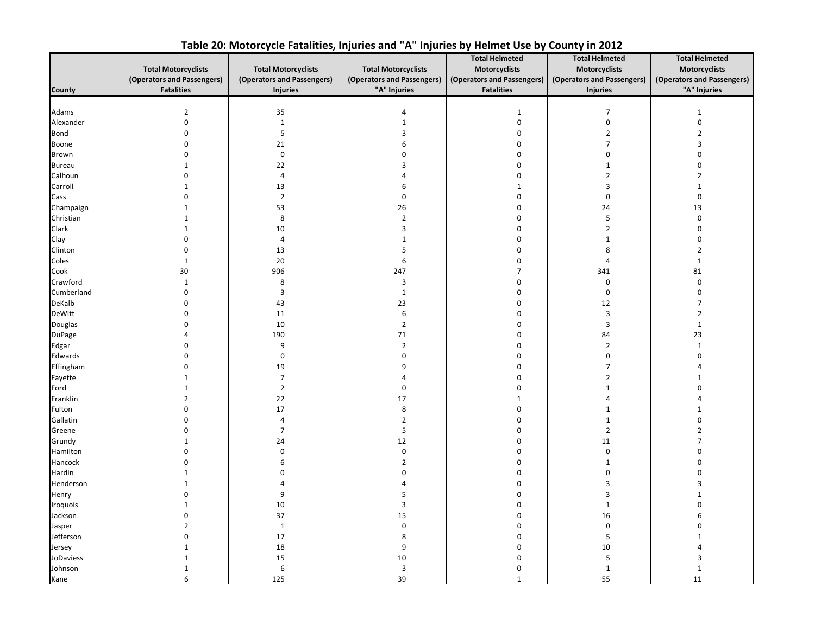<span id="page-42-0"></span>

|               |                            |                            |                            | <b>Total Helmeted</b>      | <b>Total Helmeted</b>      | <b>Total Helmeted</b>      |
|---------------|----------------------------|----------------------------|----------------------------|----------------------------|----------------------------|----------------------------|
|               | <b>Total Motorcyclists</b> | <b>Total Motorcyclists</b> | <b>Total Motorcyclists</b> | Motorcyclists              | <b>Motorcyclists</b>       | Motorcyclists              |
|               | (Operators and Passengers) | (Operators and Passengers) | (Operators and Passengers) | (Operators and Passengers) | (Operators and Passengers) | (Operators and Passengers) |
| <b>County</b> | <b>Fatalities</b>          | <b>Injuries</b>            | "A" Injuries               | <b>Fatalities</b>          | <b>Injuries</b>            | "A" Injuries               |
|               |                            |                            |                            |                            |                            |                            |
| Adams         | $\overline{2}$             | 35                         | 4                          | $\mathbf 1$                | 7                          | $1\,$                      |
| Alexander     | $\pmb{0}$                  | $\mathbf{1}$               | $\mathbf{1}$               | 0                          | $\pmb{0}$                  | $\pmb{0}$                  |
| <b>Bond</b>   | $\mathbf 0$                | $\overline{\mathbf{5}}$    | 3                          | 0                          | $\overline{2}$             | $\overline{2}$             |
| <b>Boone</b>  | $\mathbf 0$                | 21                         | 6                          | 0                          | $\overline{7}$             | 3                          |
| <b>Brown</b>  | $\mathbf 0$                | $\mathbf 0$                | 0                          | 0                          | $\mathbf 0$                | $\mathbf 0$                |
| <b>Bureau</b> | 1                          | 22                         | 3                          | 0                          | 1                          | $\mathbf 0$                |
| Calhoun       | $\mathbf 0$                | $\overline{4}$             | 4                          | $\pmb{0}$                  | $\overline{2}$             | $\overline{2}$             |
| Carroll       | $\mathbf{1}$               | 13                         | 6                          | $\mathbf 1$                | 3                          | $\mathbf{1}$               |
| Cass          | $\mathbf 0$                | $\overline{2}$             | $\mathbf 0$                | $\pmb{0}$                  | $\boldsymbol{0}$           | $\mathbf 0$                |
| Champaign     | $\mathbf{1}$               | 53                         | 26                         | 0                          | 24                         | 13                         |
| Christian     | $\mathbf{1}$               | 8                          | $\mathbf 2$                | 0                          | 5                          | $\pmb{0}$                  |
| Clark         | $\mathbf{1}$               | $10\,$                     | $\overline{3}$             | 0                          | $\overline{2}$             | $\mathbf 0$                |
| Clay          | $\boldsymbol{0}$           | $\overline{4}$             | $\mathbf{1}$               | 0                          | $\mathbf 1$                | $\mathbf 0$                |
| Clinton       | $\boldsymbol{0}$           | 13                         | 5                          | 0                          | 8                          | $\overline{2}$             |
| Coles         | $\,1\,$                    | 20                         | $\,6\,$                    | 0                          | 4                          | $\mathbf{1}$               |
| Cook          | 30                         | 906                        | 247                        | $\overline{7}$             | 341                        | 81                         |
| Crawford      | $\mathbf{1}$               | 8                          | 3                          | 0                          | $\mathbf 0$                | $\mathbf 0$                |
| Cumberland    | $\mathbf 0$                | $\overline{\mathbf{3}}$    | $\mathbf{1}$               | 0                          | $\mathbf 0$                | $\mathbf 0$                |
| DeKalb        | $\mathbf 0$                | 43                         | 23                         | 0                          | 12                         | 7                          |
| DeWitt        | $\mathbf 0$                | 11                         | 6                          | 0                          | $\overline{3}$             | $\overline{2}$             |
| Douglas       | $\mathbf 0$                | 10                         | $\mathbf 2$                | 0                          | 3                          | $\mathbf 1$                |
| <b>DuPage</b> | 4                          | 190                        | 71                         | $\mathbf 0$                | 84                         | 23                         |
| Edgar         | $\Omega$                   | 9                          | $\overline{2}$             | 0                          | $\overline{2}$             | $\mathbf{1}$               |
| Edwards       | $\Omega$                   | $\mathbf 0$                | 0                          | 0                          | $\mathbf 0$                | $\mathbf 0$                |
| Effingham     | $\boldsymbol{0}$           | 19                         | 9                          | 0                          | $\overline{7}$             |                            |
| Fayette       | $\mathbf{1}$               | $\overline{7}$             | 4                          | 0                          | $\overline{2}$             | 1                          |
| Ford          | $\mathbf{1}$               | $\overline{2}$             | $\boldsymbol{0}$           | 0                          | $\mathbf{1}$               | $\Omega$                   |
| Franklin      | $\overline{2}$             | 22                         | 17                         | $\mathbf{1}$               | 4                          |                            |
| Fulton        | $\mathbf 0$                | 17                         | 8                          | 0                          | $\mathbf{1}$               | 1                          |
| Gallatin      | $\mathbf 0$                | $\overline{4}$             | $\overline{2}$             | 0                          | $\mathbf 1$                | $\mathbf 0$                |
| Greene        | $\mathbf 0$                | $\overline{7}$             | 5                          | 0                          | $\overline{2}$             | $\overline{2}$             |
| Grundy        | $\mathbf{1}$               | 24                         | 12                         | 0                          | 11                         | $\overline{7}$             |
| Hamilton      | $\mathbf 0$                | $\mathbf 0$                | $\pmb{0}$                  | 0                          | $\mathbf 0$                | $\Omega$                   |
| Hancock       | $\mathbf 0$                | 6                          | $\overline{2}$             | 0                          | $\mathbf{1}$               | $\Omega$                   |
| Hardin        | $\mathbf{1}$               | $\mathbf 0$                | $\pmb{0}$                  | 0                          | $\pmb{0}$                  | $\Omega$                   |
| Henderson     | $\mathbf{1}$               | $\overline{4}$             | 4                          | 0                          | 3                          | 3                          |
| Henry         | $\mathbf 0$                | 9                          | 5                          | 0                          | 3                          | 1                          |
| Iroquois      | $\mathbf{1}$               | 10                         | $\overline{3}$             | 0                          | $\mathbf 1$                | $\Omega$                   |
| Jackson       | $\boldsymbol{0}$           | 37                         | 15                         | 0                          | 16                         | 6                          |
| Jasper        | $\overline{2}$             | $\mathbf 1$                | $\pmb{0}$                  | 0                          | $\mathbf 0$                | $\Omega$                   |
| Jefferson     | $\mathbf 0$                | 17                         | 8                          | 0                          | 5                          | $\mathbf{1}$               |
| Jersey        | $\mathbf{1}$               | 18                         | 9                          | 0                          | 10                         | 4                          |
| JoDaviess     | $\mathbf 1$                | 15                         | $10\,$                     | 0                          | 5                          | $\overline{3}$             |
| Johnson       | $\mathbf{1}$               | 6                          | $\mathbf{3}$               | 0                          | $\mathbf{1}$               | $\mathbf 1$                |
| Kane          | 6                          | 125                        | 39                         | $\mathbf{1}$               | 55                         | 11                         |

## **Table 20: Motorcycle Fatalities, Injuries and "A" Injuries by Helmet Use by County in 2012**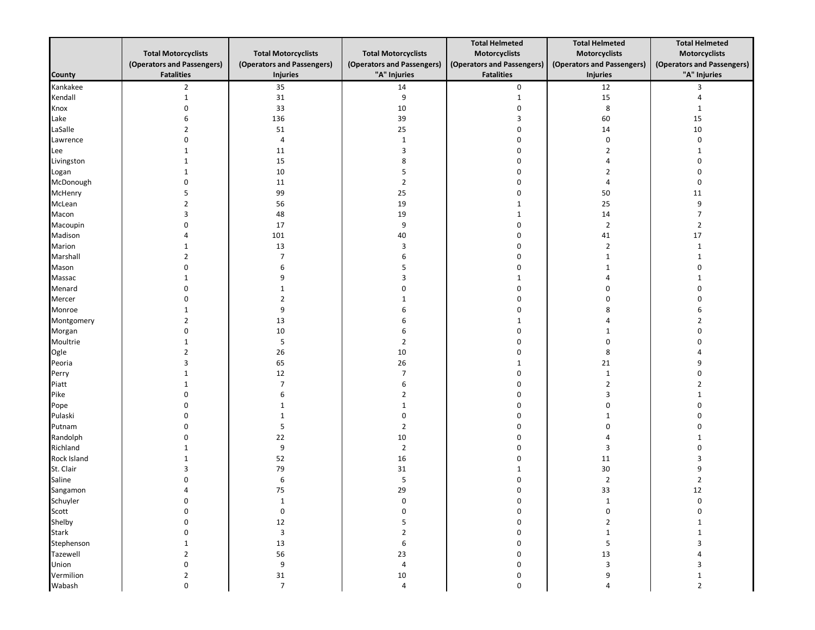|                    |                            |                            |                            | <b>Total Helmeted</b>      | <b>Total Helmeted</b>      | <b>Total Helmeted</b>      |
|--------------------|----------------------------|----------------------------|----------------------------|----------------------------|----------------------------|----------------------------|
|                    | <b>Total Motorcyclists</b> | <b>Total Motorcyclists</b> | <b>Total Motorcyclists</b> | Motorcyclists              | Motorcyclists              | Motorcyclists              |
|                    | (Operators and Passengers) | (Operators and Passengers) | (Operators and Passengers) | (Operators and Passengers) | (Operators and Passengers) | (Operators and Passengers) |
| <b>County</b>      | <b>Fatalities</b>          | Injuries                   | "A" Injuries               | <b>Fatalities</b>          | <b>Injuries</b>            | "A" Injuries               |
| Kankakee           | $\overline{2}$             | 35                         | 14                         | 0                          | 12                         | 3                          |
| Kendall            | $\mathbf{1}$               | 31                         | 9                          | $1\,$                      | 15                         | 4                          |
| Knox               | $\Omega$                   | 33                         | $10\,$                     | $\boldsymbol{0}$           | $\bf 8$                    | $\mathbf{1}$               |
| Lake               | 6                          | 136                        | 39                         | 3                          | 60                         | 15                         |
| LaSalle            | $\overline{2}$             | 51                         | 25                         | $\boldsymbol{0}$           | 14                         | $10\,$                     |
| Lawrence           | $\Omega$                   | $\overline{4}$             | $\mathbf{1}$               | $\mathbf 0$                | 0                          | 0                          |
| Lee                |                            | 11                         | $\overline{3}$             | $\mathbf 0$                | $\overline{2}$             | 1                          |
| Livingston         |                            | 15                         | 8                          | $\mathbf 0$                | 4                          | 0                          |
| Logan              |                            | 10                         | 5                          | 0                          | $\overline{2}$             | 0                          |
| McDonough          | $\Omega$                   | 11                         | $\overline{2}$             | 0                          | 4                          | 0                          |
| McHenry            | 5                          | 99                         | 25                         | $\mathbf 0$                | 50                         | 11                         |
| McLean             | $\overline{2}$             | 56                         | 19                         | 1                          | 25                         | 9                          |
| Macon              | 3                          | 48                         | 19                         | $\mathbf 1$                | $14\,$                     | $\overline{7}$             |
| Macoupin           | $\Omega$                   | 17                         | 9                          | 0                          | $\overline{2}$             | $\overline{2}$             |
| Madison            | Δ                          | 101                        | 40                         | 0                          | 41                         | 17                         |
| Marion             |                            | 13                         | 3                          | 0                          | $\overline{2}$             | 1                          |
| Marshall           | $\overline{2}$             | $\overline{7}$             | 6                          | 0                          | $\mathbf{1}$               | 1                          |
| Mason              | $\Omega$                   | 6                          | 5                          | 0                          | 1                          | 0                          |
| Massac             | -1                         | 9                          | 3                          | 1                          | 4                          | 1                          |
| Menard             |                            | 1                          | $\Omega$                   | 0                          | 0                          | 0                          |
| Mercer             |                            | $\overline{2}$             | $\mathbf{1}$               | $\Omega$                   | $\mathbf 0$                | 0                          |
| Monroe             |                            | 9                          | 6                          | $\Omega$                   | 8                          | 6                          |
| Montgomery         | $\overline{2}$             | 13                         | 6                          | 1                          | 4                          | $\overline{2}$             |
| Morgan<br>Moultrie | $\Omega$                   | 10<br>5                    | 6                          | $\mathbf 0$<br>$\Omega$    | 1<br>0                     | 0<br>$\Omega$              |
|                    | -1<br>$\mathcal{P}$        |                            | $\overline{2}$<br>10       |                            |                            | Δ                          |
| Ogle<br>Peoria     | 3                          | 26<br>65                   | 26                         | 0<br>1                     | 8<br>21                    | 9                          |
| Perry              |                            | 12                         | $\overline{7}$             | $\mathbf 0$                | $\mathbf 1$                | 0                          |
| Piatt              |                            | $\overline{7}$             | 6                          | $\Omega$                   | $\overline{2}$             | 2                          |
| Pike               | $\Omega$                   | 6                          | $\overline{2}$             | 0                          | 3                          | 1                          |
| Pope               | $\Omega$                   | $\mathbf{1}$               | $\mathbf{1}$               | $\Omega$                   | 0                          | 0                          |
| Pulaski            | $\Omega$                   | $\mathbf{1}$               | 0                          | $\mathbf 0$                | 1                          | 0                          |
| Putnam             | n                          | 5                          | $\overline{2}$             | $\Omega$                   | $\mathbf 0$                | $\Omega$                   |
| Randolph           | U                          | 22                         | $10\,$                     | $\Omega$                   | 4                          | 1                          |
| Richland           |                            | 9                          | $\overline{2}$             | 0                          | 3                          | 0                          |
| Rock Island        |                            | 52                         | 16                         | 0                          | 11                         | 3                          |
| St. Clair          | 3                          | 79                         | 31                         | 1                          | $30\,$                     | 9                          |
| Saline             | $\Omega$                   | 6                          | 5                          | $\pmb{0}$                  | $\overline{2}$             | $\overline{2}$             |
| Sangamon           | $\Delta$                   | 75                         | 29                         | 0                          | 33                         | 12                         |
| Schuyler           | 0                          |                            | 0                          | 0                          |                            | 0                          |
| Scott              | 0                          | $\boldsymbol{0}$           | 0                          | $\pmb{0}$                  | 0                          | 0                          |
| Shelby             | $\mathbf 0$                | 12                         | 5                          | $\pmb{0}$                  | $\overline{2}$             | $\mathbf{1}$               |
| <b>Stark</b>       | $\mathbf{0}$               | $\mathbf{3}$               | $\overline{2}$             | 0                          | $\mathbf{1}$               | $\mathbf{1}$               |
| Stephenson         | 1                          | 13                         | 6                          | 0                          | 5                          | 3                          |
| Tazewell           | $\overline{2}$             | 56                         | 23                         | $\pmb{0}$                  | 13                         | 4                          |
| Union              | $\mathbf 0$                | 9                          | $\overline{4}$             | $\pmb{0}$                  | $\overline{3}$             | 3                          |
| Vermilion          | $\overline{2}$             | 31                         | $10\,$                     | $\pmb{0}$                  | 9                          | $\mathbf{1}$               |
| Wabash             | $\pmb{0}$                  | $\overline{7}$             | $\overline{4}$             | 0                          | 4                          | $\overline{2}$             |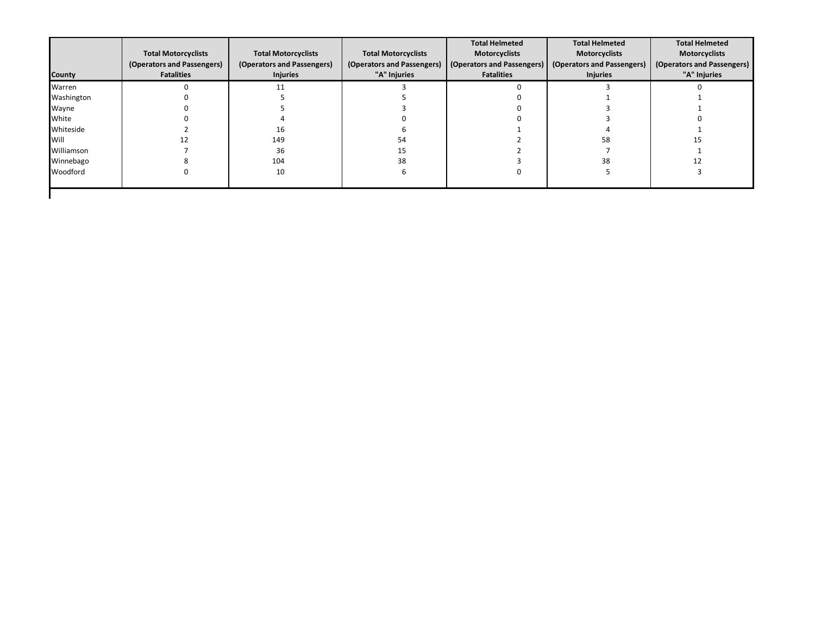| <b>Total Motorcyclists</b><br>(Operators and Passengers)<br><b>Fatalities</b> | <b>Total Motorcyclists</b><br>(Operators and Passengers)<br><b>Injuries</b> | <b>Total Motorcyclists</b><br>(Operators and Passengers)<br>"A" Injuries | <b>Total Helmeted</b><br><b>Motorcyclists</b><br><b>Fatalities</b> | <b>Total Helmeted</b><br><b>Motorcyclists</b><br><b>Motorcyclists</b><br>(Operators and Passengers)<br>(Operators and Passengers)<br>"A" Injuries<br><b>Injuries</b> |                                                     |
|-------------------------------------------------------------------------------|-----------------------------------------------------------------------------|--------------------------------------------------------------------------|--------------------------------------------------------------------|----------------------------------------------------------------------------------------------------------------------------------------------------------------------|-----------------------------------------------------|
|                                                                               |                                                                             |                                                                          |                                                                    |                                                                                                                                                                      |                                                     |
|                                                                               |                                                                             |                                                                          |                                                                    |                                                                                                                                                                      |                                                     |
|                                                                               |                                                                             |                                                                          |                                                                    |                                                                                                                                                                      |                                                     |
|                                                                               |                                                                             |                                                                          |                                                                    |                                                                                                                                                                      |                                                     |
|                                                                               | 16                                                                          |                                                                          |                                                                    |                                                                                                                                                                      |                                                     |
|                                                                               | 149                                                                         |                                                                          |                                                                    |                                                                                                                                                                      |                                                     |
|                                                                               | 36                                                                          |                                                                          |                                                                    |                                                                                                                                                                      |                                                     |
|                                                                               | 104                                                                         | 38                                                                       |                                                                    |                                                                                                                                                                      |                                                     |
|                                                                               | 10                                                                          |                                                                          |                                                                    |                                                                                                                                                                      |                                                     |
|                                                                               |                                                                             |                                                                          |                                                                    |                                                                                                                                                                      | <b>Total Helmeted</b><br>(Operators and Passengers) |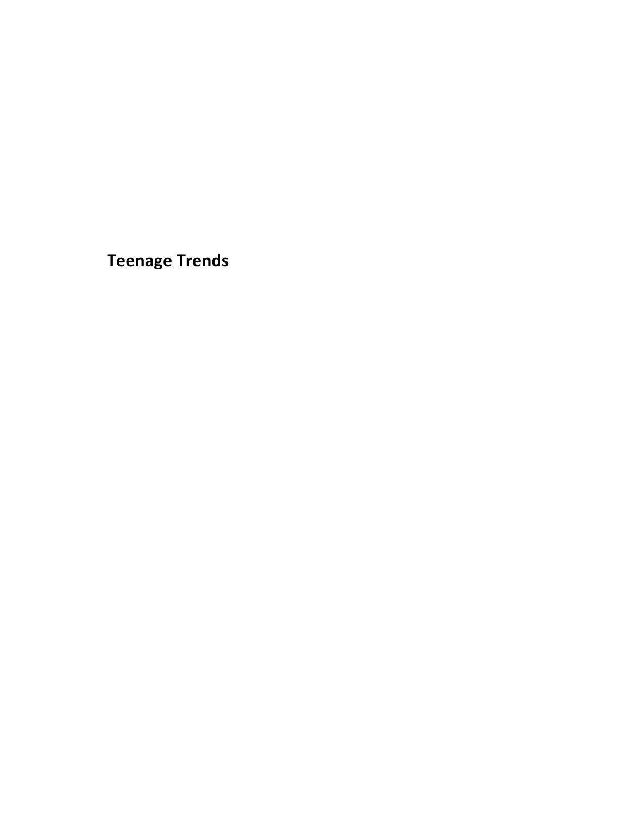<span id="page-45-0"></span>**Teenage Trends**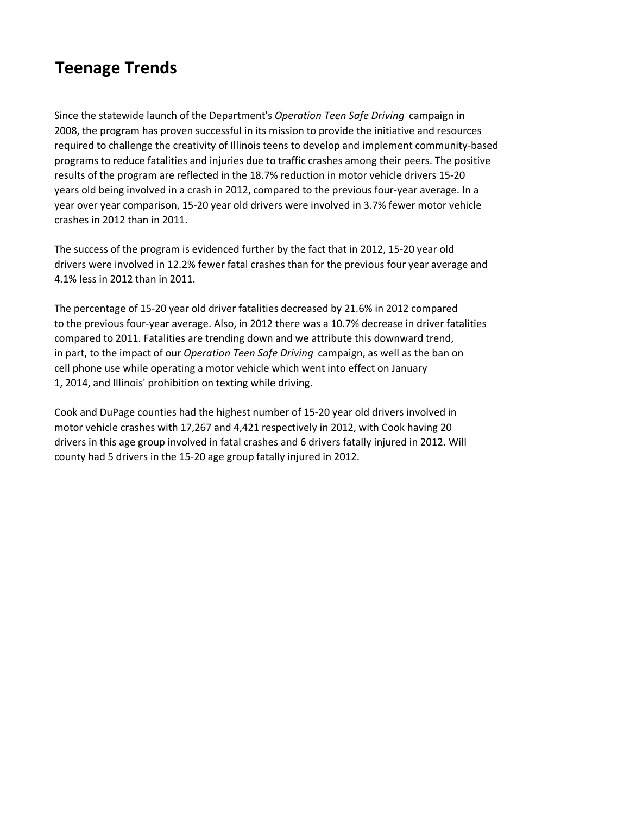## **Teenage Trends**

Since the statewide launch of the Department's *Operation Teen Safe Driving* campaign in 2008, the program has proven successful in its mission to provide the initiative and resources required to challenge the creativity of Illinois teens to develop and implement community-based programs to reduce fatalities and injuries due to traffic crashes among their peers. The positive results of the program are reflected in the 18.7% reduction in motor vehicle drivers 15-20 years old being involved in a crash in 2012, compared to the previous four-year average. In a year over year comparison, 15-20 year old drivers were involved in 3.7% fewer motor vehicle crashes in 2012 than in 2011.

The success of the program is evidenced further by the fact that in 2012, 15-20 year old drivers were involved in 12.2% fewer fatal crashes than for the previous four year average and 4.1% less in 2012 than in 2011.

The percentage of 15-20 year old driver fatalities decreased by 21.6% in 2012 compared to the previous four-year average. Also, in 2012 there was a 10.7% decrease in driver fatalities compared to 2011. Fatalities are trending down and we attribute this downward trend, in part, to the impact of our *Operation Teen Safe Driving* campaign, as well as the ban on cell phone use while operating a motor vehicle which went into effect on January 1, 2014, and Illinois' prohibition on texting while driving.

Cook and DuPage counties had the highest number of 15-20 year old drivers involved in motor vehicle crashes with 17,267 and 4,421 respectively in 2012, with Cook having 20 drivers in this age group involved in fatal crashes and 6 drivers fatally injured in 2012. Will county had 5 drivers in the 15-20 age group fatally injured in 2012.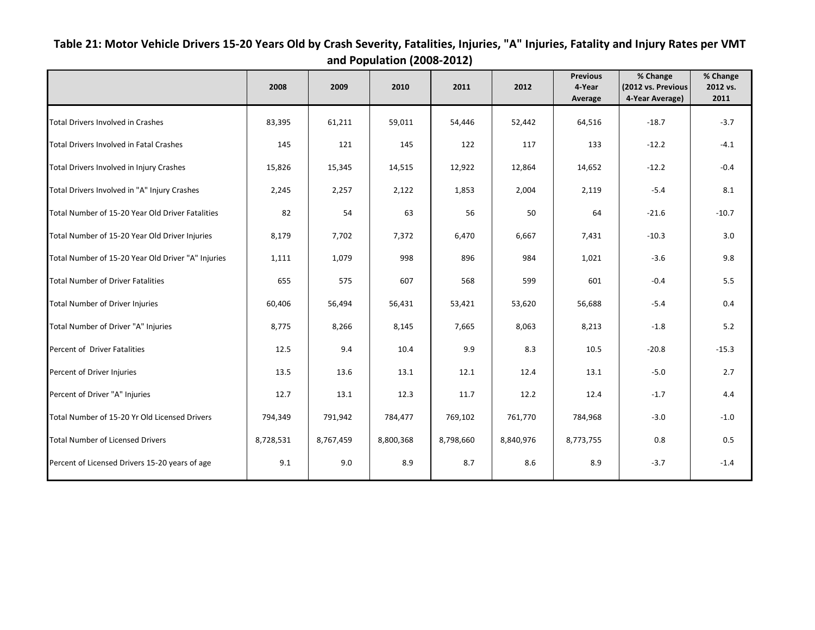|                                                    |           |           |           |           |           | <b>Previous</b> | % Change           | % Change |
|----------------------------------------------------|-----------|-----------|-----------|-----------|-----------|-----------------|--------------------|----------|
|                                                    | 2008      | 2009      | 2010      | 2011      | 2012      | 4-Year          | (2012 vs. Previous | 2012 vs. |
|                                                    |           |           |           |           |           | Average         | 4-Year Average)    | 2011     |
| <b>Total Drivers Involved in Crashes</b>           | 83,395    | 61,211    | 59,011    | 54,446    | 52,442    | 64,516          | $-18.7$            | $-3.7$   |
| Total Drivers Involved in Fatal Crashes            | 145       | 121       | 145       | 122       | 117       | 133             | $-12.2$            | $-4.1$   |
| Total Drivers Involved in Injury Crashes           | 15,826    | 15,345    | 14,515    | 12,922    | 12,864    | 14,652          | $-12.2$            | $-0.4$   |
| Total Drivers Involved in "A" Injury Crashes       | 2,245     | 2,257     | 2,122     | 1,853     | 2,004     | 2,119           | $-5.4$             | 8.1      |
| Total Number of 15-20 Year Old Driver Fatalities   | 82        | 54        | 63        | 56        | 50        | 64              | $-21.6$            | $-10.7$  |
| Total Number of 15-20 Year Old Driver Injuries     | 8,179     | 7,702     | 7,372     | 6,470     | 6,667     | 7,431           | $-10.3$            | 3.0      |
| Total Number of 15-20 Year Old Driver "A" Injuries | 1,111     | 1,079     | 998       | 896       | 984       | 1,021           | $-3.6$             | 9.8      |
| <b>Total Number of Driver Fatalities</b>           | 655       | 575       | 607       | 568       | 599       | 601             | $-0.4$             | 5.5      |
| Total Number of Driver Injuries                    | 60,406    | 56,494    | 56,431    | 53,421    | 53,620    | 56,688          | $-5.4$             | 0.4      |
| Total Number of Driver "A" Injuries                | 8,775     | 8,266     | 8,145     | 7,665     | 8,063     | 8,213           | $-1.8$             | 5.2      |
| Percent of Driver Fatalities                       | 12.5      | 9.4       | 10.4      | 9.9       | 8.3       | 10.5            | $-20.8$            | $-15.3$  |
| Percent of Driver Injuries                         | 13.5      | 13.6      | 13.1      | 12.1      | 12.4      | 13.1            | $-5.0$             | 2.7      |
| Percent of Driver "A" Injuries                     | 12.7      | 13.1      | 12.3      | 11.7      | 12.2      | 12.4            | $-1.7$             | 4.4      |
| Total Number of 15-20 Yr Old Licensed Drivers      | 794,349   | 791,942   | 784,477   | 769,102   | 761,770   | 784,968         | $-3.0$             | $-1.0$   |
| <b>Total Number of Licensed Drivers</b>            | 8,728,531 | 8,767,459 | 8,800,368 | 8,798,660 | 8,840,976 | 8,773,755       | 0.8                | 0.5      |
| Percent of Licensed Drivers 15-20 years of age     | 9.1       | 9.0       | 8.9       | 8.7       | 8.6       | 8.9             | $-3.7$             | $-1.4$   |

<span id="page-47-0"></span>**Table 21: Motor Vehicle Drivers 15-20 Years Old by Crash Severity, Fatalities, Injuries, "A" Injuries, Fatality and Injury Rates per VMT and Population (2008-2012)**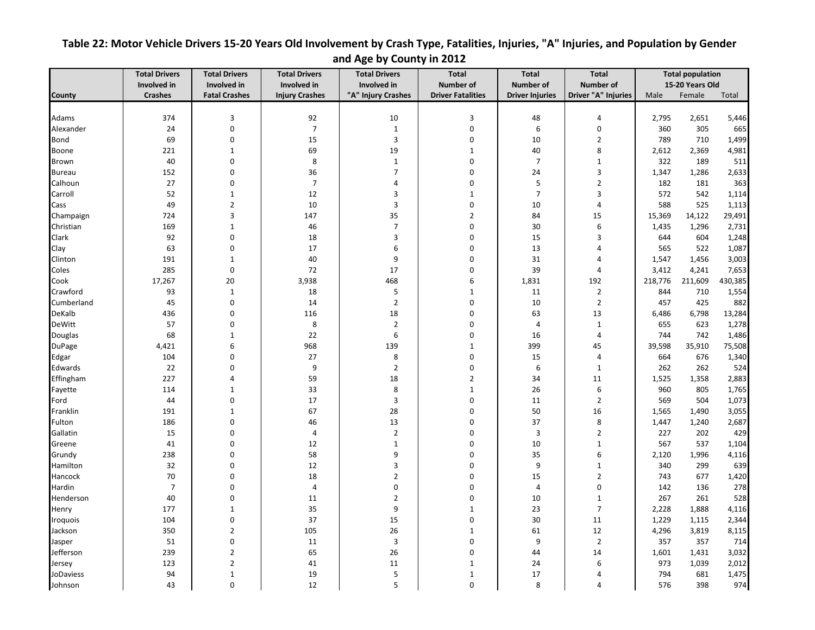|               | <b>Total Drivers</b> | <b>Total Drivers</b> | <b>Total Drivers</b>  | <b>Total Drivers</b> | Total                    | <b>Total</b>           | <b>Total</b>        | <b>Total population</b> |                 |         |
|---------------|----------------------|----------------------|-----------------------|----------------------|--------------------------|------------------------|---------------------|-------------------------|-----------------|---------|
|               | Involved in          | Involved in          | Involved in           | Involved in          | Number of                | <b>Number of</b>       | <b>Number of</b>    |                         | 15-20 Years Old |         |
| County        | <b>Crashes</b>       | <b>Fatal Crashes</b> | <b>Injury Crashes</b> | "A" Injury Crashes   | <b>Driver Fatalities</b> | <b>Driver Injuries</b> | Driver "A" Injuries | Male                    | Female          | Total   |
|               |                      |                      |                       |                      |                          |                        |                     |                         |                 |         |
| Adams         | 374                  | 3                    | 92                    | 10                   | 3                        | 48                     | $\overline{4}$      | 2,795                   | 2,651           | 5,446   |
| Alexander     | 24                   | 0                    | $\overline{7}$        | $\mathbf{1}$         | $\pmb{0}$                | 6                      | $\pmb{0}$           | 360                     | 305             | 665     |
| Bond          | 69                   | $\boldsymbol{0}$     | 15                    | 3                    | $\mathbf 0$              | 10                     | $\overline{2}$      | 789                     | 710             | 1,499   |
| Boone         | 221                  | $\mathbf{1}$         | 69                    | 19                   | $\mathbf{1}$             | 40                     | 8                   | 2,612                   | 2,369           | 4,981   |
| Brown         | 40                   | $\boldsymbol{0}$     | 8                     | $\mathbf{1}$         | $\mathbf 0$              | $\overline{7}$         | $\mathbf 1$         | 322                     | 189             | 511     |
| <b>Bureau</b> | 152                  | $\boldsymbol{0}$     | 36                    | $\overline{7}$       | $\mathbf 0$              | 24                     | $\mathbf{3}$        | 1,347                   | 1,286           | 2,633   |
| Calhoun       | 27                   | 0                    | $\overline{7}$        | 4                    | 0                        | 5                      | $\overline{2}$      | 182                     | 181             | 363     |
| Carroll       | 52                   | $1\,$                | 12                    | 3                    | $\mathbf{1}$             | $\overline{7}$         | $\overline{3}$      | 572                     | 542             | 1,114   |
| Cass          | 49                   | $\overline{2}$       | 10                    | 3                    | $\mathbf 0$              | 10                     | $\overline{4}$      | 588                     | 525             | 1,113   |
| Champaign     | 724                  | $\overline{3}$       | 147                   | 35                   | $\overline{2}$           | 84                     | 15                  | 15,369                  | 14,122          | 29,491  |
| Christian     | 169                  | $\mathbf{1}$         | 46                    | $\boldsymbol{7}$     | $\mathbf 0$              | 30                     | $\boldsymbol{6}$    | 1,435                   | 1,296           | 2,731   |
| Clark         | 92                   | 0                    | 18                    | 3                    | 0                        | 15                     | 3                   | 644                     | 604             | 1,248   |
| Clay          | 63                   | $\boldsymbol{0}$     | 17                    | 6                    | 0                        | 13                     | $\overline{4}$      | 565                     | 522             | 1,087   |
| Clinton       | 191                  | $1\,$                | 40                    | 9                    | 0                        | 31                     | $\overline{4}$      | 1,547                   | 1,456           | 3,003   |
| Coles         | 285                  | $\boldsymbol{0}$     | 72                    | 17                   | $\mathbf 0$              | 39                     | $\overline{4}$      | 3,412                   | 4,241           | 7,653   |
| Cook          | 17,267               | 20                   | 3,938                 | 468                  | 6                        | 1,831                  | 192                 | 218,776                 | 211,609         | 430,385 |
| Crawford      | 93                   | $\mathbf 1$          | 18                    | 5                    | $\mathbf{1}$             | 11                     | $\overline{2}$      | 844                     | 710             | 1,554   |
| Cumberland    | 45                   | $\pmb{0}$            | 14                    | $\overline{2}$       | $\mathbf 0$              | 10                     | $\overline{2}$      | 457                     | 425             | 882     |
| DeKalb        | 436                  | 0                    | 116                   | 18                   | 0                        | 63                     | 13                  | 6,486                   | 6,798           | 13,284  |
| <b>DeWitt</b> | 57                   | $\Omega$             | 8                     | $\overline{2}$       | $\Omega$                 | $\overline{4}$         | $\mathbf 1$         | 655                     | 623             | 1,278   |
| Douglas       | 68                   | $\mathbf{1}$         | 22                    | 6                    | 0                        | 16                     | 4                   | 744                     | 742             | 1,486   |
| DuPage        | 4,421                | 6                    | 968                   | 139                  | $\mathbf{1}$             | 399                    | 45                  | 39,598                  | 35,910          | 75,508  |
| Edgar         | 104                  | 0                    | 27                    | 8                    | 0                        | 15                     | 4                   | 664                     | 676             | 1,340   |
| Edwards       | 22                   | 0                    | 9                     | $\overline{2}$       | 0                        | 6                      | $\mathbf{1}$        | 262                     | 262             | 524     |
| Effingham     | 227                  | $\overline{4}$       | 59                    | 18                   | $\overline{2}$           | 34                     | 11                  | 1,525                   | 1,358           | 2,883   |
|               |                      |                      |                       |                      |                          |                        |                     |                         |                 |         |
| Fayette       | 114                  | $\mathbf{1}$         | 33                    | 8                    | $\mathbf{1}$             | 26                     | 6                   | 960                     | 805             | 1,765   |
| Ford          | 44                   | $\boldsymbol{0}$     | 17                    | 3                    | $\mathbf 0$              | 11                     | $\overline{2}$      | 569                     | 504             | 1,073   |
| Franklin      | 191                  | $\mathbf{1}$         | 67                    | 28                   | 0                        | 50                     | 16                  | 1,565                   | 1,490           | 3,055   |
| Fulton        | 186                  | $\boldsymbol{0}$     | 46                    | 13                   | $\Omega$                 | 37                     | 8                   | 1,447                   | 1,240           | 2,687   |
| Gallatin      | 15                   | $\mathbf 0$          | 4                     | $\overline{2}$       | $\mathbf 0$              | $\overline{3}$         | $\overline{2}$      | 227                     | 202             | 429     |
| Greene        | 41                   | 0                    | 12                    | $\mathbf{1}$         | $\Omega$                 | 10                     | $\mathbf 1$         | 567                     | 537             | 1,104   |
| Grundy        | 238                  | $\mathbf 0$          | 58                    | 9                    | $\mathbf 0$              | 35                     | $\boldsymbol{6}$    | 2,120                   | 1,996           | 4,116   |
| Hamilton      | 32                   | 0                    | 12                    | 3                    | 0                        | 9                      | $1\,$               | 340                     | 299             | 639     |
| Hancock       | 70                   | $\mathbf 0$          | 18                    | $\overline{2}$       | 0                        | 15                     | $\overline{2}$      | 743                     | 677             | 1,420   |
| Hardin        | $\overline{7}$       | 0                    | $\overline{4}$        | 0                    | 0                        | $\overline{4}$         | $\boldsymbol{0}$    | 142                     | 136             | 278     |
| Henderson     | 40                   | $\boldsymbol{0}$     | 11                    | $\overline{2}$       | $\mathbf 0$              | 10                     | $\mathbf{1}$        | 267                     | 261             | 528     |
| Henry         | 177                  | $\mathbf{1}$         | 35                    | 9                    | $\mathbf{1}$             | 23                     | $\overline{7}$      | 2,228                   | 1,888           | 4,116   |
| Iroquois      | 104                  | $\boldsymbol{0}$     | 37                    | 15                   | 0                        | 30                     | 11                  | 1,229                   | 1,115           | 2,344   |
| Jackson       | 350                  | $\overline{2}$       | 105                   | 26                   | $\mathbf{1}$             | 61                     | 12                  | 4,296                   | 3,819           | 8,115   |
| Jasper        | 51                   | $\boldsymbol{0}$     | 11                    | 3                    | 0                        | 9                      | $\overline{2}$      | 357                     | 357             | 714     |
| Jefferson     | 239                  | $\overline{2}$       | 65                    | 26                   | $\mathbf 0$              | 44                     | 14                  | 1,601                   | 1,431           | 3,032   |
| Jersey        | 123                  | $\overline{2}$       | 41                    | 11                   | $\mathbf{1}$             | 24                     | 6                   | 973                     | 1,039           | 2,012   |
| JoDaviess     | 94                   | $1\,$                | 19                    | 5                    | $\mathbf{1}$             | 17                     | $\overline{4}$      | 794                     | 681             | 1,475   |
| Johnson       | 43                   | $\boldsymbol{0}$     | 12                    | 5                    | $\mathbf 0$              | 8                      | $\overline{4}$      | 576                     | 398             | 974     |

### <span id="page-48-0"></span>**Table 22: Motor Vehicle Drivers 15-20 Years Old Involvement by Crash Type, Fatalities, Injuries, "A" Injuries, and Population by Gender and Age by County in 2012**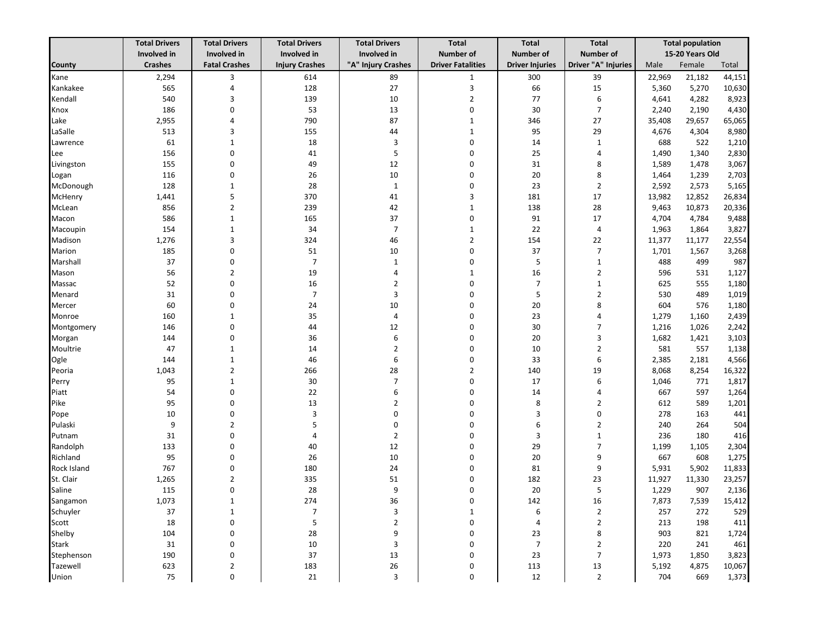|              | <b>Total Drivers</b> | <b>Total Drivers</b> | <b>Total Drivers</b>  | <b>Total Drivers</b> | <b>Total</b>             | <b>Total</b>           | <b>Total</b>        | <b>Total population</b> |                 |        |
|--------------|----------------------|----------------------|-----------------------|----------------------|--------------------------|------------------------|---------------------|-------------------------|-----------------|--------|
|              | Involved in          | Involved in          | Involved in           | Involved in          | <b>Number of</b>         | Number of              | <b>Number of</b>    |                         | 15-20 Years Old |        |
| County       | <b>Crashes</b>       | <b>Fatal Crashes</b> | <b>Injury Crashes</b> | "A" Injury Crashes   | <b>Driver Fatalities</b> | <b>Driver Injuries</b> | Driver "A" Injuries | Male                    | Female          | Total  |
| Kane         | 2,294                | 3                    | 614                   | 89                   | $\mathbf{1}$             | 300                    | 39                  | 22,969                  | 21,182          | 44,151 |
| Kankakee     | 565                  | 4                    | 128                   | 27                   | 3                        | 66                     | 15                  | 5,360                   | 5,270           | 10,630 |
| Kendall      | 540                  | 3                    | 139                   | 10                   | $\overline{2}$           | 77                     | 6                   | 4,641                   | 4,282           | 8,923  |
| Knox         | 186                  | $\mathbf 0$          | 53                    | 13                   | $\mathbf 0$              | 30                     | $\overline{7}$      | 2,240                   | 2,190           | 4,430  |
| Lake         | 2,955                | $\overline{4}$       | 790                   | 87                   | $\mathbf{1}$             | 346                    | 27                  | 35,408                  | 29,657          | 65,065 |
| LaSalle      | 513                  | 3                    | 155                   | 44                   | $\mathbf{1}$             | 95                     | 29                  | 4,676                   | 4,304           | 8,980  |
| Lawrence     | 61                   | $\mathbf{1}$         | 18                    | 3                    | $\mathbf 0$              | 14                     | $\mathbf{1}$        | 688                     | 522             | 1,210  |
| Lee          | 156                  | $\mathbf 0$          | 41                    | 5                    | $\Omega$                 | 25                     | 4                   | 1,490                   | 1,340           | 2,830  |
| Livingston   | 155                  | $\mathbf 0$          | 49                    | 12                   | $\Omega$                 | 31                     | 8                   | 1,589                   | 1,478           | 3,067  |
| Logan        | 116                  | $\mathbf 0$          | 26                    | 10                   | $\Omega$                 | 20                     | 8                   | 1,464                   | 1,239           | 2,703  |
| McDonough    | 128                  | $\mathbf{1}$         | 28                    | $\mathbf{1}$         | $\mathbf 0$              | 23                     | $\overline{2}$      | 2,592                   | 2,573           | 5,165  |
| McHenry      | 1,441                | 5                    | 370                   | 41                   | 3                        | 181                    | 17                  | 13,982                  | 12,852          | 26,834 |
| McLean       | 856                  | $\overline{2}$       | 239                   | 42                   | $\mathbf{1}$             | 138                    | 28                  | 9,463                   | 10,873          | 20,336 |
| Macon        | 586                  | $\mathbf{1}$         | 165                   | 37                   | $\mathbf 0$              | 91                     | 17                  | 4,704                   | 4,784           | 9,488  |
| Macoupin     | 154                  | 1                    | 34                    | $\overline{7}$       | 1                        | 22                     | 4                   | 1,963                   | 1,864           | 3,827  |
| Madison      | 1,276                | 3                    | 324                   | 46                   | $\overline{2}$           | 154                    | 22                  | 11,377                  | 11,177          | 22,554 |
| Marion       | 185                  | $\mathbf 0$          | 51                    | 10                   | $\mathbf 0$              | 37                     | $\overline{7}$      | 1,701                   | 1,567           | 3,268  |
| Marshall     | 37                   | 0                    | $\overline{7}$        | 1                    | 0                        | 5                      | $\mathbf{1}$        | 488                     | 499             | 987    |
| Mason        | 56                   | $\overline{2}$       | 19                    | 4                    | 1                        | 16                     | $\overline{2}$      | 596                     | 531             | 1,127  |
| Massac       | 52                   | $\mathbf 0$          | 16                    | $\overline{2}$       | $\mathbf 0$              | $\overline{7}$         | $\mathbf{1}$        | 625                     | 555             | 1,180  |
| Menard       | 31                   | 0                    | $\overline{7}$        | 3                    | 0                        | 5                      | $\overline{2}$      | 530                     | 489             | 1,019  |
| Mercer       | 60                   | 0                    | 24                    | 10                   | $\Omega$                 | 20                     | 8                   | 604                     | 576             | 1,180  |
| Monroe       | 160                  | $\mathbf{1}$         | 35                    | 4                    | 0                        | 23                     | $\overline{4}$      | 1,279                   | 1,160           | 2,439  |
| Montgomery   | 146                  | $\mathbf 0$          | 44                    | 12                   | 0                        | 30                     | 7                   | 1,216                   | 1,026           | 2,242  |
| Morgan       | 144                  | $\mathbf 0$          | 36                    | 6                    | 0                        | 20                     | 3                   | 1,682                   | 1,421           | 3,103  |
| Moultrie     | 47                   | $\mathbf{1}$         | 14                    | $\overline{2}$       | 0                        | 10                     | $\overline{2}$      | 581                     | 557             | 1,138  |
| Ogle         | 144                  | $\mathbf{1}$         | 46                    | 6                    | 0                        | 33                     | 6                   | 2,385                   | 2,181           | 4,566  |
| Peoria       | 1,043                | $\overline{2}$       | 266                   | 28                   | $\overline{2}$           | 140                    | 19                  | 8,068                   | 8,254           | 16,322 |
| Perry        | 95                   | $\mathbf{1}$         | 30                    | $\overline{7}$       | $\mathbf 0$              | 17                     | 6                   | 1,046                   | 771             | 1,817  |
| Piatt        | 54                   | $\mathbf 0$          | 22                    | 6                    | $\mathbf 0$              | 14                     | 4                   | 667                     | 597             | 1,264  |
| Pike         | 95                   | $\mathbf 0$          | 13                    | $\overline{2}$       | $\Omega$                 | 8                      | $\overline{2}$      | 612                     | 589             | 1,201  |
| Pope         | 10                   | $\mathbf 0$          | 3                     | $\Omega$             | $\mathbf 0$              | 3                      | $\boldsymbol{0}$    | 278                     | 163             | 441    |
| Pulaski      | 9                    | $\overline{2}$       | 5                     | $\Omega$             | $\Omega$                 | 6                      | $\overline{2}$      | 240                     | 264             | 504    |
| Putnam       | 31                   | $\mathbf 0$          | 4                     | $\overline{2}$       | $\Omega$                 | 3                      | 1                   | 236                     | 180             | 416    |
| Randolph     | 133                  | $\mathbf 0$          | 40                    | 12                   | $\Omega$                 | 29                     | 7                   | 1,199                   | 1,105           | 2,304  |
| Richland     | 95                   | $\mathbf 0$          | 26                    | 10                   | 0                        | 20                     | 9                   | 667                     | 608             | 1,275  |
| Rock Island  | 767                  | $\boldsymbol{0}$     | 180                   | 24                   | 0                        | 81                     | 9                   | 5,931                   | 5,902           | 11,833 |
| St. Clair    | 1,265                | $\overline{2}$       | 335                   | 51                   | 0                        | 182                    | 23                  | 11,927                  | 11,330          | 23,257 |
| Saline       | 115                  | $\mathbf 0$          | 28                    | 9                    | $\Omega$                 | 20                     | 5                   | 1,229                   | 907             | 2,136  |
| Sangamon     | 1,073                | 1                    | 274                   | 36                   | 0                        | 142                    | 16                  | 7,873                   | 7,539           | 15,412 |
| Schuyler     | 37                   | $\mathbf{1}$         | $\overline{7}$        | 3                    | $\mathbf{1}$             | 6                      | $\overline{2}$      | 257                     | 272             | 529    |
| Scott        | 18                   | $\boldsymbol{0}$     | 5                     | $\overline{2}$       | $\mathbf 0$              | $\overline{4}$         | $\overline{2}$      | 213                     | 198             | 411    |
| Shelby       | 104                  | 0                    | 28                    | 9                    | $\mathbf 0$              | 23                     | 8                   | 903                     | 821             | 1,724  |
| <b>Stark</b> | 31                   | 0                    | 10                    | 3                    | 0                        | $\overline{7}$         | $\overline{2}$      | 220                     | 241             | 461    |
| Stephenson   | 190                  | 0                    | 37                    | 13                   | $\mathbf 0$              | 23                     | $\overline{7}$      | 1,973                   | 1,850           | 3,823  |
| Tazewell     | 623                  | 2                    | 183                   | 26                   | 0                        | 113                    | 13                  | 5,192                   | 4,875           | 10,067 |
| Union        | 75                   | $\boldsymbol{0}$     | 21                    | 3                    | 0                        | 12                     | $\overline{2}$      | 704                     | 669             | 1,373  |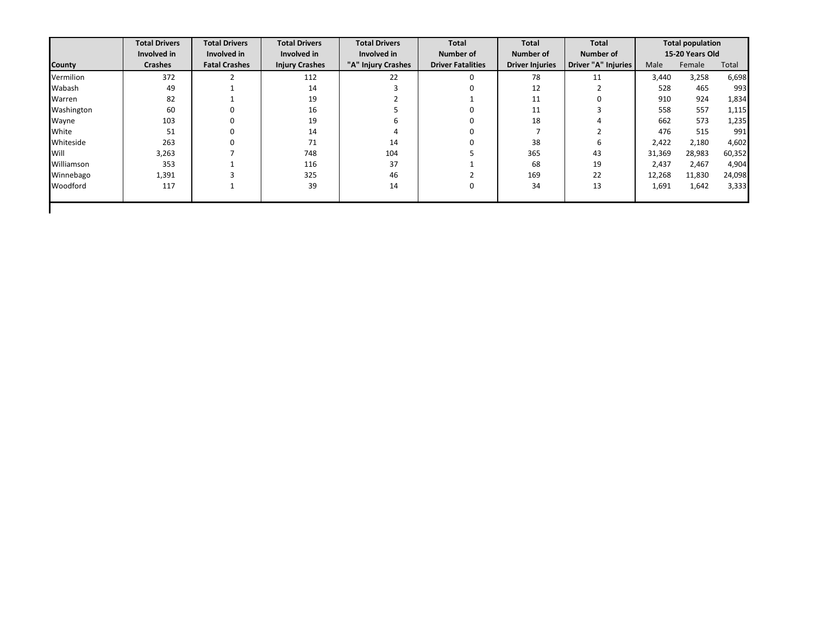|               | <b>Total Drivers</b> | <b>Total Drivers</b> | <b>Total Drivers</b>  | <b>Total Drivers</b> | Total                    | <b>Total</b>           | Total               |        | <b>Total population</b> |        |
|---------------|----------------------|----------------------|-----------------------|----------------------|--------------------------|------------------------|---------------------|--------|-------------------------|--------|
|               | Involved in          | Involved in          | Involved in           | Involved in          | Number of                | Number of              | Number of           |        | 15-20 Years Old         |        |
| <b>County</b> | <b>Crashes</b>       | <b>Fatal Crashes</b> | <b>Injury Crashes</b> | "A" Injury Crashes   | <b>Driver Fatalities</b> | <b>Driver Injuries</b> | Driver "A" Injuries | Male   | Female                  | Total  |
| Vermilion     | 372                  |                      | 112                   | 22                   | $\Omega$                 | 78                     | 11                  | 3,440  | 3,258                   | 6,698  |
| Wabash        | 49                   |                      | 14                    |                      |                          | 12                     |                     | 528    | 465                     | 993    |
| Warren        | 82                   |                      | 19                    |                      |                          | 11                     |                     | 910    | 924                     | 1,834  |
| Washington    | 60                   | 0                    | 16                    |                      |                          | 11                     |                     | 558    | 557                     | 1,115  |
| Wayne         | 103                  | 0                    | 19                    |                      |                          | 18                     |                     | 662    | 573                     | 1,235  |
| White         | 51                   | 0                    | 14                    |                      |                          |                        |                     | 476    | 515                     | 991    |
| Whiteside     | 263                  | 0                    | 71                    | 14                   |                          | 38                     | 6                   | 2,422  | 2,180                   | 4,602  |
| Will          | 3,263                |                      | 748                   | 104                  |                          | 365                    | 43                  | 31,369 | 28,983                  | 60,352 |
| Williamson    | 353                  |                      | 116                   | 37                   |                          | 68                     | 19                  | 2,437  | 2,467                   | 4,904  |
| Winnebago     | 1,391                |                      | 325                   | 46                   |                          | 169                    | 22                  | 12,268 | 11,830                  | 24,098 |
| Woodford      | 117                  |                      | 39                    | 14                   | 0                        | 34                     | 13                  | 1,691  | 1,642                   | 3,333  |
|               |                      |                      |                       |                      |                          |                        |                     |        |                         |        |
|               |                      |                      |                       |                      |                          |                        |                     |        |                         |        |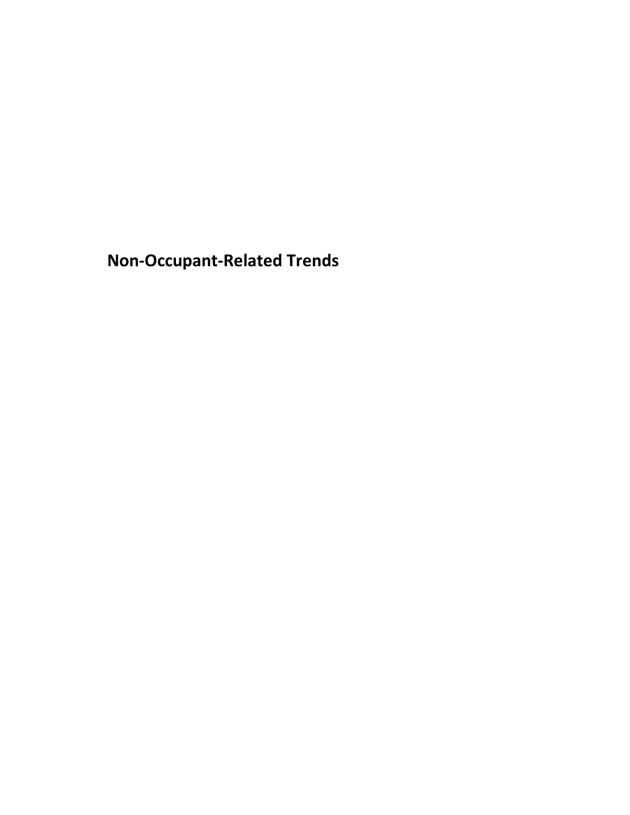<span id="page-51-0"></span>**Non-Occupant-Related Trends**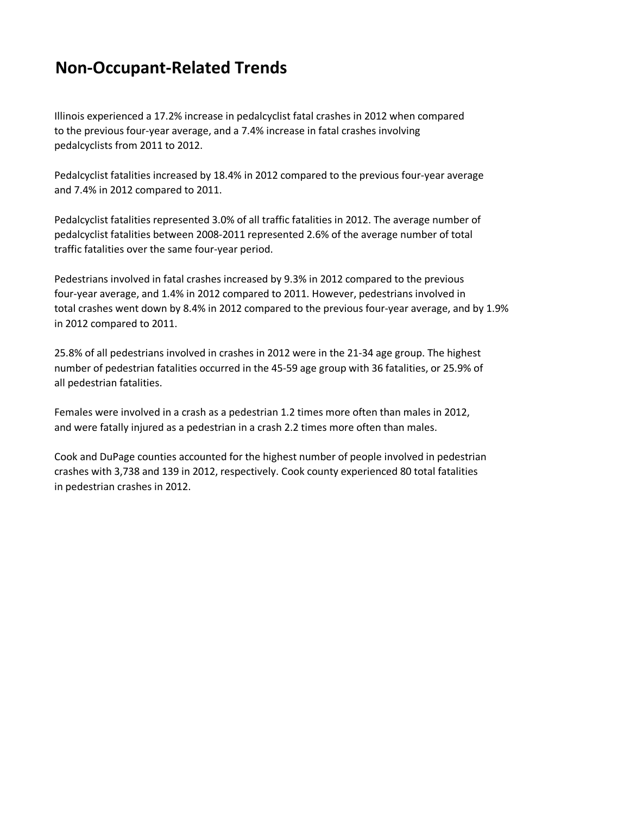# **Non-Occupant-Related Trends**

Illinois experienced a 17.2% increase in pedalcyclist fatal crashes in 2012 when compared to the previous four-year average, and a 7.4% increase in fatal crashes involving pedalcyclists from 2011 to 2012.

Pedalcyclist fatalities increased by 18.4% in 2012 compared to the previous four-year average and 7.4% in 2012 compared to 2011.

Pedalcyclist fatalities represented 3.0% of all traffic fatalities in 2012. The average number of pedalcyclist fatalities between 2008-2011 represented 2.6% of the average number of total traffic fatalities over the same four-year period.

Pedestrians involved in fatal crashes increased by 9.3% in 2012 compared to the previous four-year average, and 1.4% in 2012 compared to 2011. However, pedestrians involved in total crashes went down by 8.4% in 2012 compared to the previous four-year average, and by 1.9% in 2012 compared to 2011.

25.8% of all pedestrians involved in crashes in 2012 were in the 21-34 age group. The highest number of pedestrian fatalities occurred in the 45-59 age group with 36 fatalities, or 25.9% of all pedestrian fatalities.

Females were involved in a crash as a pedestrian 1.2 times more often than males in 2012, and were fatally injured as a pedestrian in a crash 2.2 times more often than males.

Cook and DuPage counties accounted for the highest number of people involved in pedestrian crashes with 3,738 and 139 in 2012, respectively. Cook county experienced 80 total fatalities in pedestrian crashes in 2012.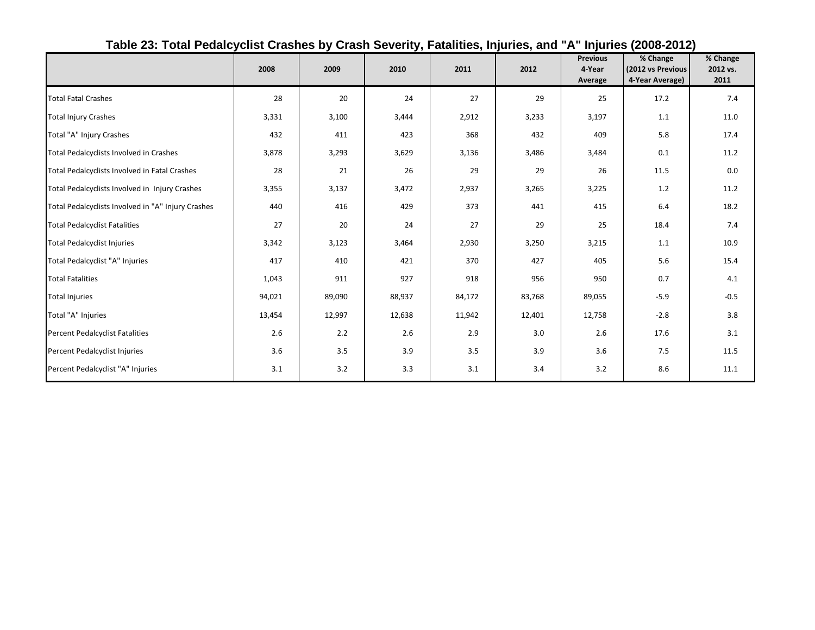<span id="page-53-0"></span>

|                                                    | 2008   | 2009   | 2010   | 2011   | 2012   | <b>Previous</b><br>4-Year<br>Average | % Change<br>(2012 vs Previous<br>4-Year Average) | % Change<br>2012 vs.<br>2011 |
|----------------------------------------------------|--------|--------|--------|--------|--------|--------------------------------------|--------------------------------------------------|------------------------------|
| <b>Total Fatal Crashes</b>                         | 28     | 20     | 24     | 27     | 29     | 25                                   | 17.2                                             | 7.4                          |
| <b>Total Injury Crashes</b>                        | 3,331  | 3,100  | 3,444  | 2,912  | 3,233  | 3,197                                | 1.1                                              | 11.0                         |
| Total "A" Injury Crashes                           | 432    | 411    | 423    | 368    | 432    | 409                                  | 5.8                                              | 17.4                         |
| Total Pedalcyclists Involved in Crashes            | 3,878  | 3,293  | 3,629  | 3,136  | 3,486  | 3,484                                | 0.1                                              | 11.2                         |
| Total Pedalcyclists Involved in Fatal Crashes      | 28     | 21     | 26     | 29     | 29     | 26                                   | 11.5                                             | 0.0                          |
| Total Pedalcyclists Involved in Injury Crashes     | 3,355  | 3,137  | 3,472  | 2,937  | 3,265  | 3,225                                | 1.2                                              | 11.2                         |
| Total Pedalcyclists Involved in "A" Injury Crashes | 440    | 416    | 429    | 373    | 441    | 415                                  | 6.4                                              | 18.2                         |
| <b>Total Pedalcyclist Fatalities</b>               | 27     | 20     | 24     | 27     | 29     | 25                                   | 18.4                                             | 7.4                          |
| <b>Total Pedalcyclist Injuries</b>                 | 3,342  | 3,123  | 3,464  | 2,930  | 3,250  | 3,215                                | 1.1                                              | 10.9                         |
| Total Pedalcyclist "A" Injuries                    | 417    | 410    | 421    | 370    | 427    | 405                                  | 5.6                                              | 15.4                         |
| <b>Total Fatalities</b>                            | 1,043  | 911    | 927    | 918    | 956    | 950                                  | 0.7                                              | 4.1                          |
| <b>Total Injuries</b>                              | 94,021 | 89,090 | 88,937 | 84,172 | 83,768 | 89,055                               | $-5.9$                                           | $-0.5$                       |
| Total "A" Injuries                                 | 13,454 | 12,997 | 12,638 | 11,942 | 12,401 | 12,758                               | $-2.8$                                           | 3.8                          |
| Percent Pedalcyclist Fatalities                    | 2.6    | 2.2    | 2.6    | 2.9    | 3.0    | 2.6                                  | 17.6                                             | 3.1                          |
| Percent Pedalcyclist Injuries                      | 3.6    | 3.5    | 3.9    | 3.5    | 3.9    | 3.6                                  | 7.5                                              | 11.5                         |
| Percent Pedalcyclist "A" Injuries                  | 3.1    | 3.2    | 3.3    | 3.1    | 3.4    | 3.2                                  | 8.6                                              | 11.1                         |

## **Table 23: Total Pedalcyclist Crashes by Crash Severity, Fatalities, Injuries, and "A" Injuries (2008-2012)**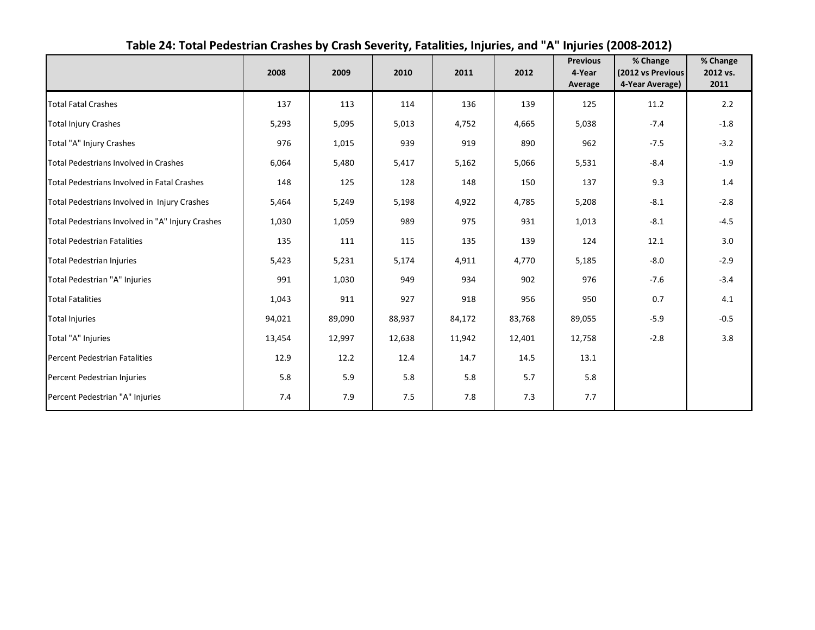<span id="page-54-0"></span>

|                                                  | 2008   | 2009   | 2010   | 2011   | 2012   | <b>Previous</b><br>4-Year<br>Average | % Change<br>(2012 vs Previous<br>4-Year Average) | % Change<br>2012 vs.<br>2011 |
|--------------------------------------------------|--------|--------|--------|--------|--------|--------------------------------------|--------------------------------------------------|------------------------------|
| <b>Total Fatal Crashes</b>                       | 137    | 113    | 114    | 136    | 139    | 125                                  | 11.2                                             | 2.2                          |
| <b>Total Injury Crashes</b>                      | 5,293  | 5,095  | 5,013  | 4,752  | 4,665  | 5,038                                | $-7.4$                                           | $-1.8$                       |
| Total "A" Injury Crashes                         | 976    | 1,015  | 939    | 919    | 890    | 962                                  | $-7.5$                                           | $-3.2$                       |
| Total Pedestrians Involved in Crashes            | 6,064  | 5,480  | 5,417  | 5,162  | 5,066  | 5,531                                | $-8.4$                                           | $-1.9$                       |
| Total Pedestrians Involved in Fatal Crashes      | 148    | 125    | 128    | 148    | 150    | 137                                  | 9.3                                              | 1.4                          |
| Total Pedestrians Involved in Injury Crashes     | 5,464  | 5,249  | 5,198  | 4,922  | 4,785  | 5,208                                | $-8.1$                                           | $-2.8$                       |
| Total Pedestrians Involved in "A" Injury Crashes | 1,030  | 1,059  | 989    | 975    | 931    | 1,013                                | $-8.1$                                           | $-4.5$                       |
| <b>Total Pedestrian Fatalities</b>               | 135    | 111    | 115    | 135    | 139    | 124                                  | 12.1                                             | 3.0                          |
| <b>Total Pedestrian Injuries</b>                 | 5,423  | 5,231  | 5,174  | 4,911  | 4,770  | 5,185                                | $-8.0$                                           | $-2.9$                       |
| Total Pedestrian "A" Injuries                    | 991    | 1,030  | 949    | 934    | 902    | 976                                  | $-7.6$                                           | $-3.4$                       |
| <b>Total Fatalities</b>                          | 1,043  | 911    | 927    | 918    | 956    | 950                                  | 0.7                                              | 4.1                          |
| <b>Total Injuries</b>                            | 94,021 | 89,090 | 88,937 | 84,172 | 83,768 | 89,055                               | $-5.9$                                           | $-0.5$                       |
| Total "A" Injuries                               | 13,454 | 12,997 | 12,638 | 11,942 | 12,401 | 12,758                               | $-2.8$                                           | 3.8                          |
| <b>Percent Pedestrian Fatalities</b>             | 12.9   | 12.2   | 12.4   | 14.7   | 14.5   | 13.1                                 |                                                  |                              |
| Percent Pedestrian Injuries                      | 5.8    | 5.9    | 5.8    | 5.8    | 5.7    | 5.8                                  |                                                  |                              |
| Percent Pedestrian "A" Injuries                  | 7.4    | 7.9    | 7.5    | 7.8    | 7.3    | 7.7                                  |                                                  |                              |

## **Table 24: Total Pedestrian Crashes by Crash Severity, Fatalities, Injuries, and "A" Injuries (2008-2012)**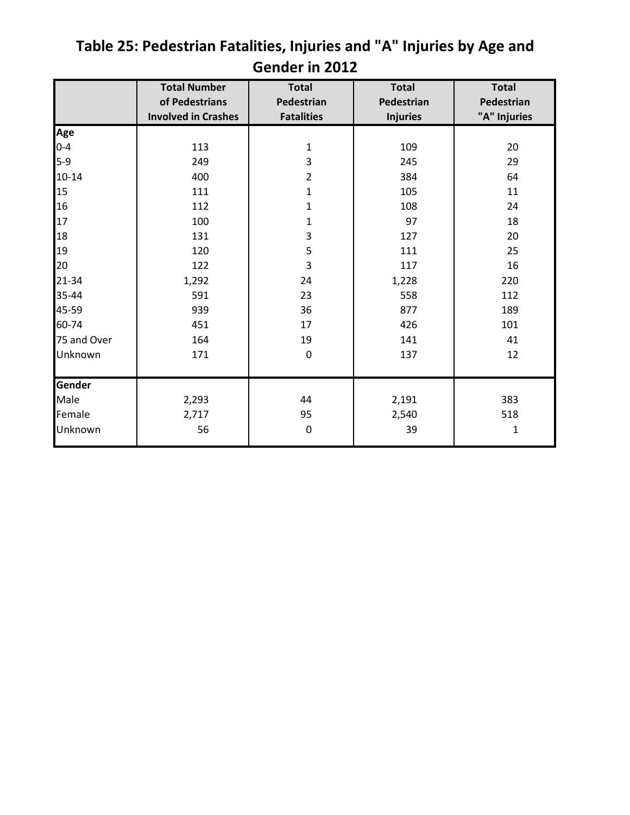|             | <b>Total Number</b>        | <b>Total</b>      | <b>Total</b>    | <b>Total</b> |
|-------------|----------------------------|-------------------|-----------------|--------------|
|             | of Pedestrians             | Pedestrian        | Pedestrian      | Pedestrian   |
|             | <b>Involved in Crashes</b> | <b>Fatalities</b> | <b>Injuries</b> | "A" Injuries |
| Age         |                            |                   |                 |              |
| $0 - 4$     | 113                        | $\mathbf 1$       | 109             | 20           |
| $5-9$       | 249                        | 3                 | 245             | 29           |
| $10 - 14$   | 400                        | $\overline{2}$    | 384             | 64           |
| 15          | 111                        | $\mathbf 1$       | 105             | 11           |
| 16          | 112                        | $\mathbf{1}$      | 108             | 24           |
| 17          | 100                        | $\mathbf{1}$      | 97              | 18           |
| 18          | 131                        | 3                 | 127             | 20           |
| 19          | 120                        | 5                 | 111             | 25           |
| 20          | 122                        | 3                 | 117             | 16           |
| 21-34       | 1,292                      | 24                | 1,228           | 220          |
| 35-44       | 591                        | 23                | 558             | 112          |
| 45-59       | 939                        | 36                | 877             | 189          |
| 60-74       | 451                        | 17                | 426             | 101          |
| 75 and Over | 164                        | 19                | 141             | 41           |
| Unknown     | 171                        | $\mathbf 0$       | 137             | 12           |
|             |                            |                   |                 |              |
| Gender      |                            |                   |                 |              |
| Male        | 2,293                      | 44                | 2,191           | 383          |
| Female      | 2,717                      | 95                | 2,540           | 518          |
| Unknown     | 56                         | $\pmb{0}$         | 39              | 1            |

# <span id="page-55-0"></span>**Table 25: Pedestrian Fatalities, Injuries and "A" Injuries by Age and Gender in 2012**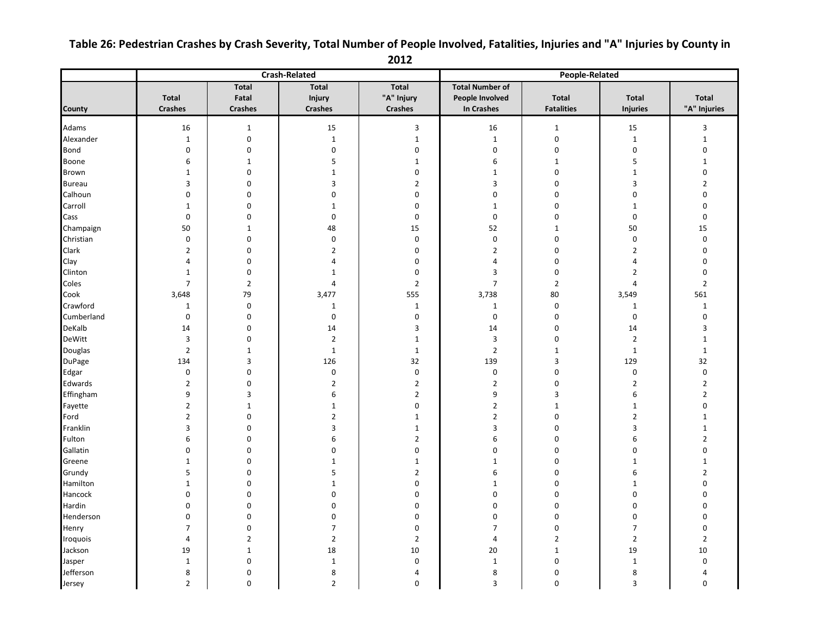## <span id="page-56-0"></span>**Table 26: Pedestrian Crashes by Crash Severity, Total Number of People Involved, Fatalities, Injuries and "A" Injuries by County in**

**2012**

|               |                |                  | <b>Crash-Related</b> | <b>People-Related</b> |                        |                   |                   |                         |
|---------------|----------------|------------------|----------------------|-----------------------|------------------------|-------------------|-------------------|-------------------------|
|               |                | <b>Total</b>     | <b>Total</b>         | <b>Total</b>          | <b>Total Number of</b> |                   |                   |                         |
|               | <b>Total</b>   | Fatal            | Injury               | "A" Injury            | People Involved        | <b>Total</b>      | <b>Total</b>      | <b>Total</b>            |
| County        | <b>Crashes</b> | <b>Crashes</b>   | <b>Crashes</b>       | <b>Crashes</b>        | <b>In Crashes</b>      | <b>Fatalities</b> | <b>Injuries</b>   | "A" Injuries            |
| Adams         | 16             | $\mathbf 1$      | 15                   |                       | 16                     | $\mathbf 1$       |                   | $\overline{\mathbf{3}}$ |
| Alexander     | $\mathbf 1$    | $\mathbf 0$      | $\mathbf 1$          | 3<br>$\mathbf 1$      | $\mathbf 1$            | $\pmb{0}$         | 15<br>$\mathbf 1$ | $\mathbf{1}$            |
| Bond          | $\pmb{0}$      | $\mathbf 0$      | $\pmb{0}$            | 0                     | $\mathbf 0$            | $\pmb{0}$         | $\boldsymbol{0}$  | $\mathbf 0$             |
| Boone         | 6              | $\mathbf{1}$     | 5                    | $\mathbf{1}$          | 6                      | $\mathbf 1$       | 5                 | $\mathbf{1}$            |
| Brown         | $\mathbf 1$    | $\mathbf 0$      | $\mathbf 1$          | 0                     | $\mathbf{1}$           | $\pmb{0}$         | $\mathbf 1$       | $\pmb{0}$               |
| <b>Bureau</b> | 3              | 0                | $\mathsf 3$          | $\overline{2}$        | 3                      | $\mathbf 0$       | $\mathsf 3$       | $\overline{2}$          |
| Calhoun       | $\pmb{0}$      | $\mathbf 0$      | $\pmb{0}$            | $\pmb{0}$             | $\pmb{0}$              | $\pmb{0}$         | $\pmb{0}$         | $\pmb{0}$               |
| Carroll       | $\mathbf 1$    | $\mathbf 0$      | $\mathbf 1$          | $\pmb{0}$             | $\mathbf 1$            | $\pmb{0}$         | $\mathbf{1}$      | $\pmb{0}$               |
| Cass          | $\pmb{0}$      | 0                | $\mathbf 0$          | 0                     | $\mathbf 0$            | $\mathbf 0$       | $\mathbf 0$       | $\mathbf 0$             |
| Champaign     | 50             | $\mathbf 1$      | 48                   | 15                    | 52                     | $1\,$             | 50                | 15                      |
| Christian     | $\pmb{0}$      | 0                | $\pmb{0}$            | $\pmb{0}$             | $\pmb{0}$              | $\pmb{0}$         | $\boldsymbol{0}$  | $\boldsymbol{0}$        |
| Clark         | $\overline{2}$ | $\mathbf 0$      | $\overline{2}$       | $\pmb{0}$             | $\overline{2}$         | $\mathbf 0$       | $\overline{2}$    | $\mathbf 0$             |
| Clay          | $\overline{4}$ | $\mathbf 0$      | $\overline{4}$       | $\mathbf 0$           | $\overline{4}$         | $\mathbf 0$       | $\overline{4}$    | $\mathbf 0$             |
| Clinton       | $1\,$          | 0                | $\mathbf{1}$         | 0                     | 3                      | $\pmb{0}$         | $\mathbf 2$       | $\mathbf 0$             |
| Coles         | $\overline{7}$ | $\overline{2}$   | $\overline{4}$       | $\overline{2}$        | $\overline{7}$         | $\overline{2}$    | 4                 | $\overline{2}$          |
| Cook          | 3,648          | 79               | 3,477                | 555                   | 3,738                  | 80                | 3,549             | 561                     |
| Crawford      | $1\,$          | $\boldsymbol{0}$ | $\mathbf{1}$         | $\mathbf{1}$          | $\mathbf{1}$           | $\pmb{0}$         | $\mathbf{1}$      | $\mathbf 1$             |
| Cumberland    | $\pmb{0}$      | 0                | $\mathbf 0$          | $\bf{0}$              | $\mathbf 0$            | $\pmb{0}$         | $\mathbf 0$       | $\pmb{0}$               |
| DeKalb        | 14             | $\mathbf 0$      | 14                   | 3                     | 14                     | $\pmb{0}$         | 14                | 3                       |
| DeWitt        | 3              | 0                | $\overline{2}$       | $\mathbf{1}$          | 3                      | $\pmb{0}$         | $\overline{2}$    | $\mathbf{1}$            |
| Douglas       | $\mathbf 2$    | $\mathbf 1$      | $\mathbf 1$          | $\mathbf{1}$          | $\overline{2}$         | $\mathbf 1$       | $\mathbf{1}$      | $\mathbf 1$             |
| <b>DuPage</b> | 134            | 3                | 126                  | 32                    | 139                    | $\overline{3}$    | 129               | 32                      |
| Edgar         | $\pmb{0}$      | $\mathbf 0$      | $\mathbf 0$          | 0                     | $\mathbf 0$            | $\mathbf 0$       | $\mathbf 0$       | $\mathbf 0$             |
| Edwards       | $\mathbf 2$    | $\mathbf 0$      | $\mathbf 2$          | $\mathbf 2$           | $\overline{2}$         | $\pmb{0}$         | $\mathbf 2$       | $\mathbf{2}$            |
| Effingham     | 9              | 3                | $\,6\,$              | $\overline{2}$        | 9                      | $\overline{3}$    | 6                 | $\overline{2}$          |
| Fayette       | $\overline{2}$ | $\mathbf{1}$     | $\mathbf{1}$         | $\mathbf 0$           | $\overline{2}$         | $\mathbf 1$       | $\mathbf{1}$      | $\mathbf 0$             |
| Ford          | $\mathbf 2$    | $\mathsf 0$      | $\mathbf 2$          | $\mathbf 1$           | $\mathbf 2$            | $\pmb{0}$         | $\mathbf 2$       | $\mathbf{1}$            |
| Franklin      | 3              | $\mathbf 0$      | 3                    | $\mathbf{1}$          | 3                      | $\pmb{0}$         | 3                 | $\mathbf{1}$            |
| Fulton        | 6              | $\mathbf 0$      | 6                    | $\overline{2}$        | 6                      | $\mathbf 0$       | 6                 | $\overline{2}$          |
| Gallatin      | $\pmb{0}$      | 0                | $\mathbf 0$          | 0                     | $\mathbf 0$            | $\mathbf 0$       | $\boldsymbol{0}$  | 0                       |
| Greene        | $1\,$          | 0                | $\mathbf 1$          | $\mathbf{1}$          | $\mathbf{1}$           | $\pmb{0}$         | $\mathbf{1}$      | $\mathbf{1}$            |
| Grundy        | 5              | $\mathbf 0$      | $\sf 5$              | $\overline{2}$        | 6                      | $\boldsymbol{0}$  | $\boldsymbol{6}$  | $\overline{2}$          |
| Hamilton      | $1\,$          | 0                | $\mathbf 1$          | 0                     | $\mathbf{1}$           | $\mathbf 0$       | $\mathbf{1}$      | $\mathbf 0$             |
| Hancock       | $\mathbf 0$    | $\mathbf 0$      | $\mathbf 0$          | 0                     | $\mathbf 0$            | $\pmb{0}$         | $\mathbf 0$       | 0                       |
| Hardin        | $\pmb{0}$      | 0                | $\pmb{0}$            | $\bf{0}$              | $\mathbf 0$            | $\boldsymbol{0}$  | 0                 | 0                       |
| Henderson     | $\pmb{0}$      | 0                | $\mathbf 0$          | 0                     | $\mathbf 0$            | $\pmb{0}$         | $\boldsymbol{0}$  | $\mathbf 0$             |
| Henry         | $\overline{7}$ | $\mathbf 0$      | $\overline{7}$       | $\pmb{0}$             | $\overline{7}$         | $\pmb{0}$         | $\overline{7}$    | $\pmb{0}$               |
| Iroquois      | $\overline{a}$ | $\overline{2}$   | $\overline{2}$       | $\overline{2}$        | 4                      | $\overline{2}$    | $\mathbf 2$       | $\overline{2}$          |
| Jackson       | 19             | $\mathbf{1}$     | 18                   | 10                    | 20                     | $\mathbf 1$       | 19                | 10                      |
| Jasper        | $\mathbf 1$    | $\pmb{0}$        | $\mathbf 1$          | $\mathbf 0$           | $\mathbf 1$            | $\pmb{0}$         | $\mathbf{1}$      | $\mathbf 0$             |
| Jefferson     | 8              | $\mathbf 0$      | $\bf 8$              | 4                     | 8                      | $\pmb{0}$         | 8                 | $\overline{4}$          |
| Jersey        | $\overline{2}$ | $\mathbf 0$      | $\overline{2}$       | $\mathbf 0$           | 3                      | $\mathbf 0$       | $\overline{3}$    | $\mathbf 0$             |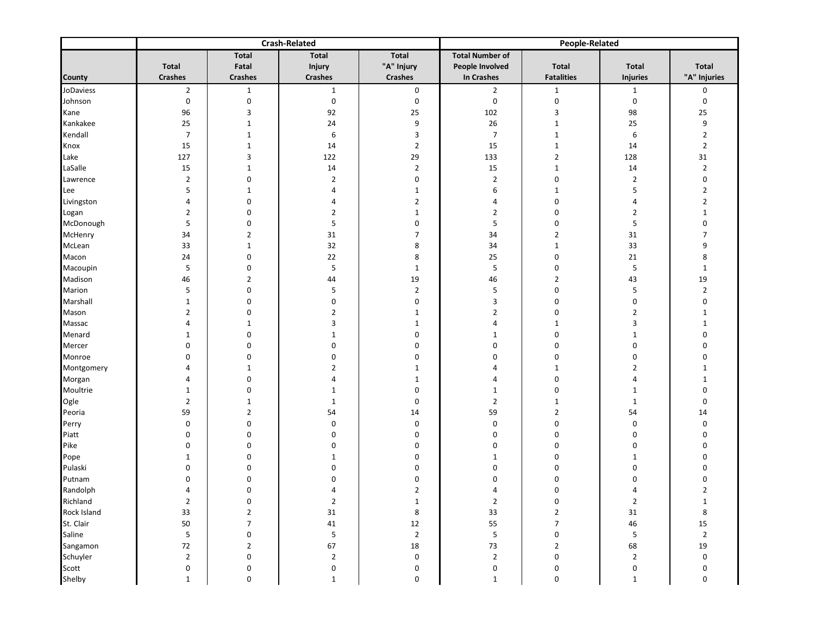|             |                  |                  | <b>Crash-Related</b> |                  | <b>People-Related</b>   |                   |                 |                  |  |  |
|-------------|------------------|------------------|----------------------|------------------|-------------------------|-------------------|-----------------|------------------|--|--|
|             |                  | Total            | Total                | Total            | <b>Total Number of</b>  |                   |                 |                  |  |  |
|             | <b>Total</b>     | Fatal            | <b>Injury</b>        | "A" Injury       | People Involved         | <b>Total</b>      | <b>Total</b>    | Total            |  |  |
| County      | <b>Crashes</b>   | <b>Crashes</b>   | <b>Crashes</b>       | <b>Crashes</b>   | In Crashes              | <b>Fatalities</b> | <b>Injuries</b> | "A" Injuries     |  |  |
| JoDaviess   | $\overline{2}$   | $\mathbf{1}$     | $\mathbf{1}$         | $\mathbf 0$      | $\overline{2}$          | $\mathbf{1}$      | $\mathbf{1}$    | 0                |  |  |
| Johnson     | $\pmb{0}$        | $\pmb{0}$        | 0                    | $\pmb{0}$        | $\pmb{0}$               | $\boldsymbol{0}$  | $\pmb{0}$       | $\pmb{0}$        |  |  |
| Kane        | 96               | 3                | 92                   | 25               | 102                     | 3                 | 98              | 25               |  |  |
| Kankakee    | 25               | $\mathbf{1}$     | 24                   | 9                | $26\,$                  | $\mathbf{1}$      | 25              | 9                |  |  |
| Kendall     | $\boldsymbol{7}$ | $\mathbf{1}$     | 6                    | 3                | $\overline{7}$          | $\mathbf{1}$      | 6               | $\mathbf 2$      |  |  |
| Knox        | 15               | $\mathbf{1}$     | 14                   | $\overline{2}$   | 15                      | $\mathbf{1}$      | 14              | $\overline{2}$   |  |  |
| Lake        | 127              | 3                | 122                  | 29               | 133                     | $\overline{2}$    | 128             | 31               |  |  |
| LaSalle     | 15               | $1\,$            | 14                   | $\overline{2}$   | 15                      | $\mathbf{1}$      | 14              | $\mathbf 2$      |  |  |
| Lawrence    | $\overline{2}$   | 0                | $\overline{2}$       | $\pmb{0}$        | $\overline{2}$          | $\mathbf 0$       | $\overline{2}$  | $\pmb{0}$        |  |  |
| Lee         | 5                | $\mathbf{1}$     | 4                    | $\mathbf{1}$     | $\,6\,$                 | $\mathbf{1}$      | 5               | $\mathbf 2$      |  |  |
| Livingston  | $\overline{a}$   | 0                | 4                    | $\overline{2}$   | 4                       | 0                 | 4               | $\overline{2}$   |  |  |
| Logan       | $\overline{2}$   | 0                | 2                    | $\mathbf{1}$     | $\overline{2}$          | 0                 | $\overline{2}$  | $\mathbf{1}$     |  |  |
| McDonough   | 5                | 0                | 5                    | 0                | 5                       | 0                 | 5               | 0                |  |  |
| McHenry     | 34               | $\overline{2}$   | 31                   | $\overline{7}$   | 34                      | $\overline{2}$    | 31              | 7                |  |  |
| McLean      | 33               | $\mathbf{1}$     | 32                   | 8                | 34                      | $\mathbf{1}$      | 33              | 9                |  |  |
| Macon       | 24               | 0                | 22                   | 8                | 25                      | 0                 | $21\,$          | 8                |  |  |
| Macoupin    | 5                | 0                | 5                    | $\mathbf{1}$     | 5                       | $\mathbf 0$       | 5               | $\mathbf 1$      |  |  |
| Madison     | 46               | $\overline{2}$   | 44                   | 19               | 46                      | $\overline{2}$    | 43              | 19               |  |  |
| Marion      | 5                | 0                | 5                    | $\overline{2}$   | 5                       | 0                 | 5               | $\overline{2}$   |  |  |
| Marshall    | $1\,$            | 0                | 0                    | $\pmb{0}$        | $\overline{\mathbf{3}}$ | $\pmb{0}$         | 0               | $\pmb{0}$        |  |  |
| Mason       | $\overline{2}$   | 0                | $\overline{2}$       | 1                | $\overline{2}$          | 0                 | $\overline{2}$  | $\mathbf{1}$     |  |  |
| Massac      | $\overline{a}$   | $\mathbf{1}$     | 3                    | $\mathbf{1}$     | 4                       | 1                 | 3               | $\mathbf{1}$     |  |  |
| Menard      | $\mathbf{1}$     | 0                | $\mathbf{1}$         | $\bf{0}$         | $1\,$                   | 0                 | $1\,$           | $\mathbf 0$      |  |  |
| Mercer      | $\pmb{0}$        | 0                | 0                    | 0                | $\pmb{0}$               | 0                 | 0               | $\mathbf 0$      |  |  |
| Monroe      | $\pmb{0}$        | 0                | 0                    | 0                | $\pmb{0}$               | $\pmb{0}$         | 0               | $\pmb{0}$        |  |  |
| Montgomery  | 4                | $\mathbf{1}$     | 2                    | 1                | 4                       | $\mathbf{1}$      | $\overline{2}$  | $\mathbf{1}$     |  |  |
| Morgan      | 4                | 0                | 4                    | $\mathbf{1}$     | 4                       | $\mathbf 0$       | 4               | $\mathbf{1}$     |  |  |
| Moultrie    | $\mathbf{1}$     | 0                | $\mathbf 1$          | $\boldsymbol{0}$ | $1\,$                   | $\mathbf 0$       | $\mathbf{1}$    | $\mathbf 0$      |  |  |
| Ogle        | $\overline{2}$   | $\mathbf{1}$     | $\mathbf{1}$         | 0                | $\overline{2}$          | $\mathbf{1}$      | $\mathbf{1}$    | $\mathbf 0$      |  |  |
| Peoria      | 59               | $\overline{2}$   | 54                   | 14               | 59                      | $\overline{2}$    | 54              | 14               |  |  |
| Perry       | $\pmb{0}$        | 0                | 0                    | 0                | $\boldsymbol{0}$        | 0                 | 0               | $\mathbf 0$      |  |  |
| Piatt       | 0                | 0                | 0                    | $\bf{0}$         | $\boldsymbol{0}$        | $\mathbf 0$       | 0               | $\mathbf 0$      |  |  |
| Pike        | $\pmb{0}$        | $\mathbf 0$      | 0                    | $\bf{0}$         | $\mathbf 0$             | 0                 | 0               | $\mathbf 0$      |  |  |
| Pope        | $\mathbf{1}$     | 0                | $\mathbf 1$          | $\bf{0}$         | $1\,$                   | $\pmb{0}$         | $1\,$           | $\mathbf 0$      |  |  |
| Pulaski     | $\pmb{0}$        | 0                | 0                    | 0                | $\pmb{0}$               | $\pmb{0}$         | 0               | $\mathbf 0$      |  |  |
| Putnam      | $\pmb{0}$        | 0                | 0                    | $\mathbf 0$      | $\mathbf 0$             | 0                 | 0               | $\mathbf 0$      |  |  |
| Randolph    | $\overline{a}$   | 0                | 4                    | $\overline{2}$   | $\overline{4}$          | $\mathbf 0$       | 4               | $\overline{2}$   |  |  |
| Richland    | $\overline{2}$   | 0                | 2                    | 1                | $\overline{2}$          | 0                 | $\overline{2}$  | $\mathbf{1}$     |  |  |
| Rock Island | 33               | $\overline{2}$   | 31                   | $\bf 8$          | 33                      | $\overline{2}$    | $31\,$          | 8                |  |  |
| St. Clair   | 50               | $\overline{7}$   | $41\,$               | $12\,$           | 55                      | $\overline{7}$    | $\sqrt{46}$     | 15               |  |  |
| Saline      | $\mathsf S$      | 0                | $\mathsf S$          | $\overline{2}$   | $\sf 5$                 | 0                 | $\mathsf S$     | $\overline{2}$   |  |  |
| Sangamon    | 72               | $\overline{2}$   | 67                   | 18               | 73                      | $\overline{2}$    | 68              | $19\,$           |  |  |
| Schuyler    | $\mathbf 2$      | $\mathbf 0$      | $\mathbf 2$          | $\pmb{0}$        | $\overline{2}$          | $\mathbf 0$       | $\overline{2}$  | $\boldsymbol{0}$ |  |  |
| Scott       | $\pmb{0}$        | $\boldsymbol{0}$ | 0                    | $\pmb{0}$        | $\mathbf 0$             | 0                 | 0               | 0                |  |  |
| Shelby      | $\mathbf{1}$     | 0                | $\mathbf{1}$         | 0                | $\mathbf{1}$            | $\mathbf 0$       | $\mathbf{1}$    | 0                |  |  |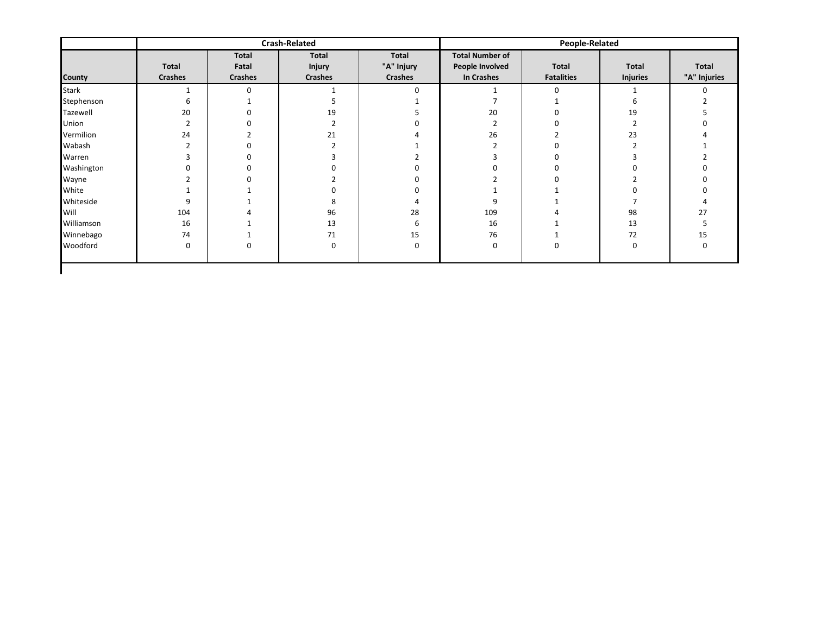| Total<br>Fatal<br><b>Crashes</b><br>$\Omega$ | Total<br><b>Injury</b><br><b>Crashes</b> | Total<br>"A" Injury<br><b>Crashes</b><br>$\Omega$ | <b>Total Number of</b><br>People Involved<br>In Crashes | Total<br><b>Fatalities</b> | Total<br><b>Injuries</b> | Total        |
|----------------------------------------------|------------------------------------------|---------------------------------------------------|---------------------------------------------------------|----------------------------|--------------------------|--------------|
|                                              |                                          |                                                   |                                                         |                            |                          | "A" Injuries |
|                                              |                                          |                                                   |                                                         | $\mathbf 0$                |                          | $\Omega$     |
|                                              |                                          |                                                   |                                                         |                            |                          |              |
|                                              | 19                                       |                                                   | 20                                                      |                            | 19                       |              |
|                                              |                                          |                                                   |                                                         |                            |                          |              |
|                                              | 21                                       |                                                   | 26                                                      |                            | 23                       |              |
|                                              |                                          |                                                   |                                                         |                            |                          |              |
|                                              |                                          |                                                   |                                                         |                            |                          |              |
|                                              |                                          |                                                   |                                                         |                            |                          |              |
|                                              |                                          |                                                   |                                                         |                            |                          |              |
|                                              |                                          |                                                   |                                                         |                            |                          |              |
|                                              |                                          |                                                   | 9                                                       |                            |                          |              |
|                                              | 96                                       | 28                                                | 109                                                     |                            | 98                       | 27           |
|                                              | 13                                       | 6                                                 | 16                                                      |                            | 13                       |              |
|                                              | 71                                       | 15                                                | 76                                                      |                            | 72                       | 15           |
|                                              | 0                                        | 0                                                 | 0                                                       | $\Omega$                   | $\Omega$                 | <sup>0</sup> |
|                                              |                                          |                                                   |                                                         |                            |                          |              |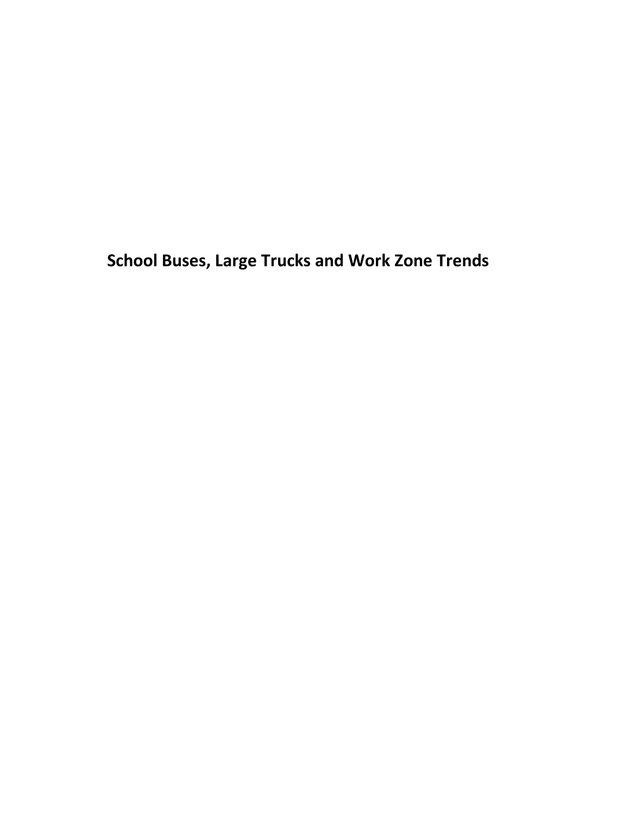<span id="page-59-0"></span>**School Buses, Large Trucks and Work Zone Trends**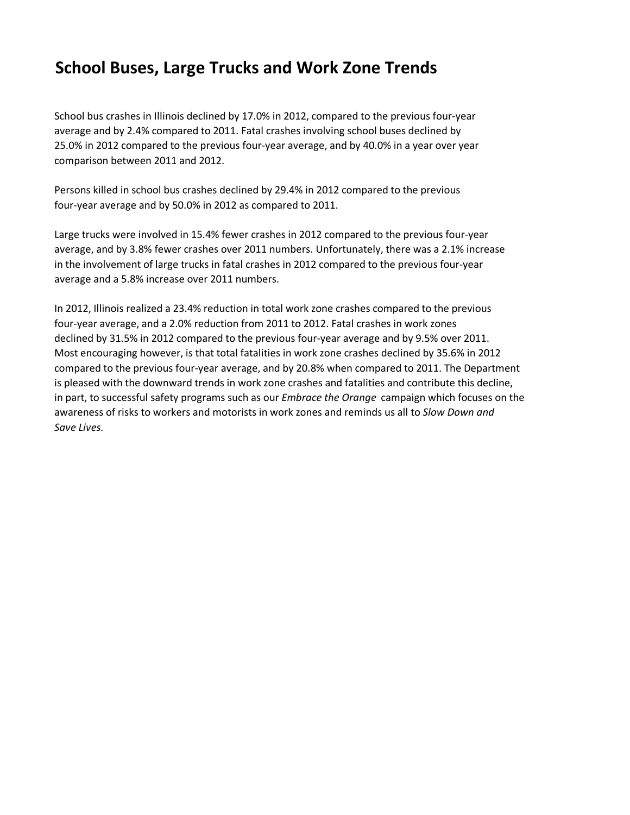## **School Buses, Large Trucks and Work Zone Trends**

School bus crashes in Illinois declined by 17.0% in 2012, compared to the previous four-year average and by 2.4% compared to 2011. Fatal crashes involving school buses declined by 25.0% in 2012 compared to the previous four-year average, and by 40.0% in a year over year comparison between 2011 and 2012.

Persons killed in school bus crashes declined by 29.4% in 2012 compared to the previous four-year average and by 50.0% in 2012 as compared to 2011.

Large trucks were involved in 15.4% fewer crashes in 2012 compared to the previous four-year average, and by 3.8% fewer crashes over 2011 numbers. Unfortunately, there was a 2.1% increase in the involvement of large trucks in fatal crashes in 2012 compared to the previous four-year average and a 5.8% increase over 2011 numbers.

In 2012, Illinois realized a 23.4% reduction in total work zone crashes compared to the previous four-year average, and a 2.0% reduction from 2011 to 2012. Fatal crashes in work zones declined by 31.5% in 2012 compared to the previous four-year average and by 9.5% over 2011. Most encouraging however, is that total fatalities in work zone crashes declined by 35.6% in 2012 compared to the previous four-year average, and by 20.8% when compared to 2011. The Department is pleased with the downward trends in work zone crashes and fatalities and contribute this decline, in part, to successful safety programs such as our *Embrace the Orange* campaign which focuses on the awareness of risks to workers and motorists in work zones and reminds us all to *Slow Down and Save Lives.*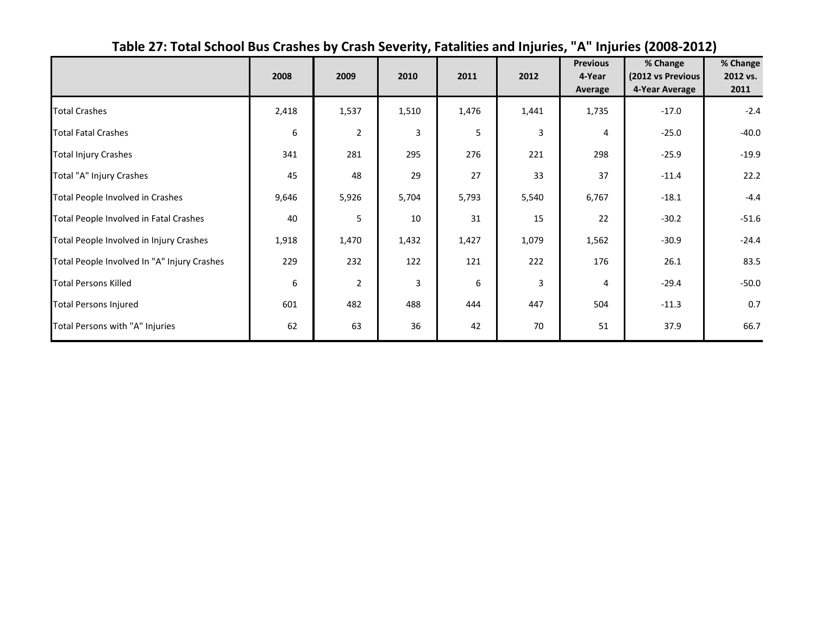<span id="page-61-0"></span>

|                                             | 2008  | 2009           | 2010  | 2011  | 2012  | <b>Previous</b><br>4-Year<br>Average | % Change<br>(2012 vs Previous<br>4-Year Average | $%$ Change<br>2012 vs.<br>2011 |
|---------------------------------------------|-------|----------------|-------|-------|-------|--------------------------------------|-------------------------------------------------|--------------------------------|
| <b>Total Crashes</b>                        | 2,418 | 1,537          | 1,510 | 1,476 | 1,441 | 1,735                                | $-17.0$                                         | $-2.4$                         |
| <b>Total Fatal Crashes</b>                  | 6     | $\overline{2}$ | 3     | 5     | 3     | 4                                    | $-25.0$                                         | $-40.0$                        |
| <b>Total Injury Crashes</b>                 | 341   | 281            | 295   | 276   | 221   | 298                                  | $-25.9$                                         | $-19.9$                        |
| Total "A" Injury Crashes                    | 45    | 48             | 29    | 27    | 33    | 37                                   | $-11.4$                                         | 22.2                           |
| Total People Involved in Crashes            | 9,646 | 5,926          | 5,704 | 5,793 | 5,540 | 6,767                                | $-18.1$                                         | $-4.4$                         |
| Total People Involved in Fatal Crashes      | 40    | 5              | 10    | 31    | 15    | 22                                   | $-30.2$                                         | $-51.6$                        |
| Total People Involved in Injury Crashes     | 1,918 | 1,470          | 1,432 | 1,427 | 1,079 | 1,562                                | $-30.9$                                         | $-24.4$                        |
| Total People Involved In "A" Injury Crashes | 229   | 232            | 122   | 121   | 222   | 176                                  | 26.1                                            | 83.5                           |
| <b>Total Persons Killed</b>                 | 6     | $\overline{2}$ | 3     | 6     | 3     | 4                                    | $-29.4$                                         | $-50.0$                        |
| <b>Total Persons Injured</b>                | 601   | 482            | 488   | 444   | 447   | 504                                  | $-11.3$                                         | 0.7                            |
| Total Persons with "A" Injuries             | 62    | 63             | 36    | 42    | 70    | 51                                   | 37.9                                            | 66.7                           |

## **Table 27: Total School Bus Crashes by Crash Severity, Fatalities and Injuries, "A" Injuries (2008-2012)**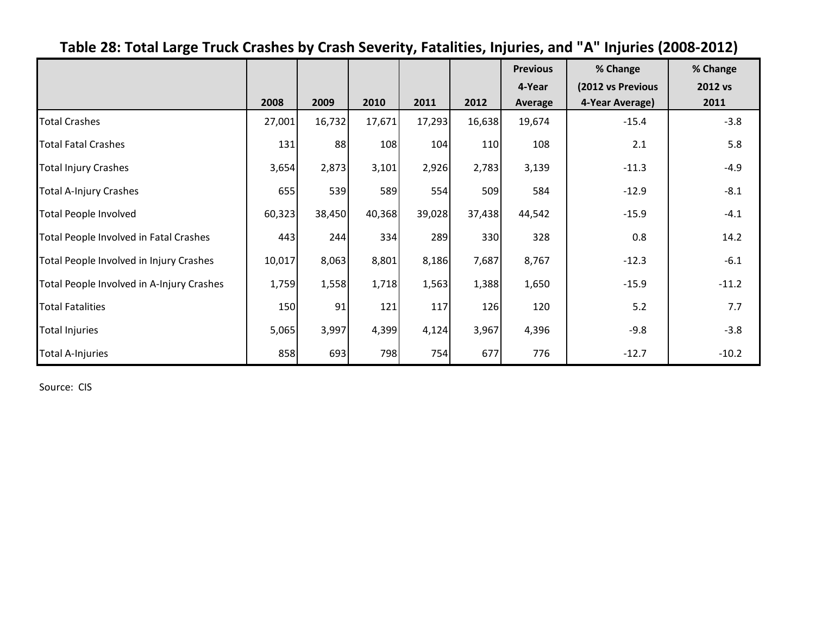<span id="page-63-0"></span>

|                                           |        |        |        |        |        | <b>Previous</b> | % Change          | % Change |
|-------------------------------------------|--------|--------|--------|--------|--------|-----------------|-------------------|----------|
|                                           |        |        |        |        |        | 4-Year          | (2012 vs Previous | 2012 vs  |
|                                           | 2008   | 2009   | 2010   | 2011   | 2012   | Average         | 4-Year Average)   | 2011     |
| <b>Total Crashes</b>                      | 27,001 | 16,732 | 17,671 | 17,293 | 16,638 | 19,674          | $-15.4$           | $-3.8$   |
| <b>Total Fatal Crashes</b>                | 131    | 88     | 108    | 104    | 110    | 108             | 2.1               | 5.8      |
| <b>Total Injury Crashes</b>               | 3,654  | 2,873  | 3,101  | 2,926  | 2,783  | 3,139           | $-11.3$           | $-4.9$   |
| <b>Total A-Injury Crashes</b>             | 655    | 539    | 589    | 554    | 509    | 584             | $-12.9$           | $-8.1$   |
| <b>Total People Involved</b>              | 60,323 | 38,450 | 40,368 | 39,028 | 37,438 | 44,542          | $-15.9$           | $-4.1$   |
| Total People Involved in Fatal Crashes    | 443    | 244    | 334    | 289    | 330    | 328             | 0.8               | 14.2     |
| Total People Involved in Injury Crashes   | 10,017 | 8,063  | 8,801  | 8,186  | 7,687  | 8,767           | $-12.3$           | $-6.1$   |
| Total People Involved in A-Injury Crashes | 1,759  | 1,558  | 1,718  | 1,563  | 1,388  | 1,650           | $-15.9$           | $-11.2$  |
| <b>Total Fatalities</b>                   | 150    | 91     | 121    | 117    | 126    | 120             | 5.2               | 7.7      |
| <b>Total Injuries</b>                     | 5,065  | 3,997  | 4,399  | 4,124  | 3,967  | 4,396           | $-9.8$            | $-3.8$   |
| <b>Total A-Injuries</b>                   | 858    | 693    | 798    | 754    | 677    | 776             | $-12.7$           | $-10.2$  |

# **Table 28: Total Large Truck Crashes by Crash Severity, Fatalities, Injuries, and "A" Injuries (2008-2012)**

Source: CIS